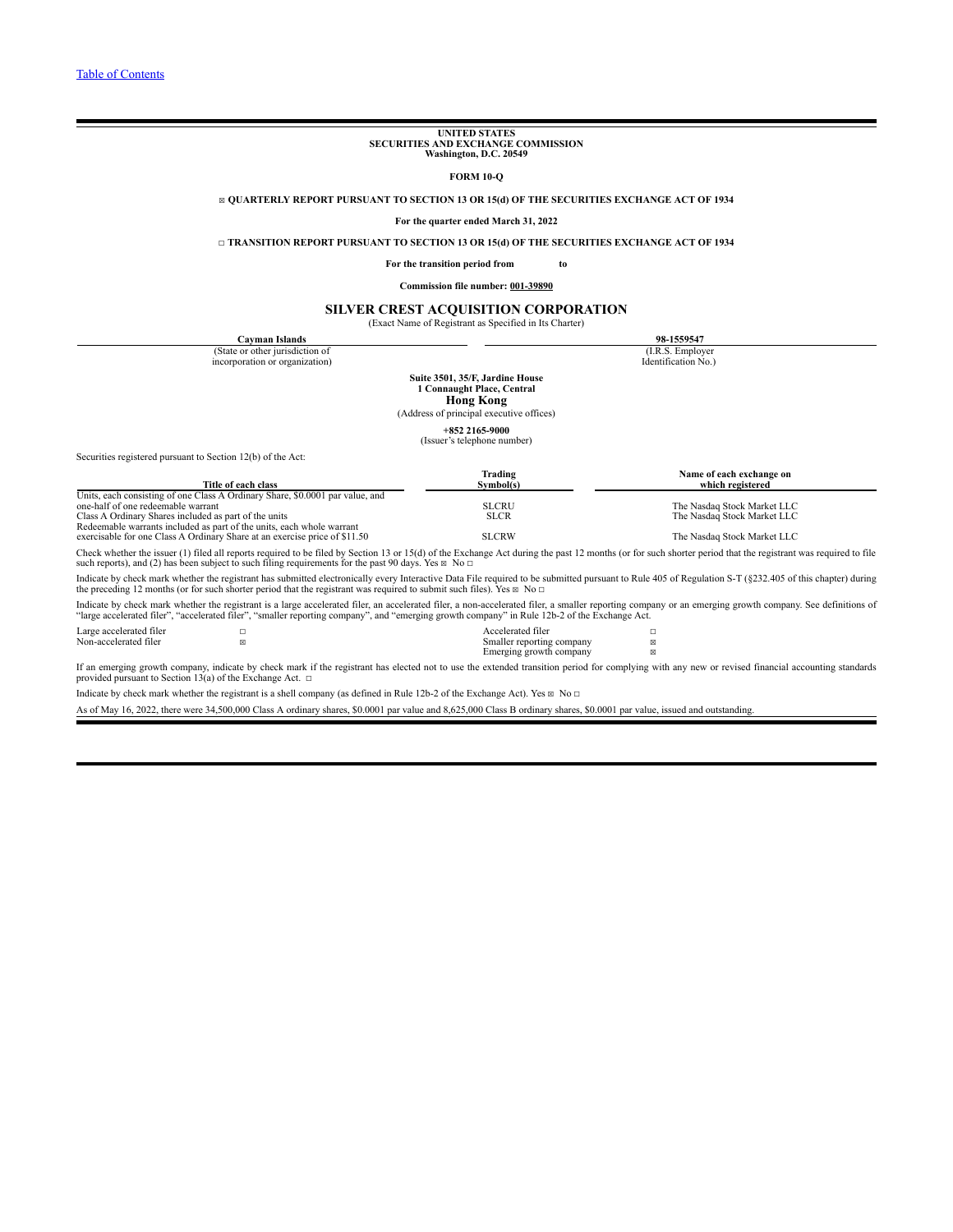# **UNITED STATES SECURITIES AND EXCHANGE COMMISSION Washington, D.C. 20549**

**FORM 10-Q**

☒ **QUARTERLY REPORT PURSUANT TO SECTION 13 OR 15(d) OF THE SECURITIES EXCHANGE ACT OF 1934**

**For the quarter ended March 31, 2022**

☐ **TRANSITION REPORT PURSUANT TO SECTION 13 OR 15(d) OF THE SECURITIES EXCHANGE ACT OF 1934**

**For the transition period from to**

**Commission file number: 001-39890**

**SILVER CREST ACQUISITION CORPORATION**

# (Exact Name of Registrant as Specified in Its Charter)

| <b>Cavman Islands</b>                                                                                                                                                                                                                                                                                                                                     | 98-1559547                                                                                                                    |                                                                                           |  |  |  |  |
|-----------------------------------------------------------------------------------------------------------------------------------------------------------------------------------------------------------------------------------------------------------------------------------------------------------------------------------------------------------|-------------------------------------------------------------------------------------------------------------------------------|-------------------------------------------------------------------------------------------|--|--|--|--|
| (State or other jurisdiction of<br>incorporation or organization)                                                                                                                                                                                                                                                                                         |                                                                                                                               | (I.R.S. Employer<br>Identification No.)                                                   |  |  |  |  |
|                                                                                                                                                                                                                                                                                                                                                           | Suite 3501, 35/F, Jardine House<br>1 Connaught Place, Central<br><b>Hong Kong</b><br>(Address of principal executive offices) |                                                                                           |  |  |  |  |
|                                                                                                                                                                                                                                                                                                                                                           | $+852$ 2165-9000<br>(Issuer's telephone number)                                                                               |                                                                                           |  |  |  |  |
| Securities registered pursuant to Section 12(b) of the Act:                                                                                                                                                                                                                                                                                               |                                                                                                                               |                                                                                           |  |  |  |  |
| Title of each class                                                                                                                                                                                                                                                                                                                                       | Trading<br>Symbol(s)                                                                                                          | Name of each exchange on<br>which registered                                              |  |  |  |  |
| Units, each consisting of one Class A Ordinary Share, \$0,0001 par value, and<br>one-half of one redeemable warrant<br>Class A Ordinary Shares included as part of the units<br>Redeemable warrants included as part of the units, each whole warrant<br>exercisable for one Class A Ordinary Share at an exercise price of \$11.50                       | <b>SLCRU</b><br><b>SLCR</b><br><b>SLCRW</b>                                                                                   | The Nasdaq Stock Market LLC<br>The Nasdaq Stock Market LLC<br>The Nasdaq Stock Market LLC |  |  |  |  |
| Check whether the issuer (1) filed all reports required to be filed by Section 13 or 15(d) of the Exchange Act during the past 12 months (or for such shorter period that the registrant was required to file<br>such reports), and (2) has been subject to such filing requirements for the past 90 days. Yes $\boxtimes$ No $\Box$                      |                                                                                                                               |                                                                                           |  |  |  |  |
| Indicate by check mark whether the registrant has submitted electronically every Interactive Data File required to be submitted pursuant to Rule 405 of Regulation S-T (§232.405 of this chapter) during<br>the preceding 12 months (or for such shorter period that the registrant was required to submit such files). Yes $\boxtimes$ No $\Box$         |                                                                                                                               |                                                                                           |  |  |  |  |
| Indicate by check mark whether the registrant is a large accelerated filer, an accelerated filer, a non-accelerated filer, a smaller reporting company or an emerging growth company. See definitions of<br>"large accelerated filer", "accelerated filer", "smaller reporting company", and "emerging growth company" in Rule 12b-2 of the Exchange Act. |                                                                                                                               |                                                                                           |  |  |  |  |
| I anno anno located Class<br>$\sim$ $\sim$ $\sim$ $\sim$ $\sim$                                                                                                                                                                                                                                                                                           | Assalance of Class                                                                                                            |                                                                                           |  |  |  |  |

Large accelerated filer ☐ Accelerated filer ☐ Non-accelerated filer ☒ Smaller reporting company ☒ Emerging growth company ☒

If an emerging growth company, indicate by check mark if the registrant has elected not to use the extended transition period for complying with any new or revised financial accounting standards provided pursuant to Secti

Indicate by check mark whether the registrant is a shell company (as defined in Rule 12b-2 of the Exchange Act). Yes  $\boxtimes$  No  $\Box$ 

As of May 16, 2022, there were 34,500,000 Class A ordinary shares, \$0.0001 par value and 8,625,000 Class B ordinary shares, \$0.0001 par value, issued and outstanding.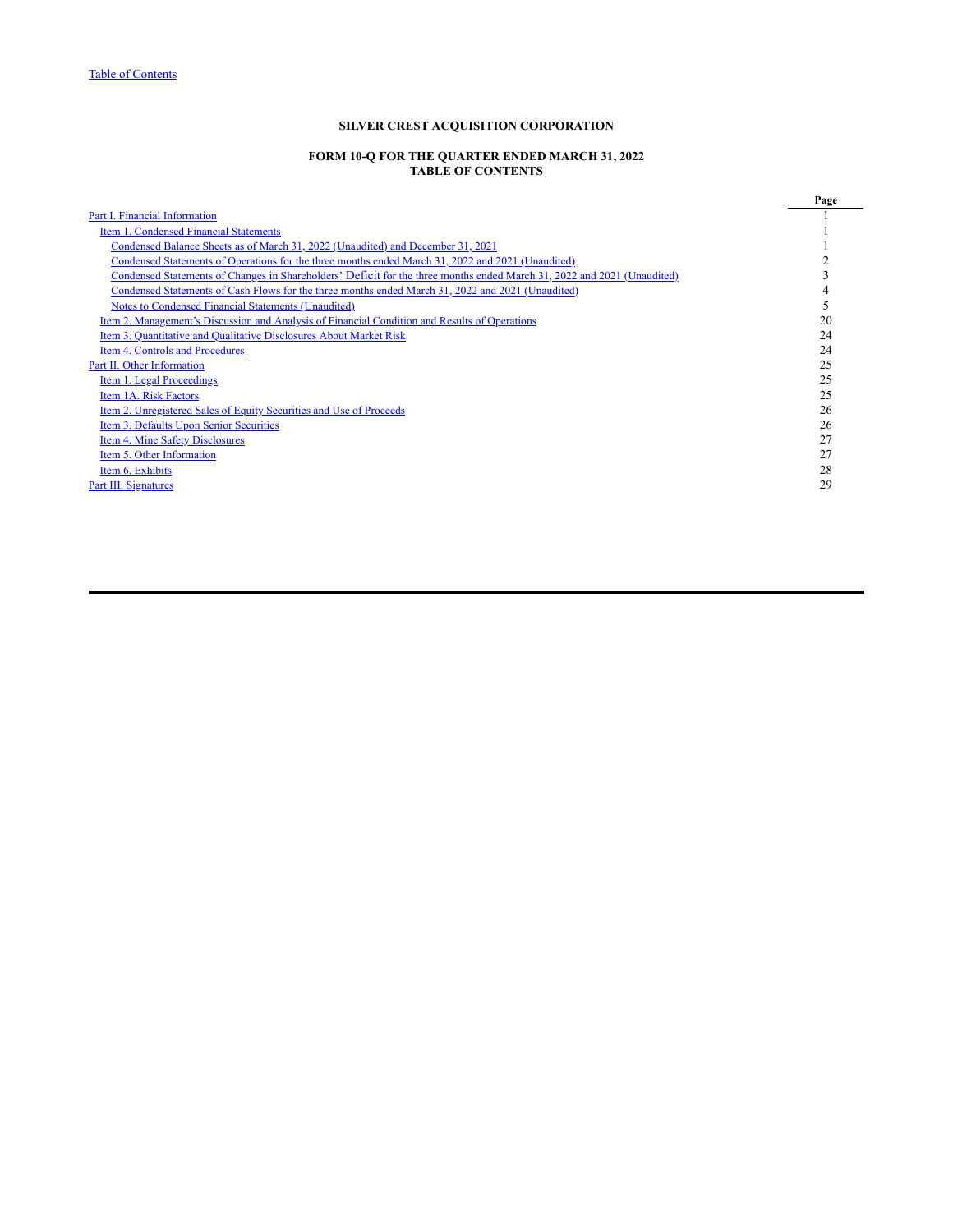# **SILVER CREST ACQUISITION CORPORATION**

# **FORM 10-Q FOR THE QUARTER ENDED MARCH 31, 2022 TABLE OF CONTENTS**

<span id="page-1-0"></span>

|                                                                                                                         | Page |
|-------------------------------------------------------------------------------------------------------------------------|------|
| Part I. Financial Information                                                                                           |      |
| Item 1. Condensed Financial Statements                                                                                  |      |
| Condensed Balance Sheets as of March 31, 2022 (Unaudited) and December 31, 2021                                         |      |
| Condensed Statements of Operations for the three months ended March 31, 2022 and 2021 (Unaudited)                       |      |
| Condensed Statements of Changes in Shareholders' Deficit for the three months ended March 31, 2022 and 2021 (Unaudited) |      |
| Condensed Statements of Cash Flows for the three months ended March 31, 2022 and 2021 (Unaudited)                       |      |
| Notes to Condensed Financial Statements (Unaudited)                                                                     |      |
| Item 2. Management's Discussion and Analysis of Financial Condition and Results of Operations                           | 20   |
| Item 3. Quantitative and Qualitative Disclosures About Market Risk                                                      | 24   |
| Item 4. Controls and Procedures                                                                                         | 24   |
| Part II. Other Information                                                                                              | 25   |
| Item 1. Legal Proceedings                                                                                               | 25   |
| Item 1A. Risk Factors                                                                                                   | 25   |
| <u>Item 2. Unregistered Sales of Equity Securities and Use of Proceeds</u>                                              | 26   |
| Item 3. Defaults Upon Senior Securities                                                                                 | 26   |
| Item 4. Mine Safety Disclosures                                                                                         | 27   |
| Item 5. Other Information                                                                                               | 27   |
| Item 6. Exhibits                                                                                                        | 28   |
| Part III. Signatures                                                                                                    | 29   |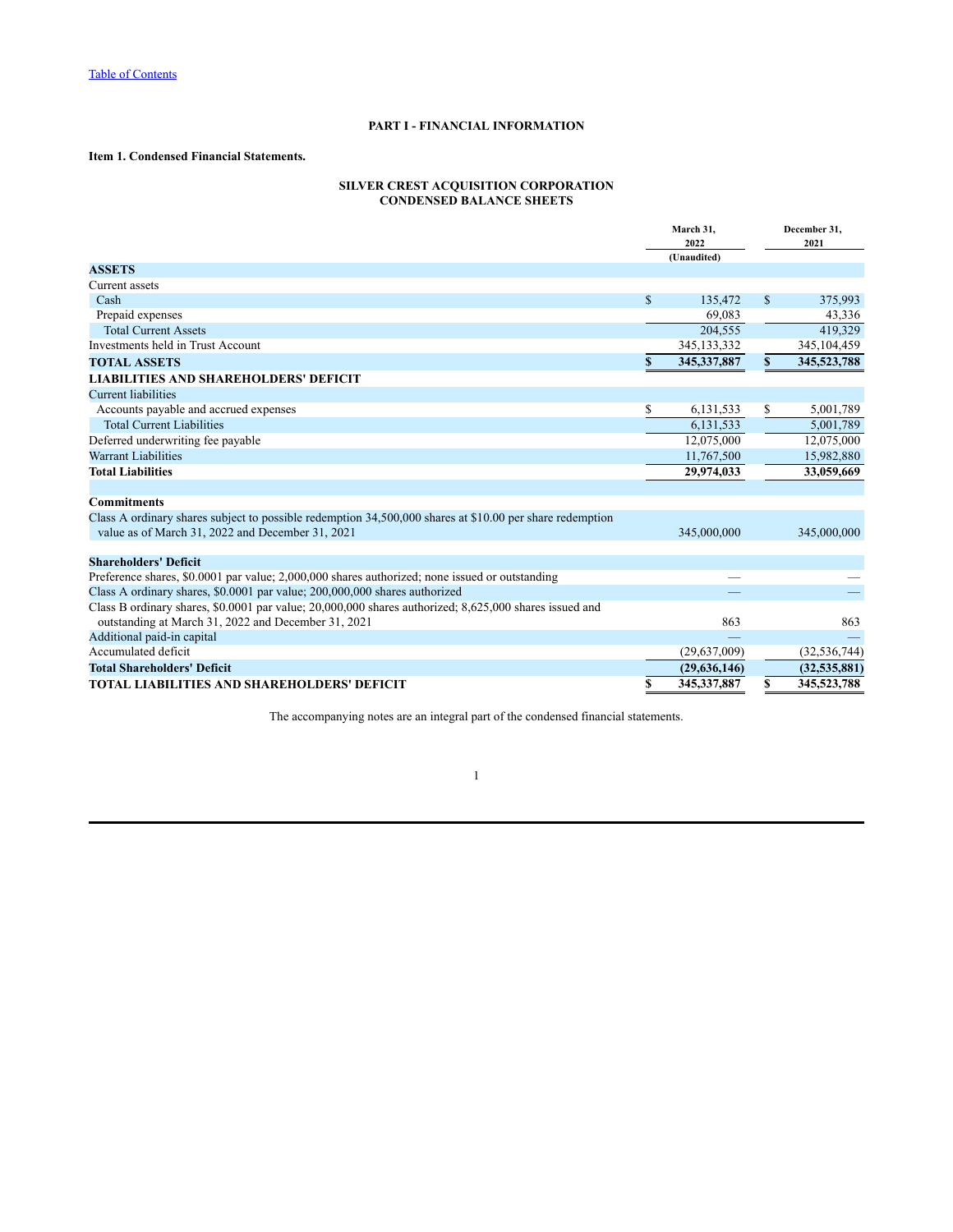# **PART I - FINANCIAL INFORMATION**

# <span id="page-2-1"></span><span id="page-2-0"></span>**Item 1. Condensed Financial Statements.**

## **SILVER CREST ACQUISITION CORPORATION CONDENSED BALANCE SHEETS**

<span id="page-2-2"></span>

|                                                                                                                                                               |              | March 31,           | December 31,      |
|---------------------------------------------------------------------------------------------------------------------------------------------------------------|--------------|---------------------|-------------------|
|                                                                                                                                                               |              | 2022<br>(Unaudited) | 2021              |
| <b>ASSETS</b>                                                                                                                                                 |              |                     |                   |
| Current assets                                                                                                                                                |              |                     |                   |
| Cash                                                                                                                                                          | $\mathbb{S}$ | 135,472             | \$<br>375,993     |
| Prepaid expenses                                                                                                                                              |              | 69,083              | 43,336            |
| <b>Total Current Assets</b>                                                                                                                                   |              | 204,555             | 419,329           |
| Investments held in Trust Account                                                                                                                             |              | 345, 133, 332       | 345, 104, 459     |
| <b>TOTAL ASSETS</b>                                                                                                                                           | \$           | 345, 337, 887       | \$<br>345,523,788 |
| <b>LIABILITIES AND SHAREHOLDERS' DEFICIT</b>                                                                                                                  |              |                     |                   |
| <b>Current liabilities</b>                                                                                                                                    |              |                     |                   |
| Accounts payable and accrued expenses                                                                                                                         | \$           | 6,131,533           | \$<br>5,001,789   |
| <b>Total Current Liabilities</b>                                                                                                                              |              | 6,131,533           | 5,001,789         |
| Deferred underwriting fee payable                                                                                                                             |              | 12,075,000          | 12,075,000        |
| <b>Warrant Liabilities</b>                                                                                                                                    |              | 11,767,500          | 15,982,880        |
| <b>Total Liabilities</b>                                                                                                                                      |              | 29,974,033          | 33,059,669        |
|                                                                                                                                                               |              |                     |                   |
| <b>Commitments</b>                                                                                                                                            |              |                     |                   |
| Class A ordinary shares subject to possible redemption $34,500,000$ shares at \$10.00 per share redemption                                                    |              |                     |                   |
| value as of March 31, 2022 and December 31, 2021                                                                                                              |              | 345,000,000         | 345,000,000       |
|                                                                                                                                                               |              |                     |                   |
| <b>Shareholders' Deficit</b>                                                                                                                                  |              |                     |                   |
| Preference shares, \$0,0001 par value; 2,000,000 shares authorized; none issued or outstanding                                                                |              |                     |                   |
| Class A ordinary shares, \$0.0001 par value; 200,000,000 shares authorized                                                                                    |              |                     |                   |
| Class B ordinary shares, \$0.0001 par value; 20,000,000 shares authorized; 8,625,000 shares issued and<br>outstanding at March 31, 2022 and December 31, 2021 |              | 863                 | 863               |
| Additional paid-in capital                                                                                                                                    |              |                     |                   |
| Accumulated deficit                                                                                                                                           |              | (29,637,009)        | (32, 536, 744)    |
| <b>Total Shareholders' Deficit</b>                                                                                                                            |              | (29, 636, 146)      | (32, 535, 881)    |
| TOTAL LIABILITIES AND SHAREHOLDERS' DEFICIT                                                                                                                   |              | 345, 337, 887       | \$<br>345,523,788 |

The accompanying notes are an integral part of the condensed financial statements.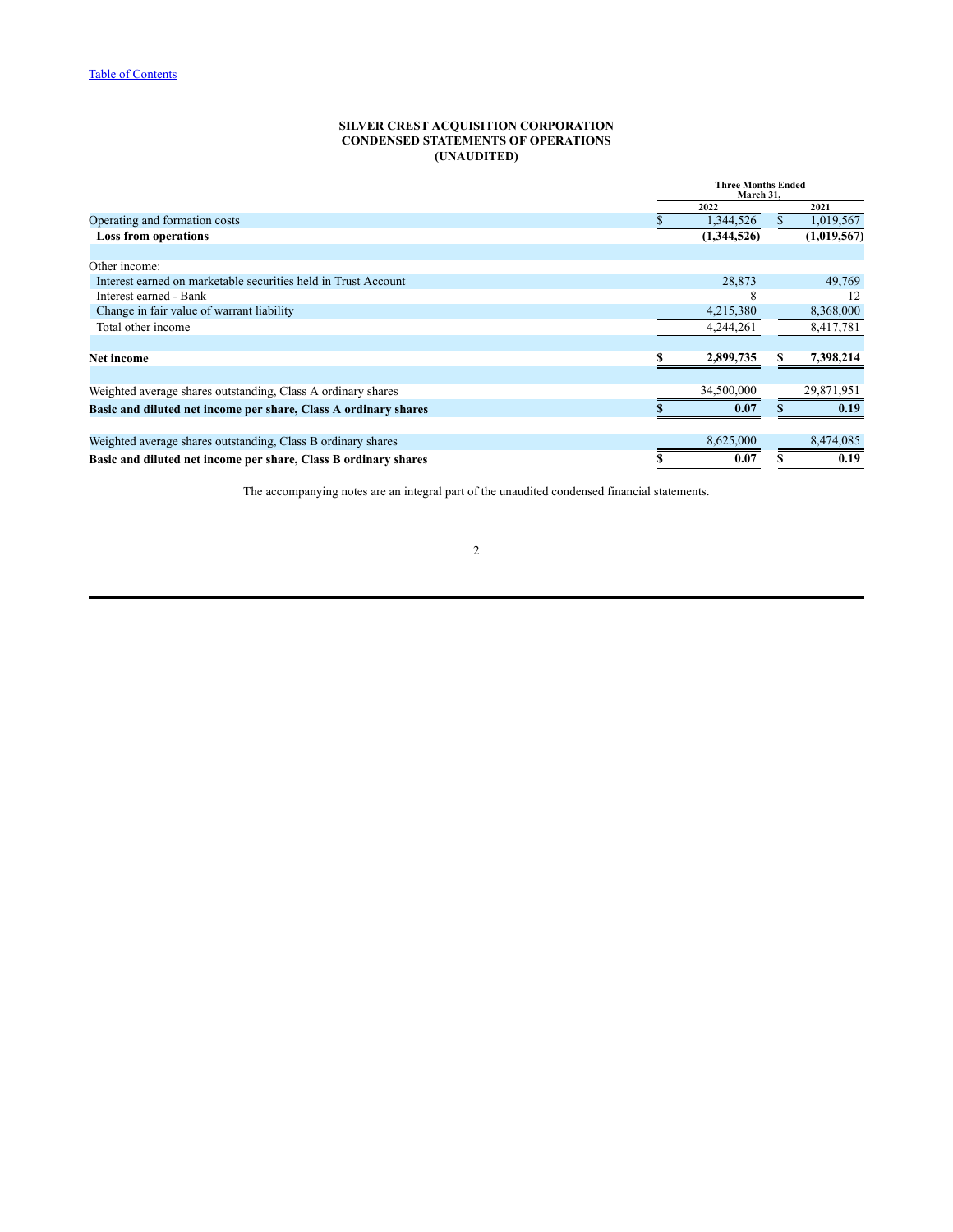#### **SILVER CREST ACQUISITION CORPORATION CONDENSED STATEMENTS OF OPERATIONS (UNAUDITED)**

<span id="page-3-0"></span>

|                                                                 | <b>Three Months Ended</b><br>March 31, |   |             |
|-----------------------------------------------------------------|----------------------------------------|---|-------------|
|                                                                 | 2022                                   |   | 2021        |
| Operating and formation costs                                   | 1,344,526                              |   | 1,019,567   |
| <b>Loss from operations</b>                                     | (1,344,526)                            |   | (1,019,567) |
| Other income:                                                   |                                        |   |             |
| Interest earned on marketable securities held in Trust Account  | 28,873                                 |   | 49,769      |
| Interest earned - Bank                                          | 8                                      |   | 12          |
| Change in fair value of warrant liability                       | 4,215,380                              |   | 8,368,000   |
| Total other income                                              | 4,244,261                              |   | 8,417,781   |
|                                                                 |                                        |   |             |
| Net income                                                      | 2,899,735                              | S | 7,398,214   |
| Weighted average shares outstanding, Class A ordinary shares    | 34,500,000                             |   | 29,871,951  |
| Basic and diluted net income per share, Class A ordinary shares | 0.07                                   |   | 0.19        |
|                                                                 |                                        |   |             |
| Weighted average shares outstanding, Class B ordinary shares    | 8,625,000                              |   | 8,474,085   |
| Basic and diluted net income per share, Class B ordinary shares | 0.07                                   |   | 0.19        |

The accompanying notes are an integral part of the unaudited condensed financial statements.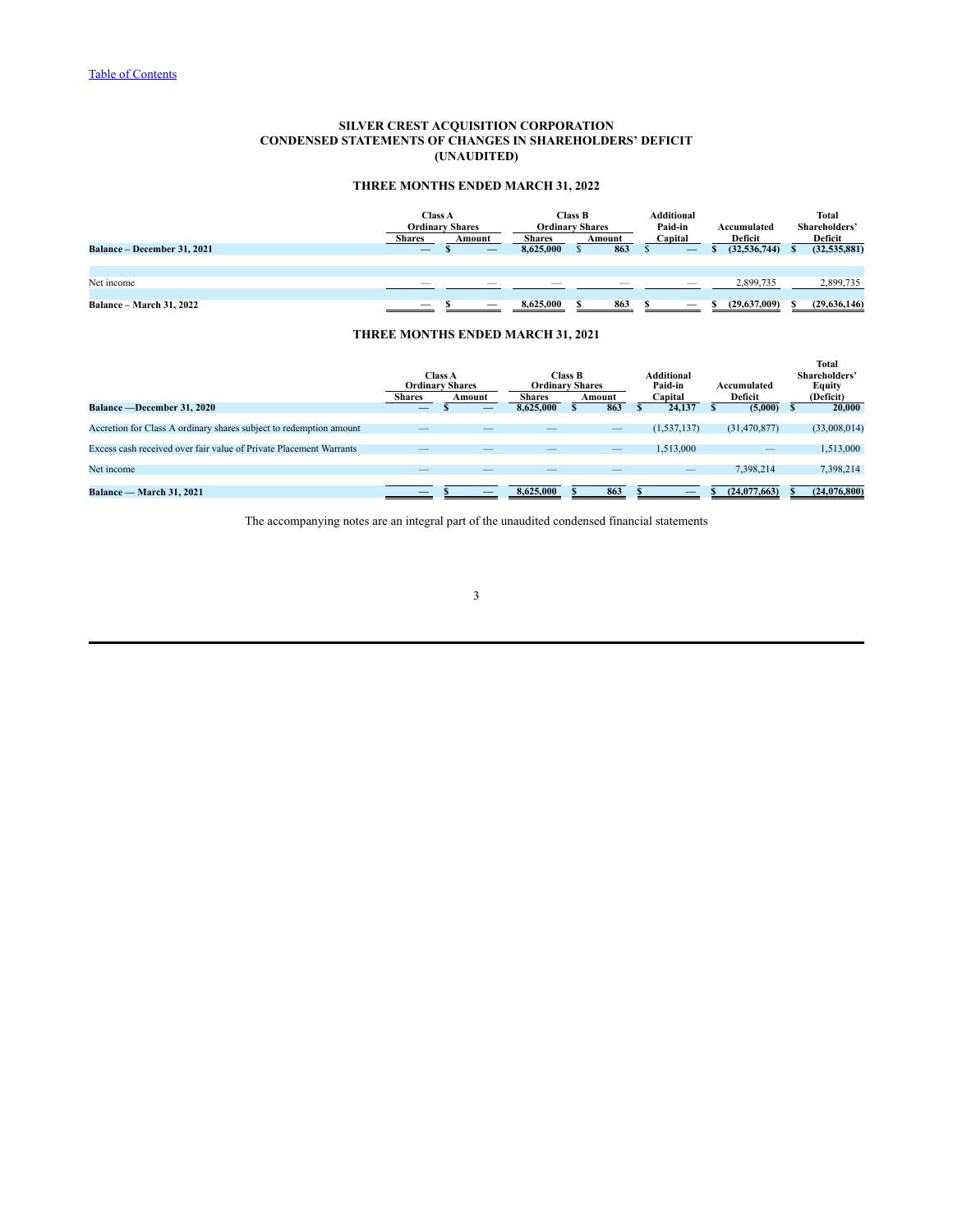# **SILVER CREST ACQUISITION CORPORATION CONDENSED STATEMENTS OF CHANGES IN SHAREHOLDERS' DEFICIT (UNAUDITED)**

# **THREE MONTHS ENDED MARCH 31, 2022**

<span id="page-4-0"></span>

|                             | <b>Class A</b><br><b>Ordinary Shares</b><br><b>Shares</b> | Amount                   | <b>Ordinary Shares</b><br><b>Shares</b> | <b>Class B</b> | Amount | <b>Additional</b><br>Paid-in<br>Capital | Accumulated<br>Deficit | <b>Total</b><br>Shareholders'<br>Deficit |
|-----------------------------|-----------------------------------------------------------|--------------------------|-----------------------------------------|----------------|--------|-----------------------------------------|------------------------|------------------------------------------|
| Balance – December 31, 2021 |                                                           |                          | 8.625.000                               |                | 863    |                                         | (32, 536, 744)         | (32,535,881)                             |
|                             |                                                           |                          |                                         |                |        |                                         |                        |                                          |
| Net income                  | $\overline{\phantom{a}}$                                  | $\overline{\phantom{a}}$ |                                         |                | _      | $\overline{\phantom{a}}$                | 2,899,735              | 2,899,735                                |
| Balance – March 31, 2022    | $\overline{\phantom{a}}$                                  |                          | 8.625.000                               |                | 863    |                                         | (29,637,009)           | (29,636,146)                             |

# **THREE MONTHS ENDED MARCH 31, 2021**

|                                                                    | <b>Ordinary Shares</b><br><b>Shares</b> | Class A | Amount | <b>Ordinary Shares</b><br><b>Shares</b> | <b>Class B</b> | Amount                   | Additional<br>Paid-in<br>Capital | Accumulated<br>Deficit | <b>Total</b><br>Shareholders'<br>Equity<br>(Deficit) |
|--------------------------------------------------------------------|-----------------------------------------|---------|--------|-----------------------------------------|----------------|--------------------------|----------------------------------|------------------------|------------------------------------------------------|
| <b>Balance</b> -December 31, 2020                                  | -                                       |         |        | 8.625.000                               |                | 863                      | 24.137                           | (5,000)                | 20,000                                               |
| Accretion for Class A ordinary shares subject to redemption amount |                                         |         |        |                                         |                |                          | (1,537,137)                      | (31, 470, 877)         | (33,008,014)                                         |
| Excess cash received over fair value of Private Placement Warrants | __                                      |         | $\sim$ | __                                      |                | $\overline{\phantom{a}}$ | 1,513,000                        |                        | 1,513,000                                            |
| Net income                                                         |                                         |         |        |                                         |                |                          |                                  | 7.398.214              | 7,398,214                                            |
| <b>Balance — March 31, 2021</b>                                    | _                                       |         |        | 8,625,000                               |                | 863                      |                                  | (24,077,663)           | (24,076,800)                                         |

The accompanying notes are an integral part of the unaudited condensed financial statements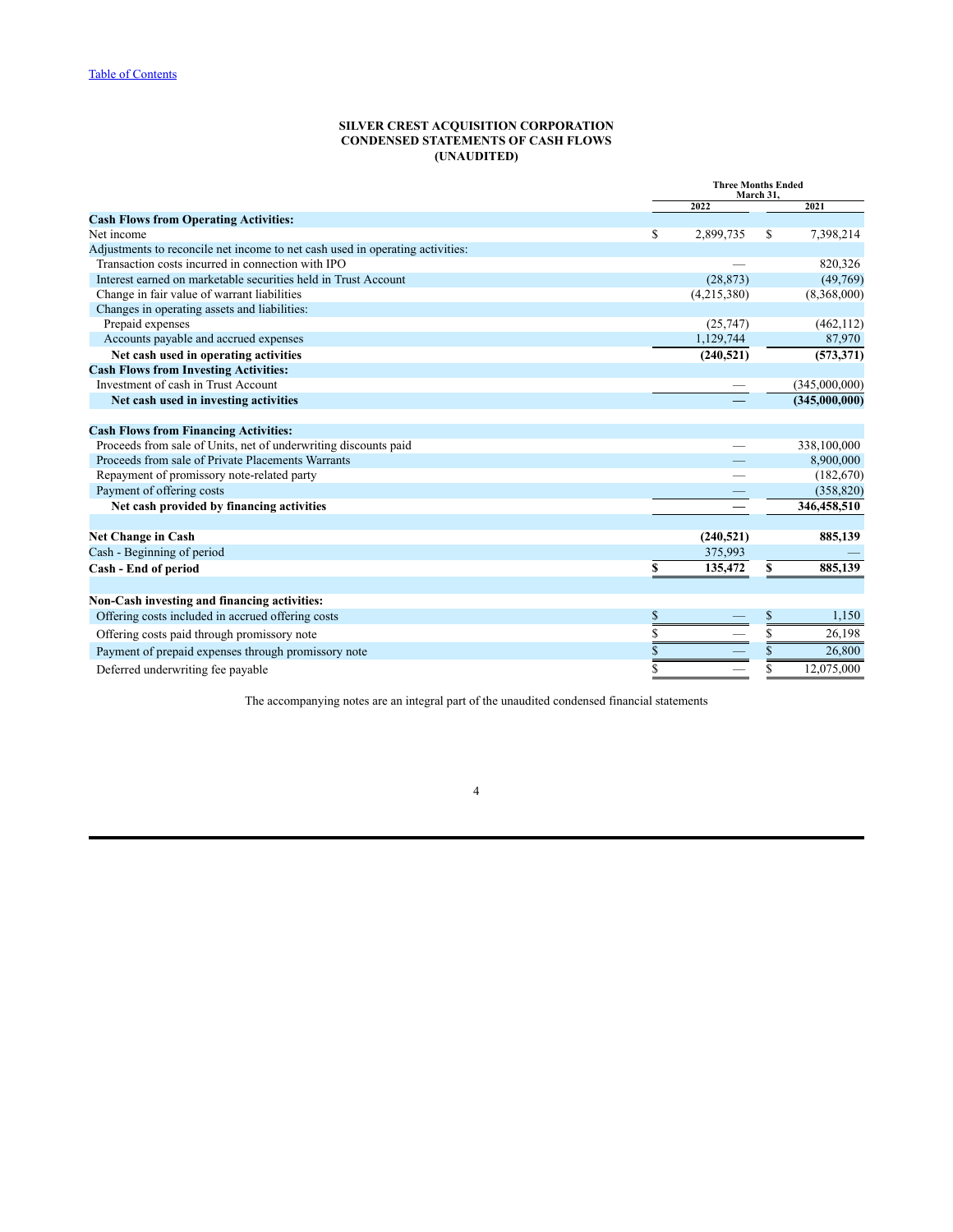# **SILVER CREST ACQUISITION CORPORATION CONDENSED STATEMENTS OF CASH FLOWS (UNAUDITED)**

<span id="page-5-0"></span>

|                                                                               | <b>Three Months Ended</b><br>March 31, |    |               |  |  |
|-------------------------------------------------------------------------------|----------------------------------------|----|---------------|--|--|
|                                                                               | 2022                                   |    | 2021          |  |  |
| <b>Cash Flows from Operating Activities:</b>                                  |                                        |    |               |  |  |
| Net income                                                                    | \$<br>2,899,735                        | \$ | 7,398,214     |  |  |
| Adjustments to reconcile net income to net cash used in operating activities: |                                        |    |               |  |  |
| Transaction costs incurred in connection with IPO                             |                                        |    | 820,326       |  |  |
| Interest earned on marketable securities held in Trust Account                | (28, 873)                              |    | (49,769)      |  |  |
| Change in fair value of warrant liabilities                                   | (4,215,380)                            |    | (8,368,000)   |  |  |
| Changes in operating assets and liabilities:                                  |                                        |    |               |  |  |
| Prepaid expenses                                                              | (25, 747)                              |    | (462, 112)    |  |  |
| Accounts payable and accrued expenses                                         | 1,129,744                              |    | 87,970        |  |  |
| Net cash used in operating activities                                         | (240, 521)                             |    | (573, 371)    |  |  |
| <b>Cash Flows from Investing Activities:</b>                                  |                                        |    |               |  |  |
| Investment of cash in Trust Account                                           |                                        |    | (345,000,000) |  |  |
| Net cash used in investing activities                                         |                                        |    | (345,000,000) |  |  |
| <b>Cash Flows from Financing Activities:</b>                                  |                                        |    |               |  |  |
| Proceeds from sale of Units, net of underwriting discounts paid               |                                        |    | 338,100,000   |  |  |
| Proceeds from sale of Private Placements Warrants                             |                                        |    | 8,900,000     |  |  |
| Repayment of promissory note-related party                                    |                                        |    | (182,670)     |  |  |
| Payment of offering costs                                                     |                                        |    | (358, 820)    |  |  |
| Net cash provided by financing activities                                     |                                        |    | 346,458,510   |  |  |
| <b>Net Change in Cash</b>                                                     | (240, 521)                             |    | 885,139       |  |  |
| Cash - Beginning of period                                                    | 375,993                                |    |               |  |  |
| Cash - End of period                                                          | \$<br>135,472                          | S. | 885,139       |  |  |
|                                                                               |                                        |    |               |  |  |
| Non-Cash investing and financing activities:                                  |                                        |    |               |  |  |
| Offering costs included in accrued offering costs                             | \$                                     |    | 1,150         |  |  |
| Offering costs paid through promissory note                                   |                                        |    | 26,198        |  |  |
| Payment of prepaid expenses through promissory note                           |                                        |    | 26,800        |  |  |
| Deferred underwriting fee payable                                             | \$                                     |    | 12,075,000    |  |  |

The accompanying notes are an integral part of the unaudited condensed financial statements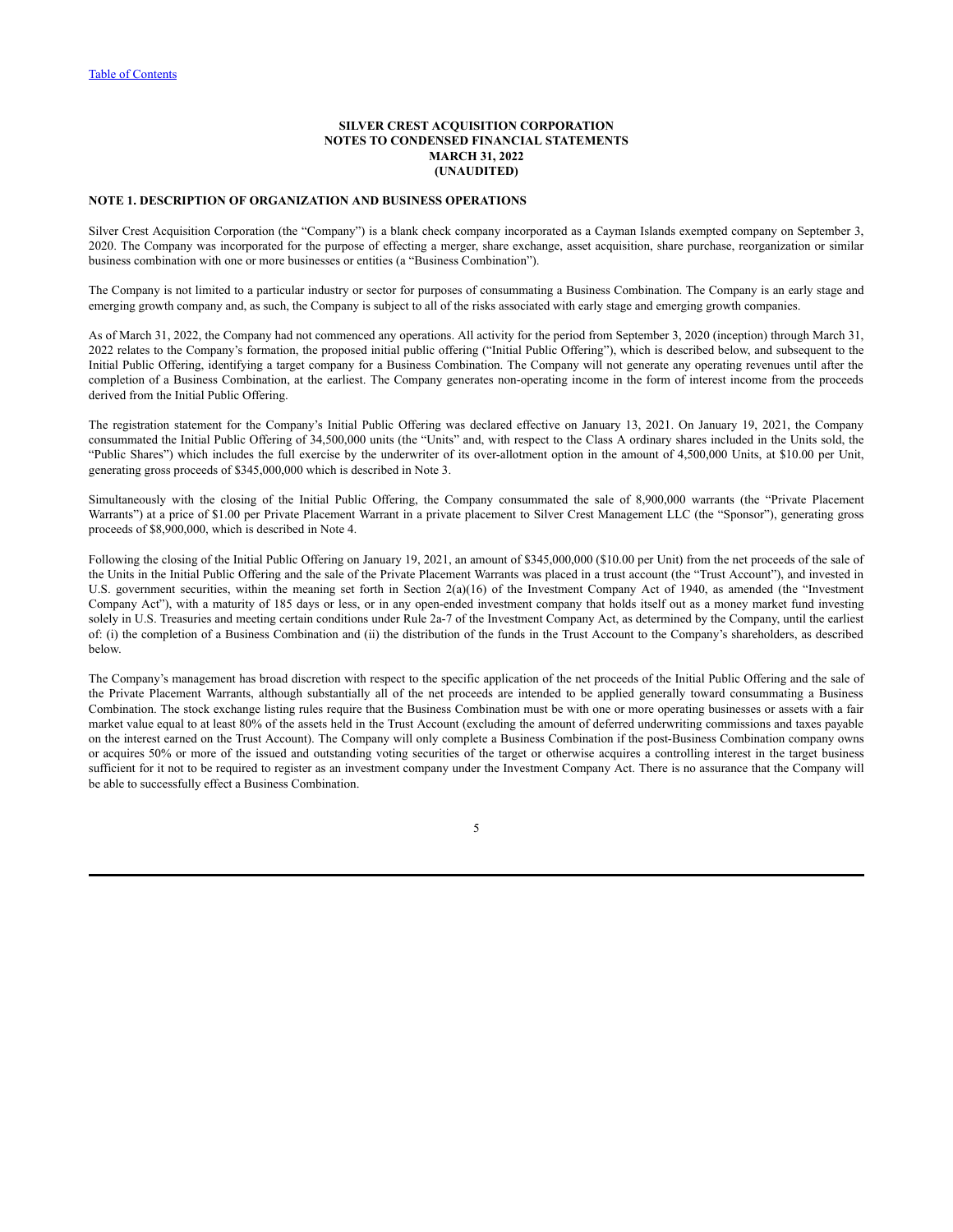#### <span id="page-6-0"></span>**NOTE 1. DESCRIPTION OF ORGANIZATION AND BUSINESS OPERATIONS**

Silver Crest Acquisition Corporation (the "Company") is a blank check company incorporated as a Cayman Islands exempted company on September 3, 2020. The Company was incorporated for the purpose of effecting a merger, share exchange, asset acquisition, share purchase, reorganization or similar business combination with one or more businesses or entities (a "Business Combination").

The Company is not limited to a particular industry or sector for purposes of consummating a Business Combination. The Company is an early stage and emerging growth company and, as such, the Company is subject to all of the risks associated with early stage and emerging growth companies.

As of March 31, 2022, the Company had not commenced any operations. All activity for the period from September 3, 2020 (inception) through March 31, 2022 relates to the Company's formation, the proposed initial public offering ("Initial Public Offering"), which is described below, and subsequent to the Initial Public Offering, identifying a target company for a Business Combination. The Company will not generate any operating revenues until after the completion of a Business Combination, at the earliest. The Company generates non-operating income in the form of interest income from the proceeds derived from the Initial Public Offering.

The registration statement for the Company's Initial Public Offering was declared effective on January 13, 2021. On January 19, 2021, the Company consummated the Initial Public Offering of 34,500,000 units (the "Units" and, with respect to the Class A ordinary shares included in the Units sold, the "Public Shares") which includes the full exercise by the underwriter of its over-allotment option in the amount of 4,500,000 Units, at \$10.00 per Unit, generating gross proceeds of \$345,000,000 which is described in Note 3.

Simultaneously with the closing of the Initial Public Offering, the Company consummated the sale of 8,900,000 warrants (the "Private Placement Warrants") at a price of \$1.00 per Private Placement Warrant in a private placement to Silver Crest Management LLC (the "Sponsor"), generating gross proceeds of \$8,900,000, which is described in Note 4.

Following the closing of the Initial Public Offering on January 19, 2021, an amount of \$345,000,000 (\$10.00 per Unit) from the net proceeds of the sale of the Units in the Initial Public Offering and the sale of the Private Placement Warrants was placed in a trust account (the "Trust Account"), and invested in U.S. government securities, within the meaning set forth in Section 2(a)(16) of the Investment Company Act of 1940, as amended (the "Investment Company Act"), with a maturity of 185 days or less, or in any open-ended investment company that holds itself out as a money market fund investing solely in U.S. Treasuries and meeting certain conditions under Rule 2a-7 of the Investment Company Act, as determined by the Company, until the earliest of: (i) the completion of a Business Combination and (ii) the distribution of the funds in the Trust Account to the Company's shareholders, as described below.

The Company's management has broad discretion with respect to the specific application of the net proceeds of the Initial Public Offering and the sale of the Private Placement Warrants, although substantially all of the net proceeds are intended to be applied generally toward consummating a Business Combination. The stock exchange listing rules require that the Business Combination must be with one or more operating businesses or assets with a fair market value equal to at least 80% of the assets held in the Trust Account (excluding the amount of deferred underwriting commissions and taxes payable on the interest earned on the Trust Account). The Company will only complete a Business Combination if the post-Business Combination company owns or acquires 50% or more of the issued and outstanding voting securities of the target or otherwise acquires a controlling interest in the target business sufficient for it not to be required to register as an investment company under the Investment Company Act. There is no assurance that the Company will be able to successfully effect a Business Combination.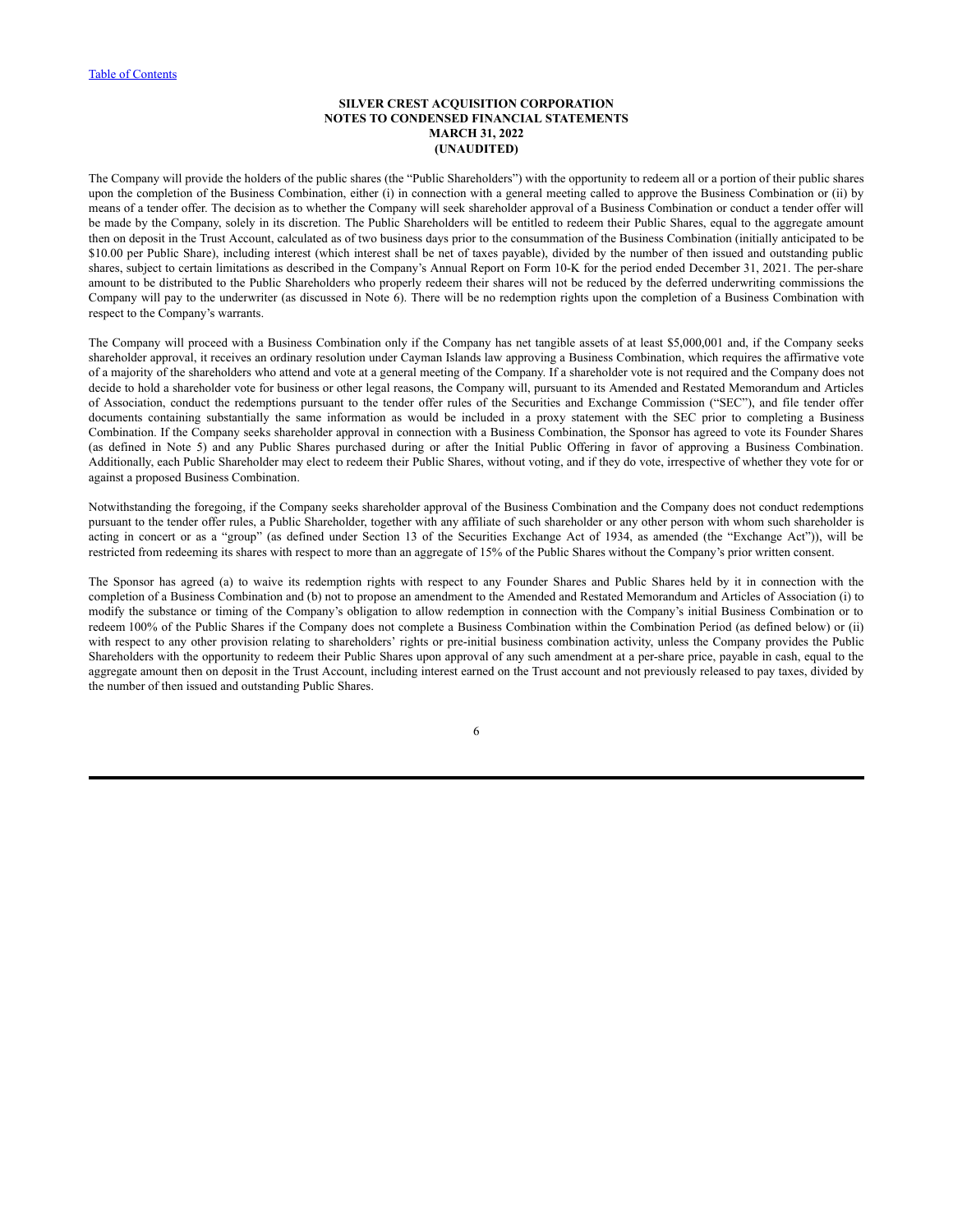The Company will provide the holders of the public shares (the "Public Shareholders") with the opportunity to redeem all or a portion of their public shares upon the completion of the Business Combination, either (i) in connection with a general meeting called to approve the Business Combination or (ii) by means of a tender offer. The decision as to whether the Company will seek shareholder approval of a Business Combination or conduct a tender offer will be made by the Company, solely in its discretion. The Public Shareholders will be entitled to redeem their Public Shares, equal to the aggregate amount then on deposit in the Trust Account, calculated as of two business days prior to the consummation of the Business Combination (initially anticipated to be \$10.00 per Public Share), including interest (which interest shall be net of taxes payable), divided by the number of then issued and outstanding public shares, subject to certain limitations as described in the Company's Annual Report on Form 10-K for the period ended December 31, 2021. The per-share amount to be distributed to the Public Shareholders who properly redeem their shares will not be reduced by the deferred underwriting commissions the Company will pay to the underwriter (as discussed in Note 6). There will be no redemption rights upon the completion of a Business Combination with respect to the Company's warrants.

The Company will proceed with a Business Combination only if the Company has net tangible assets of at least \$5,000,001 and, if the Company seeks shareholder approval, it receives an ordinary resolution under Cayman Islands law approving a Business Combination, which requires the affirmative vote of a majority of the shareholders who attend and vote at a general meeting of the Company. If a shareholder vote is not required and the Company does not decide to hold a shareholder vote for business or other legal reasons, the Company will, pursuant to its Amended and Restated Memorandum and Articles of Association, conduct the redemptions pursuant to the tender offer rules of the Securities and Exchange Commission ("SEC"), and file tender offer documents containing substantially the same information as would be included in a proxy statement with the SEC prior to completing a Business Combination. If the Company seeks shareholder approval in connection with a Business Combination, the Sponsor has agreed to vote its Founder Shares (as defined in Note 5) and any Public Shares purchased during or after the Initial Public Offering in favor of approving a Business Combination. Additionally, each Public Shareholder may elect to redeem their Public Shares, without voting, and if they do vote, irrespective of whether they vote for or against a proposed Business Combination.

Notwithstanding the foregoing, if the Company seeks shareholder approval of the Business Combination and the Company does not conduct redemptions pursuant to the tender offer rules, a Public Shareholder, together with any affiliate of such shareholder or any other person with whom such shareholder is acting in concert or as a "group" (as defined under Section 13 of the Securities Exchange Act of 1934, as amended (the "Exchange Act")), will be restricted from redeeming its shares with respect to more than an aggregate of 15% of the Public Shares without the Company's prior written consent.

The Sponsor has agreed (a) to waive its redemption rights with respect to any Founder Shares and Public Shares held by it in connection with the completion of a Business Combination and (b) not to propose an amendment to the Amended and Restated Memorandum and Articles of Association (i) to modify the substance or timing of the Company's obligation to allow redemption in connection with the Company's initial Business Combination or to redeem 100% of the Public Shares if the Company does not complete a Business Combination within the Combination Period (as defined below) or (ii) with respect to any other provision relating to shareholders' rights or pre-initial business combination activity, unless the Company provides the Public Shareholders with the opportunity to redeem their Public Shares upon approval of any such amendment at a per-share price, payable in cash, equal to the aggregate amount then on deposit in the Trust Account, including interest earned on the Trust account and not previously released to pay taxes, divided by the number of then issued and outstanding Public Shares.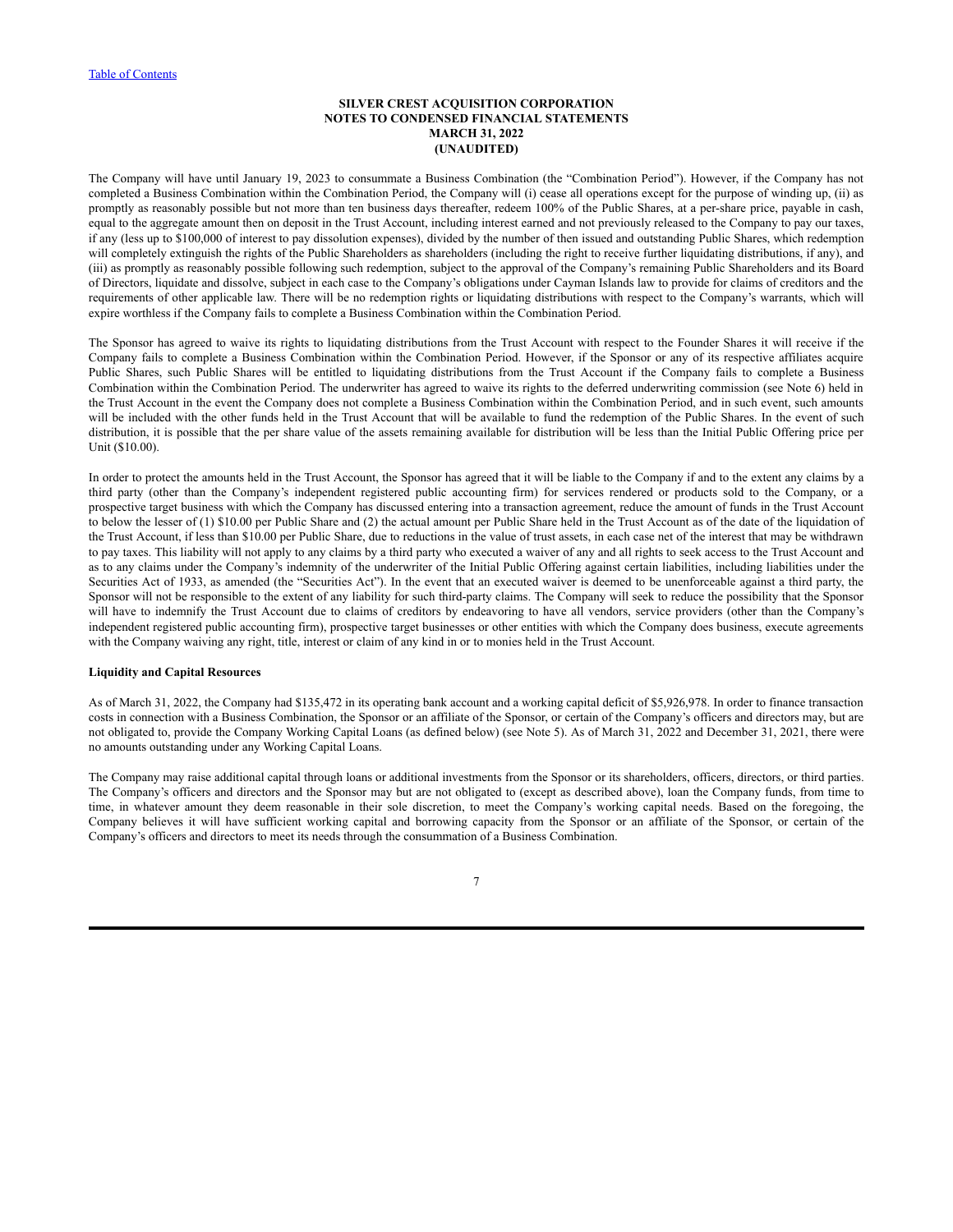The Company will have until January 19, 2023 to consummate a Business Combination (the "Combination Period"). However, if the Company has not completed a Business Combination within the Combination Period, the Company will (i) cease all operations except for the purpose of winding up, (ii) as promptly as reasonably possible but not more than ten business days thereafter, redeem 100% of the Public Shares, at a per-share price, payable in cash, equal to the aggregate amount then on deposit in the Trust Account, including interest earned and not previously released to the Company to pay our taxes, if any (less up to \$100,000 of interest to pay dissolution expenses), divided by the number of then issued and outstanding Public Shares, which redemption will completely extinguish the rights of the Public Shareholders as shareholders (including the right to receive further liquidating distributions, if any), and (iii) as promptly as reasonably possible following such redemption, subject to the approval of the Company's remaining Public Shareholders and its Board of Directors, liquidate and dissolve, subject in each case to the Company's obligations under Cayman Islands law to provide for claims of creditors and the requirements of other applicable law. There will be no redemption rights or liquidating distributions with respect to the Company's warrants, which will expire worthless if the Company fails to complete a Business Combination within the Combination Period.

The Sponsor has agreed to waive its rights to liquidating distributions from the Trust Account with respect to the Founder Shares it will receive if the Company fails to complete a Business Combination within the Combination Period. However, if the Sponsor or any of its respective affiliates acquire Public Shares, such Public Shares will be entitled to liquidating distributions from the Trust Account if the Company fails to complete a Business Combination within the Combination Period. The underwriter has agreed to waive its rights to the deferred underwriting commission (see Note 6) held in the Trust Account in the event the Company does not complete a Business Combination within the Combination Period, and in such event, such amounts will be included with the other funds held in the Trust Account that will be available to fund the redemption of the Public Shares. In the event of such distribution, it is possible that the per share value of the assets remaining available for distribution will be less than the Initial Public Offering price per Unit (\$10.00).

In order to protect the amounts held in the Trust Account, the Sponsor has agreed that it will be liable to the Company if and to the extent any claims by a third party (other than the Company's independent registered public accounting firm) for services rendered or products sold to the Company, or a prospective target business with which the Company has discussed entering into a transaction agreement, reduce the amount of funds in the Trust Account to below the lesser of (1) \$10.00 per Public Share and (2) the actual amount per Public Share held in the Trust Account as of the date of the liquidation of the Trust Account, if less than \$10.00 per Public Share, due to reductions in the value of trust assets, in each case net of the interest that may be withdrawn to pay taxes. This liability will not apply to any claims by a third party who executed a waiver of any and all rights to seek access to the Trust Account and as to any claims under the Company's indemnity of the underwriter of the Initial Public Offering against certain liabilities, including liabilities under the Securities Act of 1933, as amended (the "Securities Act"). In the event that an executed waiver is deemed to be unenforceable against a third party, the Sponsor will not be responsible to the extent of any liability for such third-party claims. The Company will seek to reduce the possibility that the Sponsor will have to indemnify the Trust Account due to claims of creditors by endeavoring to have all vendors, service providers (other than the Company's independent registered public accounting firm), prospective target businesses or other entities with which the Company does business, execute agreements with the Company waiving any right, title, interest or claim of any kind in or to monies held in the Trust Account.

#### **Liquidity and Capital Resources**

As of March 31, 2022, the Company had \$135,472 in its operating bank account and a working capital deficit of \$5,926,978. In order to finance transaction costs in connection with a Business Combination, the Sponsor or an affiliate of the Sponsor, or certain of the Company's officers and directors may, but are not obligated to, provide the Company Working Capital Loans (as defined below) (see Note 5). As of March 31, 2022 and December 31, 2021, there were no amounts outstanding under any Working Capital Loans.

The Company may raise additional capital through loans or additional investments from the Sponsor or its shareholders, officers, directors, or third parties. The Company's officers and directors and the Sponsor may but are not obligated to (except as described above), loan the Company funds, from time to time, in whatever amount they deem reasonable in their sole discretion, to meet the Company's working capital needs. Based on the foregoing, the Company believes it will have sufficient working capital and borrowing capacity from the Sponsor or an affiliate of the Sponsor, or certain of the Company's officers and directors to meet its needs through the consummation of a Business Combination.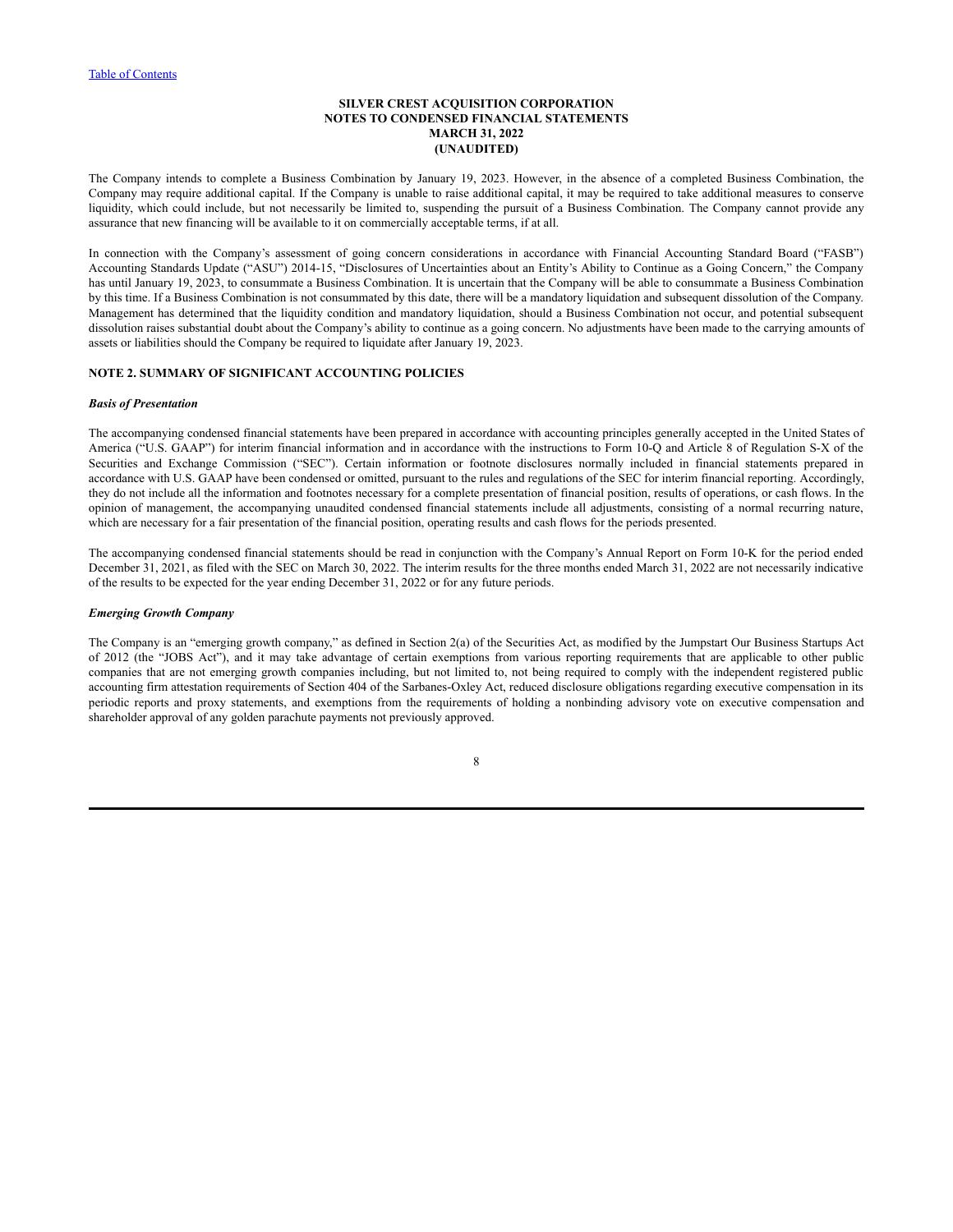The Company intends to complete a Business Combination by January 19, 2023. However, in the absence of a completed Business Combination, the Company may require additional capital. If the Company is unable to raise additional capital, it may be required to take additional measures to conserve liquidity, which could include, but not necessarily be limited to, suspending the pursuit of a Business Combination. The Company cannot provide any assurance that new financing will be available to it on commercially acceptable terms, if at all.

In connection with the Company's assessment of going concern considerations in accordance with Financial Accounting Standard Board ("FASB") Accounting Standards Update ("ASU") 2014-15, "Disclosures of Uncertainties about an Entity's Ability to Continue as a Going Concern," the Company has until January 19, 2023, to consummate a Business Combination. It is uncertain that the Company will be able to consummate a Business Combination by this time. If a Business Combination is not consummated by this date, there will be a mandatory liquidation and subsequent dissolution of the Company. Management has determined that the liquidity condition and mandatory liquidation, should a Business Combination not occur, and potential subsequent dissolution raises substantial doubt about the Company's ability to continue as a going concern. No adjustments have been made to the carrying amounts of assets or liabilities should the Company be required to liquidate after January 19, 2023.

### **NOTE 2. SUMMARY OF SIGNIFICANT ACCOUNTING POLICIES**

## *Basis of Presentation*

The accompanying condensed financial statements have been prepared in accordance with accounting principles generally accepted in the United States of America ("U.S. GAAP") for interim financial information and in accordance with the instructions to Form 10-Q and Article 8 of Regulation S-X of the Securities and Exchange Commission ("SEC"). Certain information or footnote disclosures normally included in financial statements prepared in accordance with U.S. GAAP have been condensed or omitted, pursuant to the rules and regulations of the SEC for interim financial reporting. Accordingly, they do not include all the information and footnotes necessary for a complete presentation of financial position, results of operations, or cash flows. In the opinion of management, the accompanying unaudited condensed financial statements include all adjustments, consisting of a normal recurring nature, which are necessary for a fair presentation of the financial position, operating results and cash flows for the periods presented.

The accompanying condensed financial statements should be read in conjunction with the Company's Annual Report on Form 10-K for the period ended December 31, 2021, as filed with the SEC on March 30, 2022. The interim results for the three months ended March 31, 2022 are not necessarily indicative of the results to be expected for the year ending December 31, 2022 or for any future periods.

### *Emerging Growth Company*

The Company is an "emerging growth company," as defined in Section 2(a) of the Securities Act, as modified by the Jumpstart Our Business Startups Act of 2012 (the "JOBS Act"), and it may take advantage of certain exemptions from various reporting requirements that are applicable to other public companies that are not emerging growth companies including, but not limited to, not being required to comply with the independent registered public accounting firm attestation requirements of Section 404 of the Sarbanes-Oxley Act, reduced disclosure obligations regarding executive compensation in its periodic reports and proxy statements, and exemptions from the requirements of holding a nonbinding advisory vote on executive compensation and shareholder approval of any golden parachute payments not previously approved.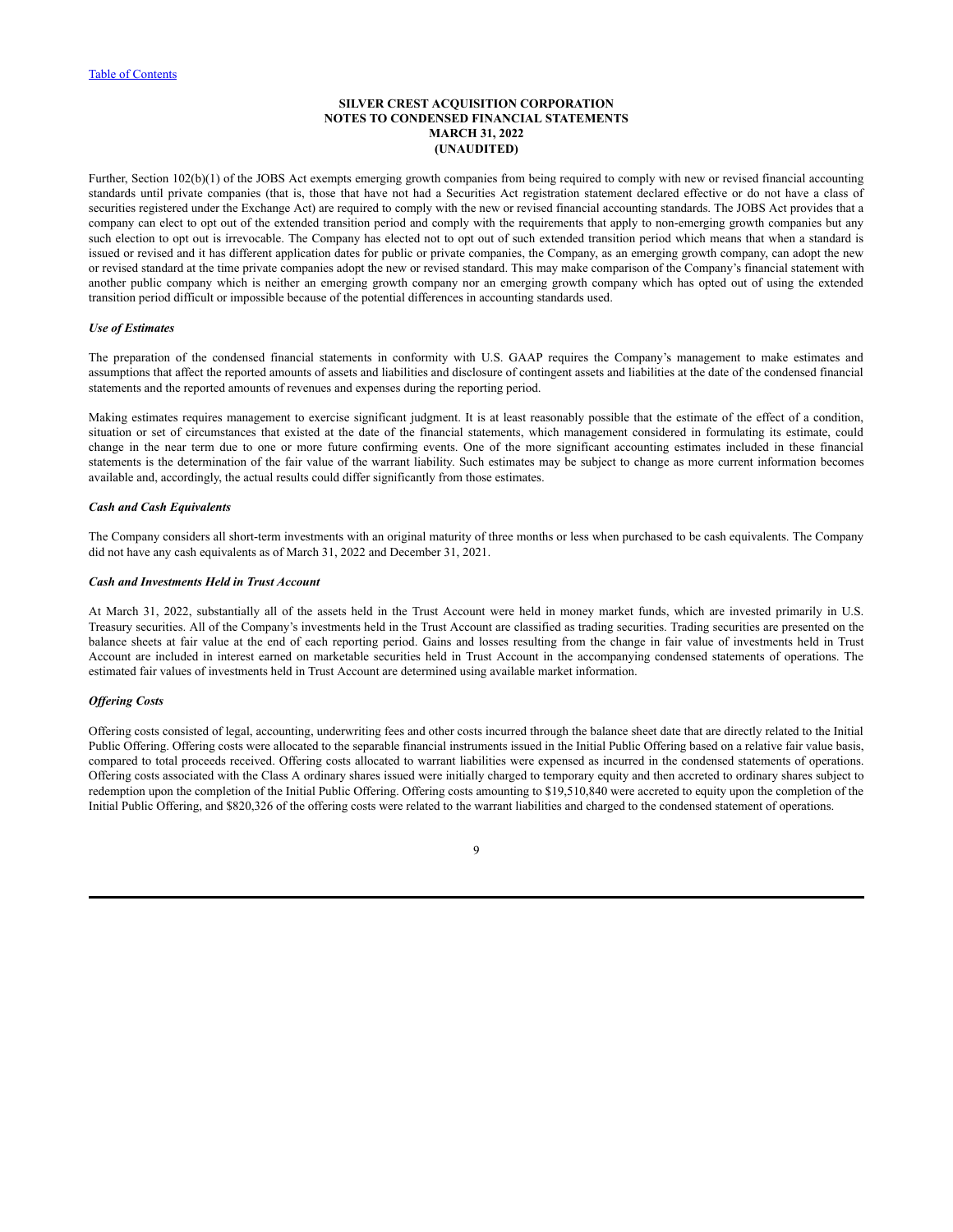Further, Section 102(b)(1) of the JOBS Act exempts emerging growth companies from being required to comply with new or revised financial accounting standards until private companies (that is, those that have not had a Securities Act registration statement declared effective or do not have a class of securities registered under the Exchange Act) are required to comply with the new or revised financial accounting standards. The JOBS Act provides that a company can elect to opt out of the extended transition period and comply with the requirements that apply to non-emerging growth companies but any such election to opt out is irrevocable. The Company has elected not to opt out of such extended transition period which means that when a standard is issued or revised and it has different application dates for public or private companies, the Company, as an emerging growth company, can adopt the new or revised standard at the time private companies adopt the new or revised standard. This may make comparison of the Company's financial statement with another public company which is neither an emerging growth company nor an emerging growth company which has opted out of using the extended transition period difficult or impossible because of the potential differences in accounting standards used.

#### *Use of Estimates*

The preparation of the condensed financial statements in conformity with U.S. GAAP requires the Company's management to make estimates and assumptions that affect the reported amounts of assets and liabilities and disclosure of contingent assets and liabilities at the date of the condensed financial statements and the reported amounts of revenues and expenses during the reporting period.

Making estimates requires management to exercise significant judgment. It is at least reasonably possible that the estimate of the effect of a condition, situation or set of circumstances that existed at the date of the financial statements, which management considered in formulating its estimate, could change in the near term due to one or more future confirming events. One of the more significant accounting estimates included in these financial statements is the determination of the fair value of the warrant liability. Such estimates may be subject to change as more current information becomes available and, accordingly, the actual results could differ significantly from those estimates.

#### *Cash and Cash Equivalents*

The Company considers all short-term investments with an original maturity of three months or less when purchased to be cash equivalents. The Company did not have any cash equivalents as of March 31, 2022 and December 31, 2021.

#### *Cash and Investments Held in Trust Account*

At March 31, 2022, substantially all of the assets held in the Trust Account were held in money market funds, which are invested primarily in U.S. Treasury securities. All of the Company's investments held in the Trust Account are classified as trading securities. Trading securities are presented on the balance sheets at fair value at the end of each reporting period. Gains and losses resulting from the change in fair value of investments held in Trust Account are included in interest earned on marketable securities held in Trust Account in the accompanying condensed statements of operations. The estimated fair values of investments held in Trust Account are determined using available market information.

# *Of ering Costs*

Offering costs consisted of legal, accounting, underwriting fees and other costs incurred through the balance sheet date that are directly related to the Initial Public Offering. Offering costs were allocated to the separable financial instruments issued in the Initial Public Offering based on a relative fair value basis, compared to total proceeds received. Offering costs allocated to warrant liabilities were expensed as incurred in the condensed statements of operations. Offering costs associated with the Class A ordinary shares issued were initially charged to temporary equity and then accreted to ordinary shares subject to redemption upon the completion of the Initial Public Offering. Offering costs amounting to \$19,510,840 were accreted to equity upon the completion of the Initial Public Offering, and \$820,326 of the offering costs were related to the warrant liabilities and charged to the condensed statement of operations.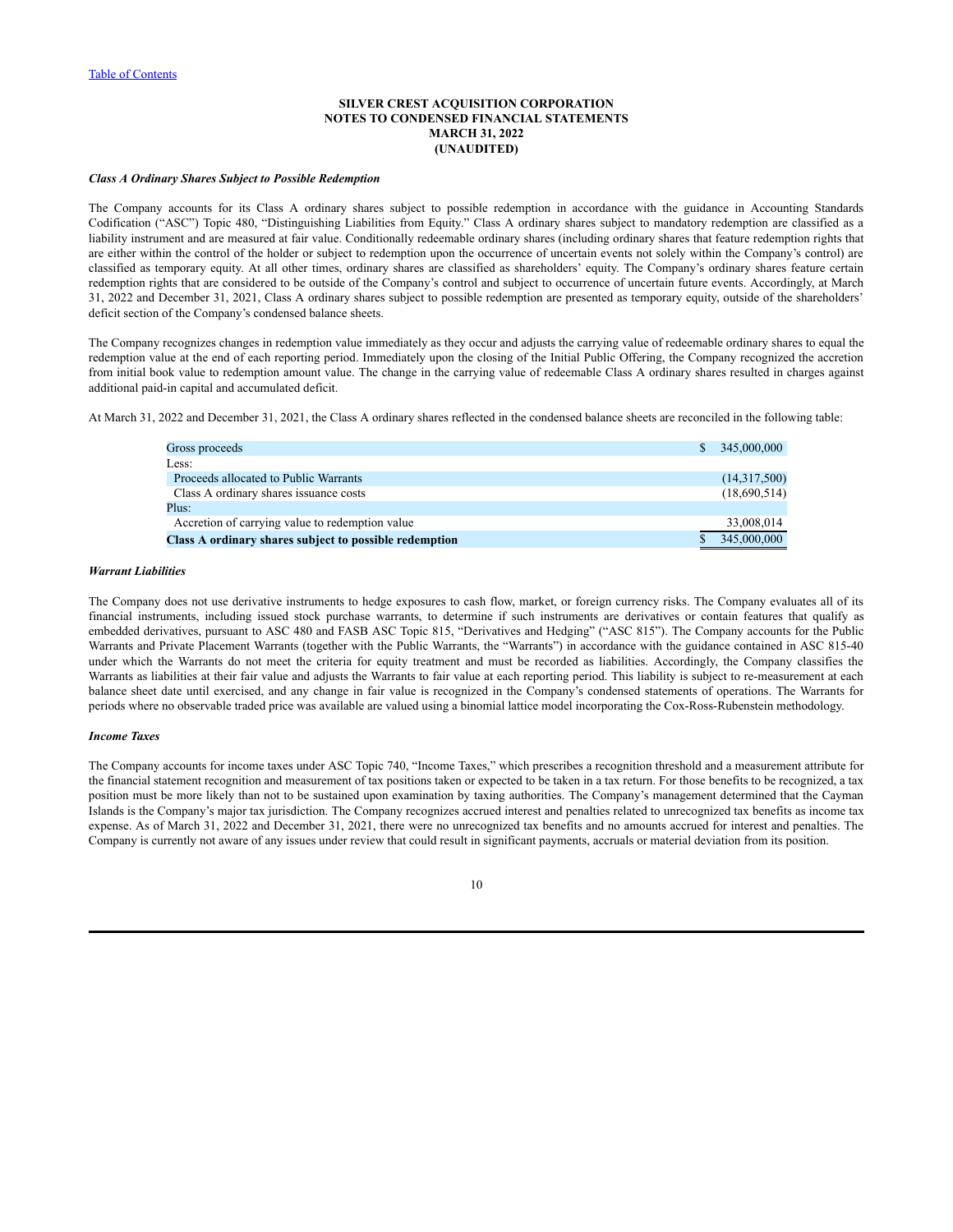#### *Class A Ordinary Shares Subject to Possible Redemption*

The Company accounts for its Class A ordinary shares subject to possible redemption in accordance with the guidance in Accounting Standards Codification ("ASC") Topic 480, "Distinguishing Liabilities from Equity." Class A ordinary shares subject to mandatory redemption are classified as a liability instrument and are measured at fair value. Conditionally redeemable ordinary shares (including ordinary shares that feature redemption rights that are either within the control of the holder or subject to redemption upon the occurrence of uncertain events not solely within the Company's control) are classified as temporary equity. At all other times, ordinary shares are classified as shareholders' equity. The Company's ordinary shares feature certain redemption rights that are considered to be outside of the Company's control and subject to occurrence of uncertain future events. Accordingly, at March 31, 2022 and December 31, 2021, Class A ordinary shares subject to possible redemption are presented as temporary equity, outside of the shareholders' deficit section of the Company's condensed balance sheets.

The Company recognizes changes in redemption value immediately as they occur and adjusts the carrying value of redeemable ordinary shares to equal the redemption value at the end of each reporting period. Immediately upon the closing of the Initial Public Offering, the Company recognized the accretion from initial book value to redemption amount value. The change in the carrying value of redeemable Class A ordinary shares resulted in charges against additional paid-in capital and accumulated deficit.

At March 31, 2022 and December 31, 2021, the Class A ordinary shares reflected in the condensed balance sheets are reconciled in the following table:

| Gross proceeds                                         | S. | 345,000,000  |
|--------------------------------------------------------|----|--------------|
| Less:                                                  |    |              |
| Proceeds allocated to Public Warrants                  |    | (14,317,500) |
| Class A ordinary shares issuance costs                 |    | (18,690,514) |
| Plus:                                                  |    |              |
| Accretion of carrying value to redemption value        |    | 33,008,014   |
| Class A ordinary shares subject to possible redemption |    | 345,000,000  |

#### *Warrant Liabilities*

The Company does not use derivative instruments to hedge exposures to cash flow, market, or foreign currency risks. The Company evaluates all of its financial instruments, including issued stock purchase warrants, to determine if such instruments are derivatives or contain features that qualify as embedded derivatives, pursuant to ASC 480 and FASB ASC Topic 815, "Derivatives and Hedging" ("ASC 815"). The Company accounts for the Public Warrants and Private Placement Warrants (together with the Public Warrants, the "Warrants") in accordance with the guidance contained in ASC 815-40 under which the Warrants do not meet the criteria for equity treatment and must be recorded as liabilities. Accordingly, the Company classifies the Warrants as liabilities at their fair value and adjusts the Warrants to fair value at each reporting period. This liability is subject to re-measurement at each balance sheet date until exercised, and any change in fair value is recognized in the Company's condensed statements of operations. The Warrants for periods where no observable traded price was available are valued using a binomial lattice model incorporating the Cox-Ross-Rubenstein methodology.

#### *Income Taxes*

The Company accounts for income taxes under ASC Topic 740, "Income Taxes," which prescribes a recognition threshold and a measurement attribute for the financial statement recognition and measurement of tax positions taken or expected to be taken in a tax return. For those benefits to be recognized, a tax position must be more likely than not to be sustained upon examination by taxing authorities. The Company's management determined that the Cayman Islands is the Company's major tax jurisdiction. The Company recognizes accrued interest and penalties related to unrecognized tax benefits as income tax expense. As of March 31, 2022 and December 31, 2021, there were no unrecognized tax benefits and no amounts accrued for interest and penalties. The Company is currently not aware of any issues under review that could result in significant payments, accruals or material deviation from its position.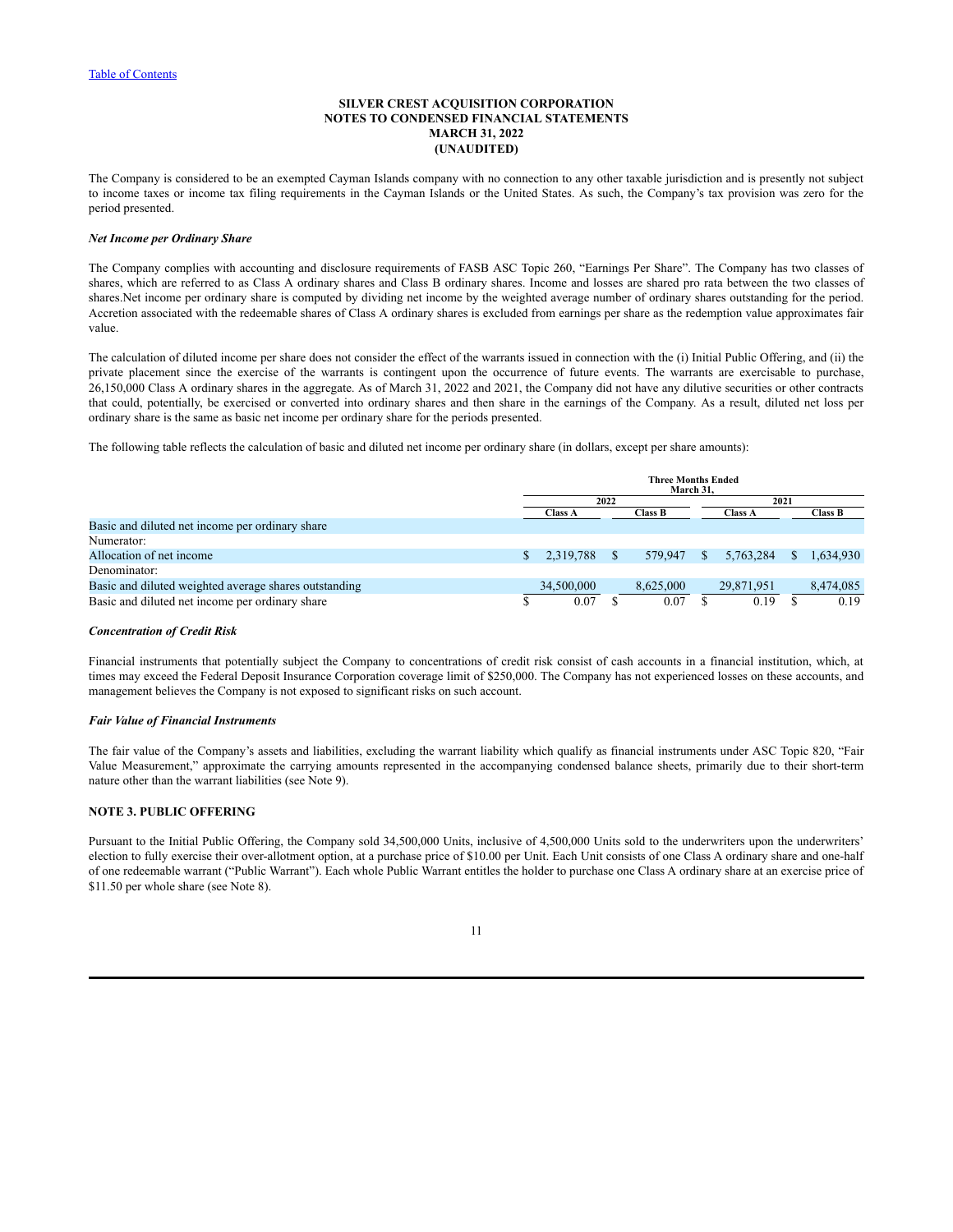The Company is considered to be an exempted Cayman Islands company with no connection to any other taxable jurisdiction and is presently not subject to income taxes or income tax filing requirements in the Cayman Islands or the United States. As such, the Company's tax provision was zero for the period presented.

### *Net Income per Ordinary Share*

The Company complies with accounting and disclosure requirements of FASB ASC Topic 260, "Earnings Per Share". The Company has two classes of shares, which are referred to as Class A ordinary shares and Class B ordinary shares. Income and losses are shared pro rata between the two classes of shares.Net income per ordinary share is computed by dividing net income by the weighted average number of ordinary shares outstanding for the period. Accretion associated with the redeemable shares of Class A ordinary shares is excluded from earnings per share as the redemption value approximates fair value.

The calculation of diluted income per share does not consider the effect of the warrants issued in connection with the (i) Initial Public Offering, and (ii) the private placement since the exercise of the warrants is contingent upon the occurrence of future events. The warrants are exercisable to purchase, 26,150,000 Class A ordinary shares in the aggregate. As of March 31, 2022 and 2021, the Company did not have any dilutive securities or other contracts that could, potentially, be exercised or converted into ordinary shares and then share in the earnings of the Company. As a result, diluted net loss per ordinary share is the same as basic net income per ordinary share for the periods presented.

The following table reflects the calculation of basic and diluted net income per ordinary share (in dollars, except per share amounts):

|                                                       | <b>Three Months Ended</b><br>March 31. |                |      |           |    |                |              |                |  |  |
|-------------------------------------------------------|----------------------------------------|----------------|------|-----------|----|----------------|--------------|----------------|--|--|
|                                                       |                                        |                | 2022 |           |    | 2021           |              |                |  |  |
|                                                       |                                        | <b>Class A</b> |      | Class B   |    | <b>Class A</b> |              | <b>Class B</b> |  |  |
| Basic and diluted net income per ordinary share       |                                        |                |      |           |    |                |              |                |  |  |
| Numerator:                                            |                                        |                |      |           |    |                |              |                |  |  |
| Allocation of net income                              |                                        | 2,319,788      |      | 579.947   | S. | 5.763.284      | <sup>S</sup> | 1,634,930      |  |  |
| Denominator:                                          |                                        |                |      |           |    |                |              |                |  |  |
| Basic and diluted weighted average shares outstanding |                                        | 34,500,000     |      | 8.625,000 |    | 29,871,951     |              | 8,474,085      |  |  |
| Basic and diluted net income per ordinary share       |                                        | 0.07           |      | 0.07      |    | 0.19           |              | 0.19           |  |  |

## *Concentration of Credit Risk*

Financial instruments that potentially subject the Company to concentrations of credit risk consist of cash accounts in a financial institution, which, at times may exceed the Federal Deposit Insurance Corporation coverage limit of \$250,000. The Company has not experienced losses on these accounts, and management believes the Company is not exposed to significant risks on such account.

#### *Fair Value of Financial Instruments*

The fair value of the Company's assets and liabilities, excluding the warrant liability which qualify as financial instruments under ASC Topic 820, "Fair Value Measurement," approximate the carrying amounts represented in the accompanying condensed balance sheets, primarily due to their short-term nature other than the warrant liabilities (see Note 9).

# **NOTE 3. PUBLIC OFFERING**

Pursuant to the Initial Public Offering, the Company sold 34,500,000 Units, inclusive of 4,500,000 Units sold to the underwriters upon the underwriters' election to fully exercise their over-allotment option, at a purchase price of \$10.00 per Unit. Each Unit consists of one Class A ordinary share and one-half of one redeemable warrant ("Public Warrant"). Each whole Public Warrant entitles the holder to purchase one Class A ordinary share at an exercise price of \$11.50 per whole share (see Note 8).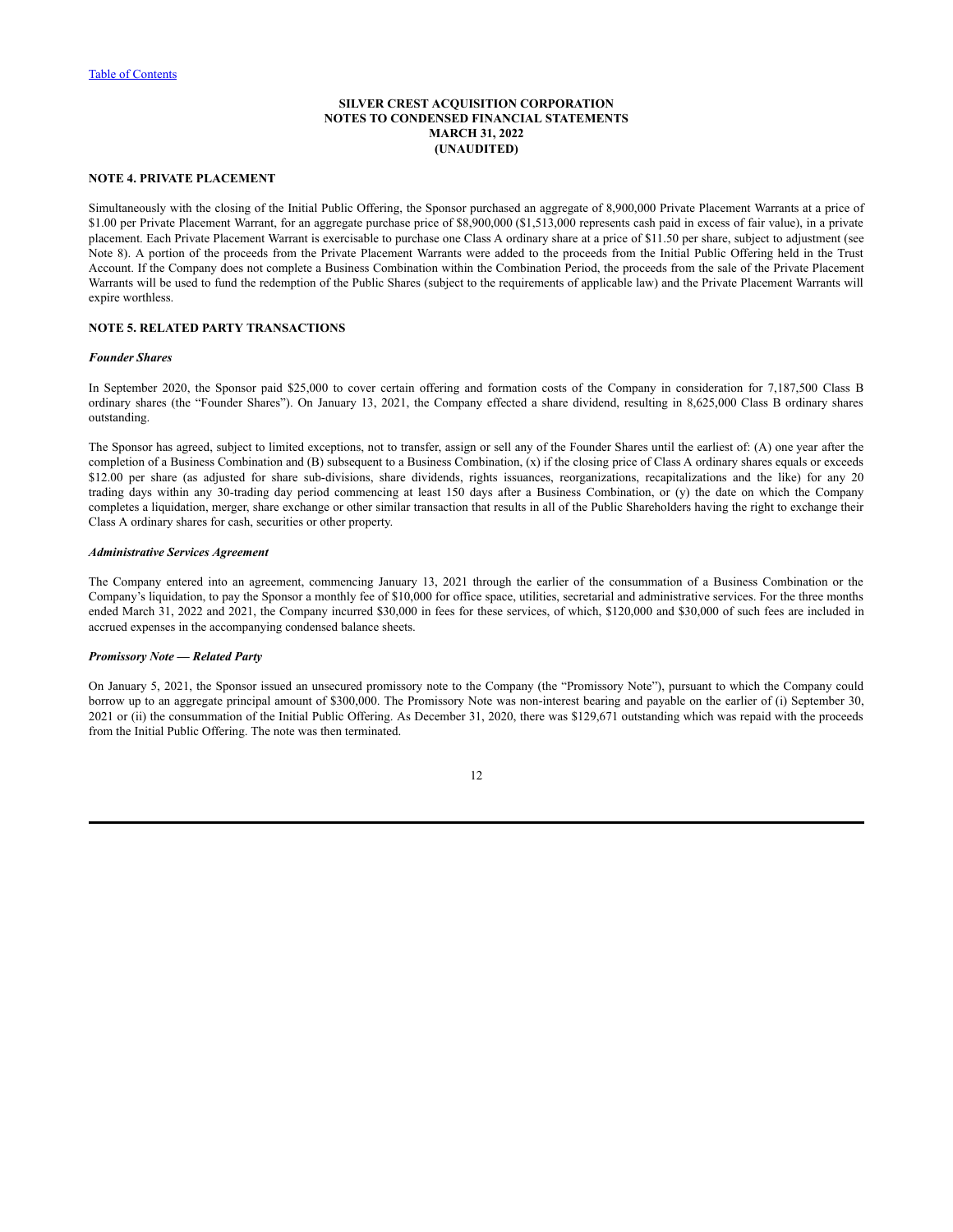# **NOTE 4. PRIVATE PLACEMENT**

Simultaneously with the closing of the Initial Public Offering, the Sponsor purchased an aggregate of 8,900,000 Private Placement Warrants at a price of \$1.00 per Private Placement Warrant, for an aggregate purchase price of \$8,900,000 (\$1,513,000 represents cash paid in excess of fair value), in a private placement. Each Private Placement Warrant is exercisable to purchase one Class A ordinary share at a price of \$11.50 per share, subject to adjustment (see Note 8). A portion of the proceeds from the Private Placement Warrants were added to the proceeds from the Initial Public Offering held in the Trust Account. If the Company does not complete a Business Combination within the Combination Period, the proceeds from the sale of the Private Placement Warrants will be used to fund the redemption of the Public Shares (subject to the requirements of applicable law) and the Private Placement Warrants will expire worthless.

#### **NOTE 5. RELATED PARTY TRANSACTIONS**

#### *Founder Shares*

In September 2020, the Sponsor paid \$25,000 to cover certain offering and formation costs of the Company in consideration for 7,187,500 Class B ordinary shares (the "Founder Shares"). On January 13, 2021, the Company effected a share dividend, resulting in 8,625,000 Class B ordinary shares outstanding.

The Sponsor has agreed, subject to limited exceptions, not to transfer, assign or sell any of the Founder Shares until the earliest of: (A) one year after the completion of a Business Combination and (B) subsequent to a Business Combination, (x) if the closing price of Class A ordinary shares equals or exceeds \$12.00 per share (as adjusted for share sub-divisions, share dividends, rights issuances, reorganizations, recapitalizations and the like) for any 20 trading days within any 30-trading day period commencing at least 150 days after a Business Combination, or (y) the date on which the Company completes a liquidation, merger, share exchange or other similar transaction that results in all of the Public Shareholders having the right to exchange their Class A ordinary shares for cash, securities or other property.

#### *Administrative Services Agreement*

The Company entered into an agreement, commencing January 13, 2021 through the earlier of the consummation of a Business Combination or the Company's liquidation, to pay the Sponsor a monthly fee of \$10,000 for office space, utilities, secretarial and administrative services. For the three months ended March 31, 2022 and 2021, the Company incurred \$30,000 in fees for these services, of which, \$120,000 and \$30,000 of such fees are included in accrued expenses in the accompanying condensed balance sheets.

### *Promissory Note — Related Party*

On January 5, 2021, the Sponsor issued an unsecured promissory note to the Company (the "Promissory Note"), pursuant to which the Company could borrow up to an aggregate principal amount of \$300,000. The Promissory Note was non-interest bearing and payable on the earlier of (i) September 30, 2021 or (ii) the consummation of the Initial Public Offering. As December 31, 2020, there was \$129,671 outstanding which was repaid with the proceeds from the Initial Public Offering. The note was then terminated.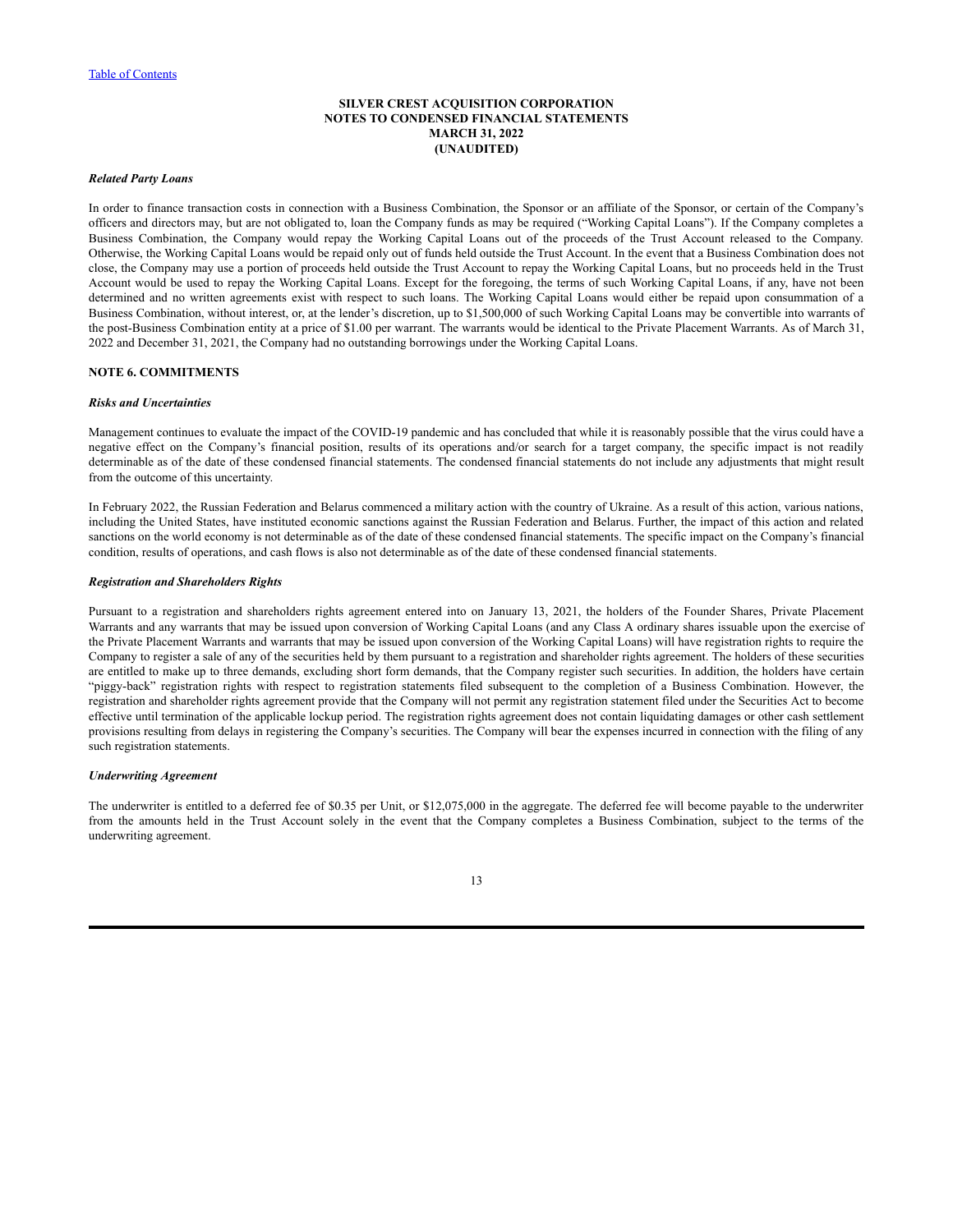#### *Related Party Loans*

In order to finance transaction costs in connection with a Business Combination, the Sponsor or an affiliate of the Sponsor, or certain of the Company's officers and directors may, but are not obligated to, loan the Company funds as may be required ("Working Capital Loans"). If the Company completes a Business Combination, the Company would repay the Working Capital Loans out of the proceeds of the Trust Account released to the Company. Otherwise, the Working Capital Loans would be repaid only out of funds held outside the Trust Account. In the event that a Business Combination does not close, the Company may use a portion of proceeds held outside the Trust Account to repay the Working Capital Loans, but no proceeds held in the Trust Account would be used to repay the Working Capital Loans. Except for the foregoing, the terms of such Working Capital Loans, if any, have not been determined and no written agreements exist with respect to such loans. The Working Capital Loans would either be repaid upon consummation of a Business Combination, without interest, or, at the lender's discretion, up to \$1,500,000 of such Working Capital Loans may be convertible into warrants of the post-Business Combination entity at a price of \$1.00 per warrant. The warrants would be identical to the Private Placement Warrants. As of March 31, 2022 and December 31, 2021, the Company had no outstanding borrowings under the Working Capital Loans.

#### **NOTE 6. COMMITMENTS**

# *Risks and Uncertainties*

Management continues to evaluate the impact of the COVID-19 pandemic and has concluded that while it is reasonably possible that the virus could have a negative effect on the Company's financial position, results of its operations and/or search for a target company, the specific impact is not readily determinable as of the date of these condensed financial statements. The condensed financial statements do not include any adjustments that might result from the outcome of this uncertainty.

In February 2022, the Russian Federation and Belarus commenced a military action with the country of Ukraine. As a result of this action, various nations, including the United States, have instituted economic sanctions against the Russian Federation and Belarus. Further, the impact of this action and related sanctions on the world economy is not determinable as of the date of these condensed financial statements. The specific impact on the Company's financial condition, results of operations, and cash flows is also not determinable as of the date of these condensed financial statements.

#### *Registration and Shareholders Rights*

Pursuant to a registration and shareholders rights agreement entered into on January 13, 2021, the holders of the Founder Shares, Private Placement Warrants and any warrants that may be issued upon conversion of Working Capital Loans (and any Class A ordinary shares issuable upon the exercise of the Private Placement Warrants and warrants that may be issued upon conversion of the Working Capital Loans) will have registration rights to require the Company to register a sale of any of the securities held by them pursuant to a registration and shareholder rights agreement. The holders of these securities are entitled to make up to three demands, excluding short form demands, that the Company register such securities. In addition, the holders have certain "piggy-back" registration rights with respect to registration statements filed subsequent to the completion of a Business Combination. However, the registration and shareholder rights agreement provide that the Company will not permit any registration statement filed under the Securities Act to become effective until termination of the applicable lockup period. The registration rights agreement does not contain liquidating damages or other cash settlement provisions resulting from delays in registering the Company's securities. The Company will bear the expenses incurred in connection with the filing of any such registration statements.

## *Underwriting Agreement*

The underwriter is entitled to a deferred fee of \$0.35 per Unit, or \$12,075,000 in the aggregate. The deferred fee will become payable to the underwriter from the amounts held in the Trust Account solely in the event that the Company completes a Business Combination, subject to the terms of the underwriting agreement.

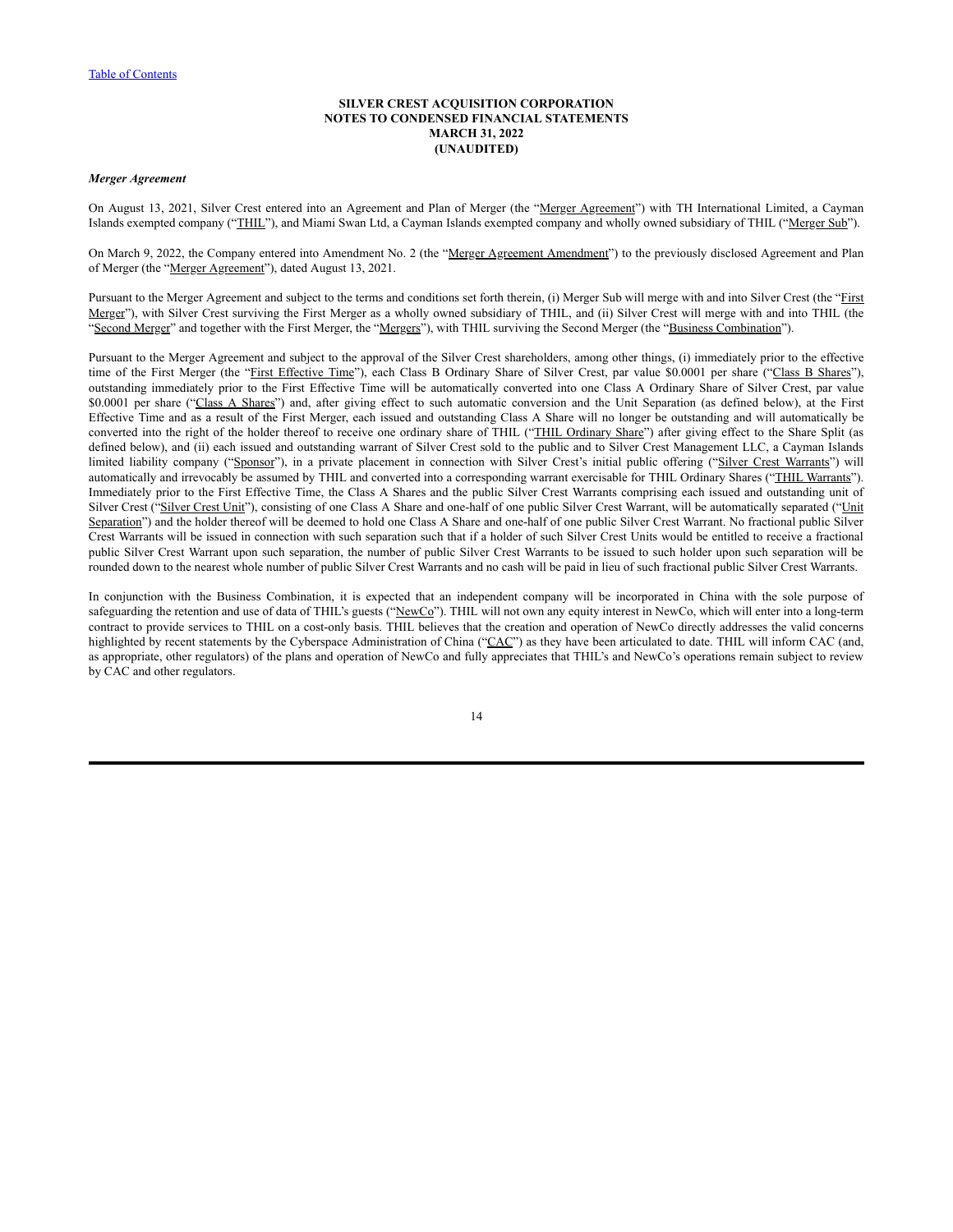#### *Merger Agreement*

On August 13, 2021, Silver Crest entered into an Agreement and Plan of Merger (the "Merger Agreement") with TH International Limited, a Cayman Islands exempted company ("THIL"), and Miami Swan Ltd, a Cayman Islands exempted company and wholly owned subsidiary of THIL ("Merger Sub").

On March 9, 2022, the Company entered into Amendment No. 2 (the "Merger Agreement Amendment") to the previously disclosed Agreement and Plan of Merger (the "Merger Agreement"), dated August 13, 2021.

Pursuant to the Merger Agreement and subject to the terms and conditions set forth therein, (i) Merger Sub will merge with and into Silver Crest (the "First Merger"), with Silver Crest surviving the First Merger as a wholly owned subsidiary of THIL, and (ii) Silver Crest will merge with and into THIL (the "Second Merger" and together with the First Merger, the "Mergers"), with THIL surviving the Second Merger (the "Business Combination").

Pursuant to the Merger Agreement and subject to the approval of the Silver Crest shareholders, among other things, (i) immediately prior to the effective time of the First Merger (the "First Effective Time"), each Class B Ordinary Share of Silver Crest, par value \$0.0001 per share ("Class B Shares"), outstanding immediately prior to the First Effective Time will be automatically converted into one Class A Ordinary Share of Silver Crest, par value \$0.0001 per share ("Class A Shares") and, after giving effect to such automatic conversion and the Unit Separation (as defined below), at the First Effective Time and as a result of the First Merger, each issued and outstanding Class A Share will no longer be outstanding and will automatically be converted into the right of the holder thereof to receive one ordinary share of THIL ("THIL Ordinary Share") after giving effect to the Share Split (as defined below), and (ii) each issued and outstanding warrant of Silver Crest sold to the public and to Silver Crest Management LLC, a Cayman Islands limited liability company ("Sponsor"), in a private placement in connection with Silver Crest's initial public offering ("Silver Crest Warrants") will automatically and irrevocably be assumed by THIL and converted into a corresponding warrant exercisable for THIL Ordinary Shares ("THIL Warrants"). Immediately prior to the First Effective Time, the Class A Shares and the public Silver Crest Warrants comprising each issued and outstanding unit of Silver Crest ("Silver Crest Unit"), consisting of one Class A Share and one-half of one public Silver Crest Warrant, will be automatically separated ("Unit Separation") and the holder thereof will be deemed to hold one Class A Share and one-half of one public Silver Crest Warrant. No fractional public Silver Crest Warrants will be issued in connection with such separation such that if a holder of such Silver Crest Units would be entitled to receive a fractional public Silver Crest Warrant upon such separation, the number of public Silver Crest Warrants to be issued to such holder upon such separation will be rounded down to the nearest whole number of public Silver Crest Warrants and no cash will be paid in lieu of such fractional public Silver Crest Warrants.

In conjunction with the Business Combination, it is expected that an independent company will be incorporated in China with the sole purpose of safeguarding the retention and use of data of THIL's guests ("NewCo"). THIL will not own any equity interest in NewCo, which will enter into a long-term contract to provide services to THIL on a cost-only basis. THIL believes that the creation and operation of NewCo directly addresses the valid concerns highlighted by recent statements by the Cyberspace Administration of China ("CAC") as they have been articulated to date. THIL will inform CAC (and, as appropriate, other regulators) of the plans and operation of NewCo and fully appreciates that THIL's and NewCo's operations remain subject to review by CAC and other regulators.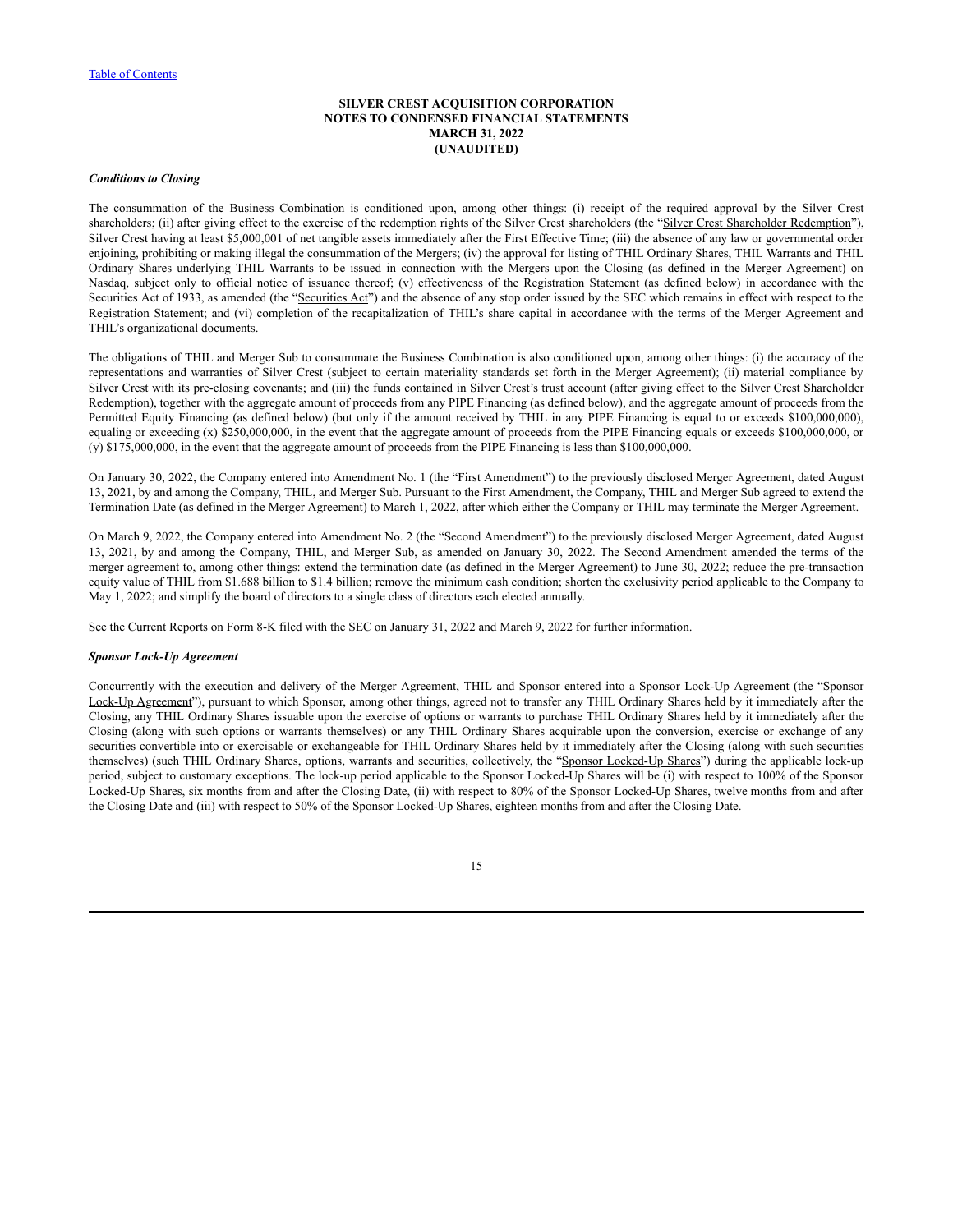#### *Conditions to Closing*

The consummation of the Business Combination is conditioned upon, among other things: (i) receipt of the required approval by the Silver Crest shareholders; (ii) after giving effect to the exercise of the redemption rights of the Silver Crest shareholders (the "Silver Crest Shareholder Redemption"), Silver Crest having at least \$5,000,001 of net tangible assets immediately after the First Effective Time; (iii) the absence of any law or governmental order enjoining, prohibiting or making illegal the consummation of the Mergers; (iv) the approval for listing of THIL Ordinary Shares, THIL Warrants and THIL Ordinary Shares underlying THIL Warrants to be issued in connection with the Mergers upon the Closing (as defined in the Merger Agreement) on Nasdaq, subject only to official notice of issuance thereof; (v) effectiveness of the Registration Statement (as defined below) in accordance with the Securities Act of 1933, as amended (the "Securities Act") and the absence of any stop order issued by the SEC which remains in effect with respect to the Registration Statement; and (vi) completion of the recapitalization of THIL's share capital in accordance with the terms of the Merger Agreement and THIL's organizational documents.

The obligations of THIL and Merger Sub to consummate the Business Combination is also conditioned upon, among other things: (i) the accuracy of the representations and warranties of Silver Crest (subject to certain materiality standards set forth in the Merger Agreement); (ii) material compliance by Silver Crest with its pre-closing covenants; and (iii) the funds contained in Silver Crest's trust account (after giving effect to the Silver Crest Shareholder Redemption), together with the aggregate amount of proceeds from any PIPE Financing (as defined below), and the aggregate amount of proceeds from the Permitted Equity Financing (as defined below) (but only if the amount received by THIL in any PIPE Financing is equal to or exceeds \$100,000,000), equaling or exceeding (x) \$250,000,000, in the event that the aggregate amount of proceeds from the PIPE Financing equals or exceeds \$100,000,000, or (y) \$175,000,000, in the event that the aggregate amount of proceeds from the PIPE Financing is less than \$100,000,000.

On January 30, 2022, the Company entered into Amendment No. 1 (the "First Amendment") to the previously disclosed Merger Agreement, dated August 13, 2021, by and among the Company, THIL, and Merger Sub. Pursuant to the First Amendment, the Company, THIL and Merger Sub agreed to extend the Termination Date (as defined in the Merger Agreement) to March 1, 2022, after which either the Company or THIL may terminate the Merger Agreement.

On March 9, 2022, the Company entered into Amendment No. 2 (the "Second Amendment") to the previously disclosed Merger Agreement, dated August 13, 2021, by and among the Company, THIL, and Merger Sub, as amended on January 30, 2022. The Second Amendment amended the terms of the merger agreement to, among other things: extend the termination date (as defined in the Merger Agreement) to June 30, 2022; reduce the pre-transaction equity value of THIL from \$1.688 billion to \$1.4 billion; remove the minimum cash condition; shorten the exclusivity period applicable to the Company to May 1, 2022; and simplify the board of directors to a single class of directors each elected annually.

See the Current Reports on Form 8-K filed with the SEC on January 31, 2022 and March 9, 2022 for further information.

## *Sponsor Lock-Up Agreement*

Concurrently with the execution and delivery of the Merger Agreement, THIL and Sponsor entered into a Sponsor Lock-Up Agreement (the "Sponsor Lock-Up Agreement"), pursuant to which Sponsor, among other things, agreed not to transfer any THIL Ordinary Shares held by it immediately after the Closing, any THIL Ordinary Shares issuable upon the exercise of options or warrants to purchase THIL Ordinary Shares held by it immediately after the Closing (along with such options or warrants themselves) or any THIL Ordinary Shares acquirable upon the conversion, exercise or exchange of any securities convertible into or exercisable or exchangeable for THIL Ordinary Shares held by it immediately after the Closing (along with such securities themselves) (such THIL Ordinary Shares, options, warrants and securities, collectively, the "Sponsor Locked-Up Shares") during the applicable lock-up period, subject to customary exceptions. The lock-up period applicable to the Sponsor Locked-Up Shares will be (i) with respect to 100% of the Sponsor Locked-Up Shares, six months from and after the Closing Date, (ii) with respect to 80% of the Sponsor Locked-Up Shares, twelve months from and after the Closing Date and (iii) with respect to 50% of the Sponsor Locked-Up Shares, eighteen months from and after the Closing Date.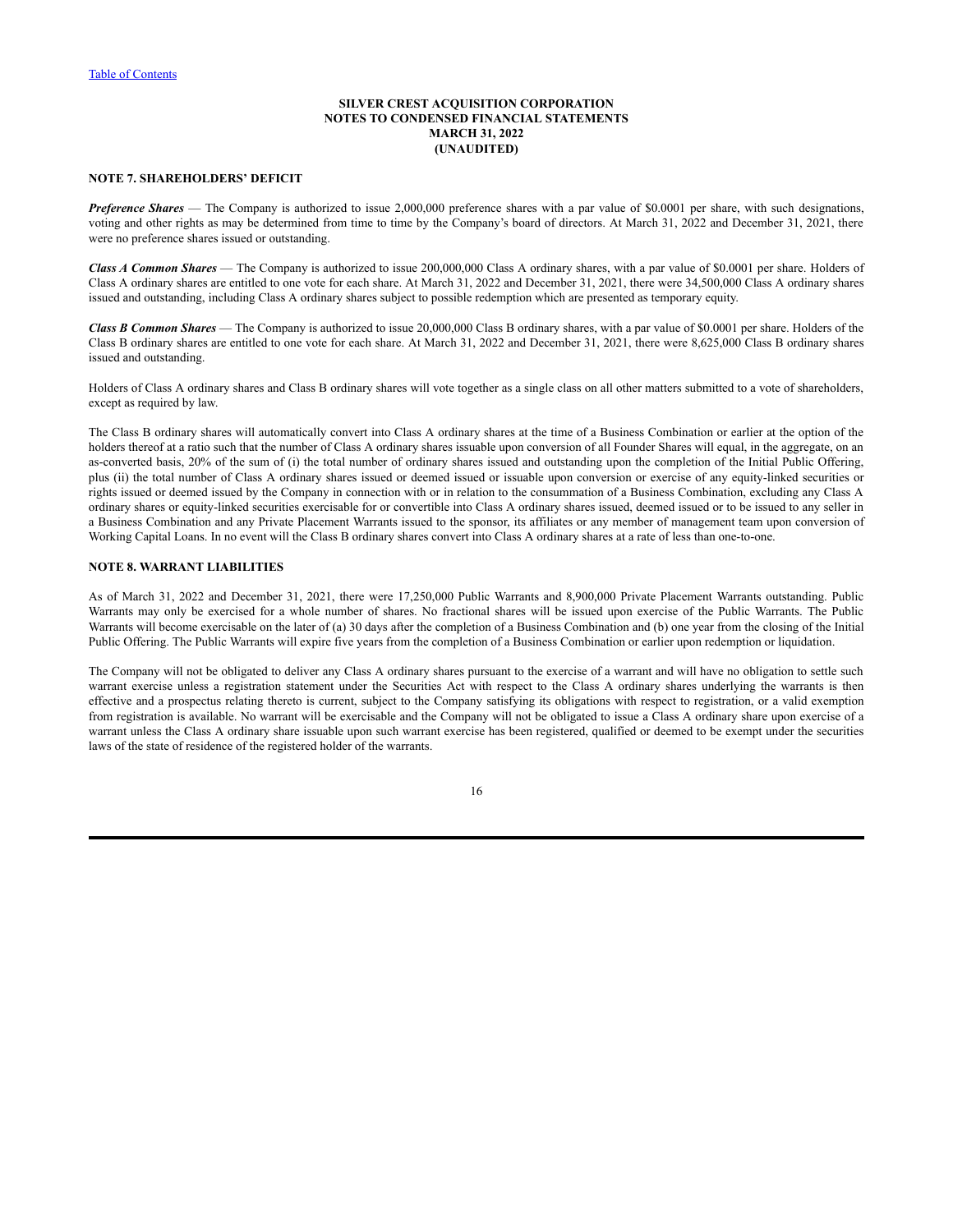# **NOTE 7. SHAREHOLDERS' DEFICIT**

**Preference Shares** — The Company is authorized to issue 2,000,000 preference shares with a par value of \$0.0001 per share, with such designations, voting and other rights as may be determined from time to time by the Company's board of directors. At March 31, 2022 and December 31, 2021, there were no preference shares issued or outstanding.

*Class A Common Shares* — The Company is authorized to issue 200,000,000 Class A ordinary shares, with a par value of \$0.0001 per share. Holders of Class A ordinary shares are entitled to one vote for each share. At March 31, 2022 and December 31, 2021, there were 34,500,000 Class A ordinary shares issued and outstanding, including Class A ordinary shares subject to possible redemption which are presented as temporary equity.

*Class B Common Shares* — The Company is authorized to issue 20,000,000 Class B ordinary shares, with a par value of \$0.0001 per share. Holders of the Class B ordinary shares are entitled to one vote for each share. At March 31, 2022 and December 31, 2021, there were 8,625,000 Class B ordinary shares issued and outstanding.

Holders of Class A ordinary shares and Class B ordinary shares will vote together as a single class on all other matters submitted to a vote of shareholders, except as required by law.

The Class B ordinary shares will automatically convert into Class A ordinary shares at the time of a Business Combination or earlier at the option of the holders thereof at a ratio such that the number of Class A ordinary shares issuable upon conversion of all Founder Shares will equal, in the aggregate, on an as-converted basis, 20% of the sum of (i) the total number of ordinary shares issued and outstanding upon the completion of the Initial Public Offering, plus (ii) the total number of Class A ordinary shares issued or deemed issued or issuable upon conversion or exercise of any equity-linked securities or rights issued or deemed issued by the Company in connection with or in relation to the consummation of a Business Combination, excluding any Class A ordinary shares or equity-linked securities exercisable for or convertible into Class A ordinary shares issued, deemed issued or to be issued to any seller in a Business Combination and any Private Placement Warrants issued to the sponsor, its affiliates or any member of management team upon conversion of Working Capital Loans. In no event will the Class B ordinary shares convert into Class A ordinary shares at a rate of less than one-to-one.

## **NOTE 8. WARRANT LIABILITIES**

As of March 31, 2022 and December 31, 2021, there were 17,250,000 Public Warrants and 8,900,000 Private Placement Warrants outstanding. Public Warrants may only be exercised for a whole number of shares. No fractional shares will be issued upon exercise of the Public Warrants. The Public Warrants will become exercisable on the later of (a) 30 days after the completion of a Business Combination and (b) one year from the closing of the Initial Public Offering. The Public Warrants will expire five years from the completion of a Business Combination or earlier upon redemption or liquidation.

The Company will not be obligated to deliver any Class A ordinary shares pursuant to the exercise of a warrant and will have no obligation to settle such warrant exercise unless a registration statement under the Securities Act with respect to the Class A ordinary shares underlying the warrants is then effective and a prospectus relating thereto is current, subject to the Company satisfying its obligations with respect to registration, or a valid exemption from registration is available. No warrant will be exercisable and the Company will not be obligated to issue a Class A ordinary share upon exercise of a warrant unless the Class A ordinary share issuable upon such warrant exercise has been registered, qualified or deemed to be exempt under the securities laws of the state of residence of the registered holder of the warrants.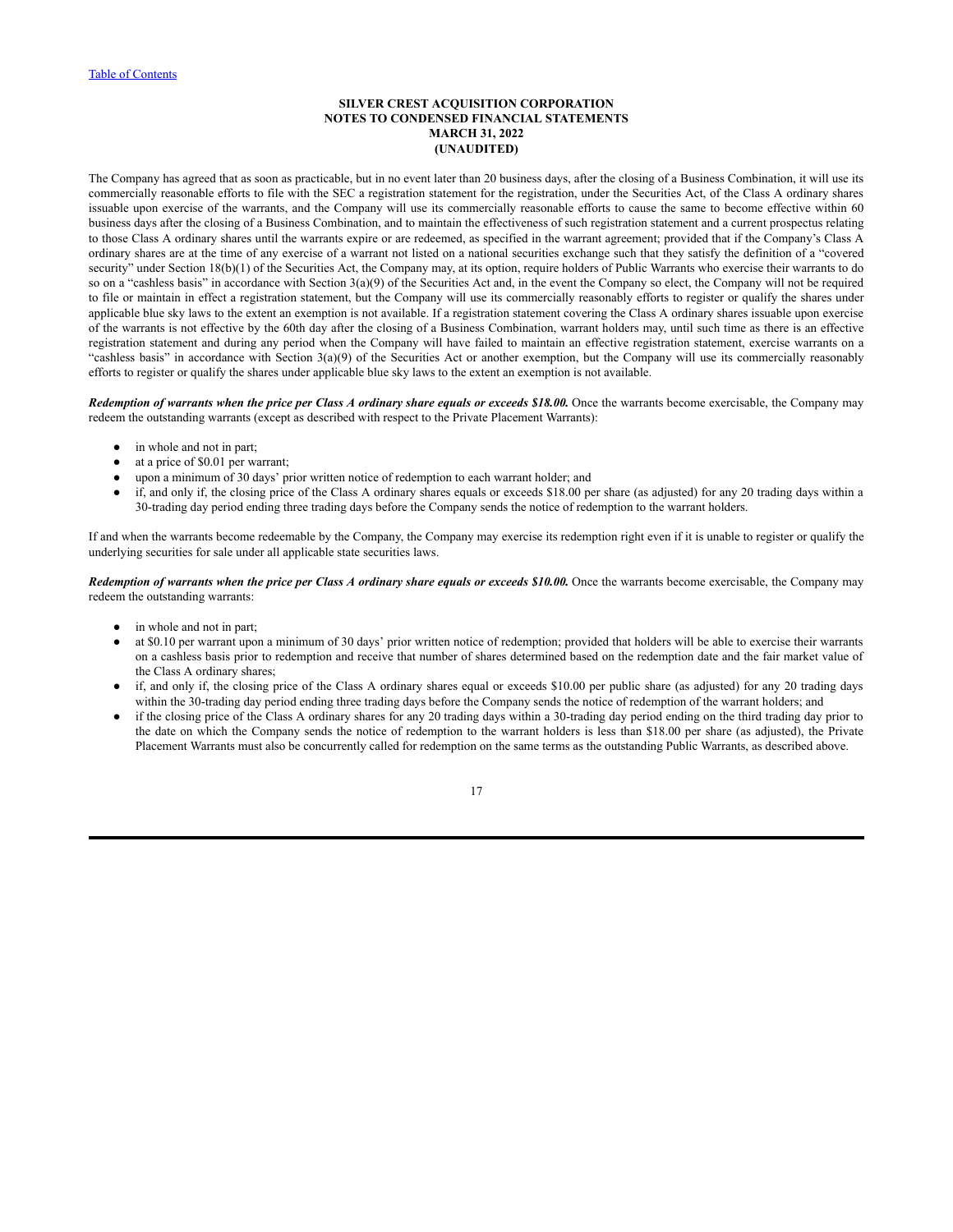The Company has agreed that as soon as practicable, but in no event later than 20 business days, after the closing of a Business Combination, it will use its commercially reasonable efforts to file with the SEC a registration statement for the registration, under the Securities Act, of the Class A ordinary shares issuable upon exercise of the warrants, and the Company will use its commercially reasonable efforts to cause the same to become effective within 60 business days after the closing of a Business Combination, and to maintain the effectiveness of such registration statement and a current prospectus relating to those Class A ordinary shares until the warrants expire or are redeemed, as specified in the warrant agreement; provided that if the Company's Class A ordinary shares are at the time of any exercise of a warrant not listed on a national securities exchange such that they satisfy the definition of a "covered security" under Section 18(b)(1) of the Securities Act, the Company may, at its option, require holders of Public Warrants who exercise their warrants to do so on a "cashless basis" in accordance with Section 3(a)(9) of the Securities Act and, in the event the Company so elect, the Company will not be required to file or maintain in effect a registration statement, but the Company will use its commercially reasonably efforts to register or qualify the shares under applicable blue sky laws to the extent an exemption is not available. If a registration statement covering the Class A ordinary shares issuable upon exercise of the warrants is not effective by the 60th day after the closing of a Business Combination, warrant holders may, until such time as there is an effective registration statement and during any period when the Company will have failed to maintain an effective registration statement, exercise warrants on a "cashless basis" in accordance with Section 3(a)(9) of the Securities Act or another exemption, but the Company will use its commercially reasonably efforts to register or qualify the shares under applicable blue sky laws to the extent an exemption is not available.

Redemption of warrants when the price per Class A ordinary share equals or exceeds \$18.00. Once the warrants become exercisable, the Company may redeem the outstanding warrants (except as described with respect to the Private Placement Warrants):

- in whole and not in part;
- at a price of \$0.01 per warrant;
- upon a minimum of 30 days' prior written notice of redemption to each warrant holder; and
- if, and only if, the closing price of the Class A ordinary shares equals or exceeds \$18.00 per share (as adjusted) for any 20 trading days within a 30-trading day period ending three trading days before the Company sends the notice of redemption to the warrant holders.

If and when the warrants become redeemable by the Company, the Company may exercise its redemption right even if it is unable to register or qualify the underlying securities for sale under all applicable state securities laws.

Redemption of warrants when the price per Class A ordinary share equals or exceeds \$10.00. Once the warrants become exercisable, the Company may redeem the outstanding warrants:

- in whole and not in part;
- at \$0.10 per warrant upon a minimum of 30 days' prior written notice of redemption; provided that holders will be able to exercise their warrants on a cashless basis prior to redemption and receive that number of shares determined based on the redemption date and the fair market value of the Class A ordinary shares;
- if, and only if, the closing price of the Class A ordinary shares equal or exceeds \$10.00 per public share (as adjusted) for any 20 trading days within the 30-trading day period ending three trading days before the Company sends the notice of redemption of the warrant holders; and
- if the closing price of the Class A ordinary shares for any 20 trading days within a 30-trading day period ending on the third trading day prior to the date on which the Company sends the notice of redemption to the warrant holders is less than \$18.00 per share (as adjusted), the Private Placement Warrants must also be concurrently called for redemption on the same terms as the outstanding Public Warrants, as described above.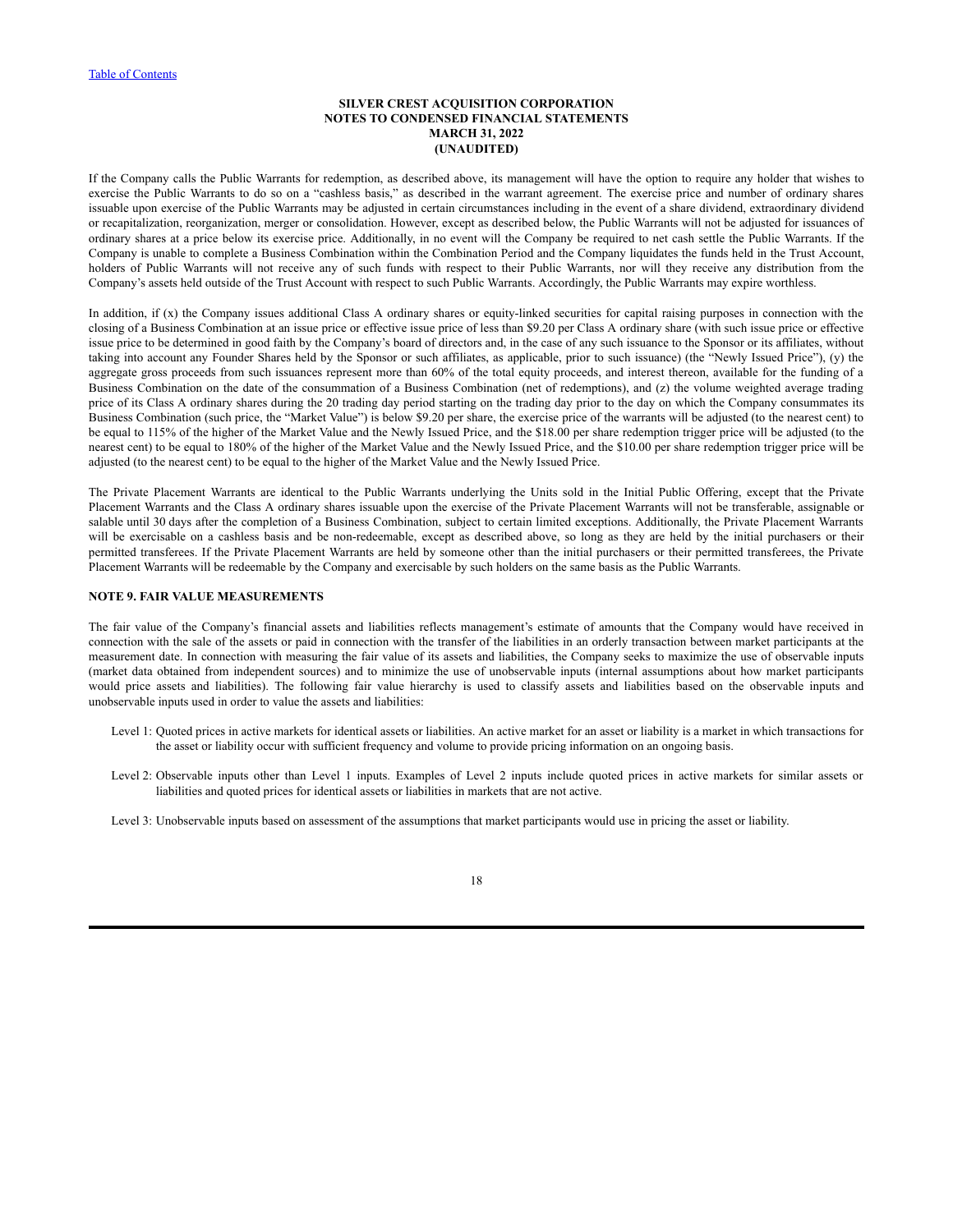If the Company calls the Public Warrants for redemption, as described above, its management will have the option to require any holder that wishes to exercise the Public Warrants to do so on a "cashless basis," as described in the warrant agreement. The exercise price and number of ordinary shares issuable upon exercise of the Public Warrants may be adjusted in certain circumstances including in the event of a share dividend, extraordinary dividend or recapitalization, reorganization, merger or consolidation. However, except as described below, the Public Warrants will not be adjusted for issuances of ordinary shares at a price below its exercise price. Additionally, in no event will the Company be required to net cash settle the Public Warrants. If the Company is unable to complete a Business Combination within the Combination Period and the Company liquidates the funds held in the Trust Account, holders of Public Warrants will not receive any of such funds with respect to their Public Warrants, nor will they receive any distribution from the Company's assets held outside of the Trust Account with respect to such Public Warrants. Accordingly, the Public Warrants may expire worthless.

In addition, if (x) the Company issues additional Class A ordinary shares or equity-linked securities for capital raising purposes in connection with the closing of a Business Combination at an issue price or effective issue price of less than \$9.20 per Class A ordinary share (with such issue price or effective issue price to be determined in good faith by the Company's board of directors and, in the case of any such issuance to the Sponsor or its affiliates, without taking into account any Founder Shares held by the Sponsor or such affiliates, as applicable, prior to such issuance) (the "Newly Issued Price"), (y) the aggregate gross proceeds from such issuances represent more than 60% of the total equity proceeds, and interest thereon, available for the funding of a Business Combination on the date of the consummation of a Business Combination (net of redemptions), and (z) the volume weighted average trading price of its Class A ordinary shares during the 20 trading day period starting on the trading day prior to the day on which the Company consummates its Business Combination (such price, the "Market Value") is below \$9.20 per share, the exercise price of the warrants will be adjusted (to the nearest cent) to be equal to 115% of the higher of the Market Value and the Newly Issued Price, and the \$18.00 per share redemption trigger price will be adjusted (to the nearest cent) to be equal to 180% of the higher of the Market Value and the Newly Issued Price, and the \$10.00 per share redemption trigger price will be adjusted (to the nearest cent) to be equal to the higher of the Market Value and the Newly Issued Price.

The Private Placement Warrants are identical to the Public Warrants underlying the Units sold in the Initial Public Offering, except that the Private Placement Warrants and the Class A ordinary shares issuable upon the exercise of the Private Placement Warrants will not be transferable, assignable or salable until 30 days after the completion of a Business Combination, subject to certain limited exceptions. Additionally, the Private Placement Warrants will be exercisable on a cashless basis and be non-redeemable, except as described above, so long as they are held by the initial purchasers or their permitted transferees. If the Private Placement Warrants are held by someone other than the initial purchasers or their permitted transferees, the Private Placement Warrants will be redeemable by the Company and exercisable by such holders on the same basis as the Public Warrants.

# **NOTE 9. FAIR VALUE MEASUREMENTS**

The fair value of the Company's financial assets and liabilities reflects management's estimate of amounts that the Company would have received in connection with the sale of the assets or paid in connection with the transfer of the liabilities in an orderly transaction between market participants at the measurement date. In connection with measuring the fair value of its assets and liabilities, the Company seeks to maximize the use of observable inputs (market data obtained from independent sources) and to minimize the use of unobservable inputs (internal assumptions about how market participants would price assets and liabilities). The following fair value hierarchy is used to classify assets and liabilities based on the observable inputs and unobservable inputs used in order to value the assets and liabilities:

- Level 1: Quoted prices in active markets for identical assets or liabilities. An active market for an asset or liability is a market in which transactions for the asset or liability occur with sufficient frequency and volume to provide pricing information on an ongoing basis.
- Level 2: Observable inputs other than Level 1 inputs. Examples of Level 2 inputs include quoted prices in active markets for similar assets or liabilities and quoted prices for identical assets or liabilities in markets that are not active.

Level 3: Unobservable inputs based on assessment of the assumptions that market participants would use in pricing the asset or liability.

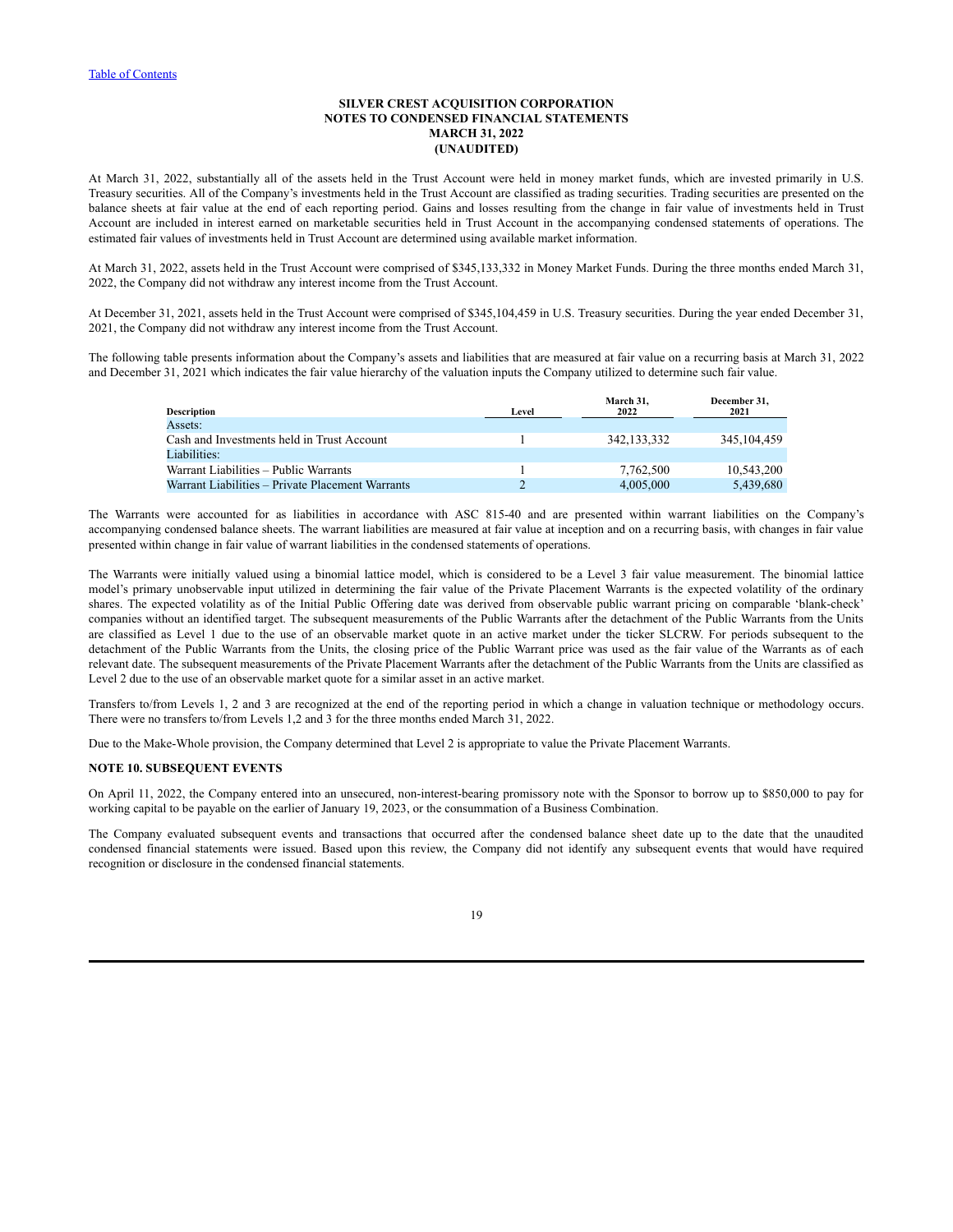At March 31, 2022, substantially all of the assets held in the Trust Account were held in money market funds, which are invested primarily in U.S. Treasury securities. All of the Company's investments held in the Trust Account are classified as trading securities. Trading securities are presented on the balance sheets at fair value at the end of each reporting period. Gains and losses resulting from the change in fair value of investments held in Trust Account are included in interest earned on marketable securities held in Trust Account in the accompanying condensed statements of operations. The estimated fair values of investments held in Trust Account are determined using available market information.

At March 31, 2022, assets held in the Trust Account were comprised of \$345,133,332 in Money Market Funds. During the three months ended March 31, 2022, the Company did not withdraw any interest income from the Trust Account.

At December 31, 2021, assets held in the Trust Account were comprised of \$345,104,459 in U.S. Treasury securities. During the year ended December 31, 2021, the Company did not withdraw any interest income from the Trust Account.

The following table presents information about the Company's assets and liabilities that are measured at fair value on a recurring basis at March 31, 2022 and December 31, 2021 which indicates the fair value hierarchy of the valuation inputs the Company utilized to determine such fair value.

| <b>Description</b>                               | Level | March 31.<br>2022 | December 31.<br>2021 |
|--------------------------------------------------|-------|-------------------|----------------------|
| Assets:                                          |       |                   |                      |
| Cash and Investments held in Trust Account       |       | 342, 133, 332     | 345.104.459          |
| Liabilities:                                     |       |                   |                      |
| Warrant Liabilities – Public Warrants            |       | 7,762,500         | 10,543,200           |
| Warrant Liabilities – Private Placement Warrants |       | 4.005.000         | 5.439.680            |

The Warrants were accounted for as liabilities in accordance with ASC 815-40 and are presented within warrant liabilities on the Company's accompanying condensed balance sheets. The warrant liabilities are measured at fair value at inception and on a recurring basis, with changes in fair value presented within change in fair value of warrant liabilities in the condensed statements of operations.

The Warrants were initially valued using a binomial lattice model, which is considered to be a Level 3 fair value measurement. The binomial lattice model's primary unobservable input utilized in determining the fair value of the Private Placement Warrants is the expected volatility of the ordinary shares. The expected volatility as of the Initial Public Offering date was derived from observable public warrant pricing on comparable 'blank-check' companies without an identified target. The subsequent measurements of the Public Warrants after the detachment of the Public Warrants from the Units are classified as Level 1 due to the use of an observable market quote in an active market under the ticker SLCRW. For periods subsequent to the detachment of the Public Warrants from the Units, the closing price of the Public Warrant price was used as the fair value of the Warrants as of each relevant date. The subsequent measurements of the Private Placement Warrants after the detachment of the Public Warrants from the Units are classified as Level 2 due to the use of an observable market quote for a similar asset in an active market.

Transfers to/from Levels 1, 2 and 3 are recognized at the end of the reporting period in which a change in valuation technique or methodology occurs. There were no transfers to/from Levels 1,2 and 3 for the three months ended March 31, 2022.

Due to the Make-Whole provision, the Company determined that Level 2 is appropriate to value the Private Placement Warrants.

# **NOTE 10. SUBSEQUENT EVENTS**

On April 11, 2022, the Company entered into an unsecured, non-interest-bearing promissory note with the Sponsor to borrow up to \$850,000 to pay for working capital to be payable on the earlier of January 19, 2023, or the consummation of a Business Combination.

The Company evaluated subsequent events and transactions that occurred after the condensed balance sheet date up to the date that the unaudited condensed financial statements were issued. Based upon this review, the Company did not identify any subsequent events that would have required recognition or disclosure in the condensed financial statements.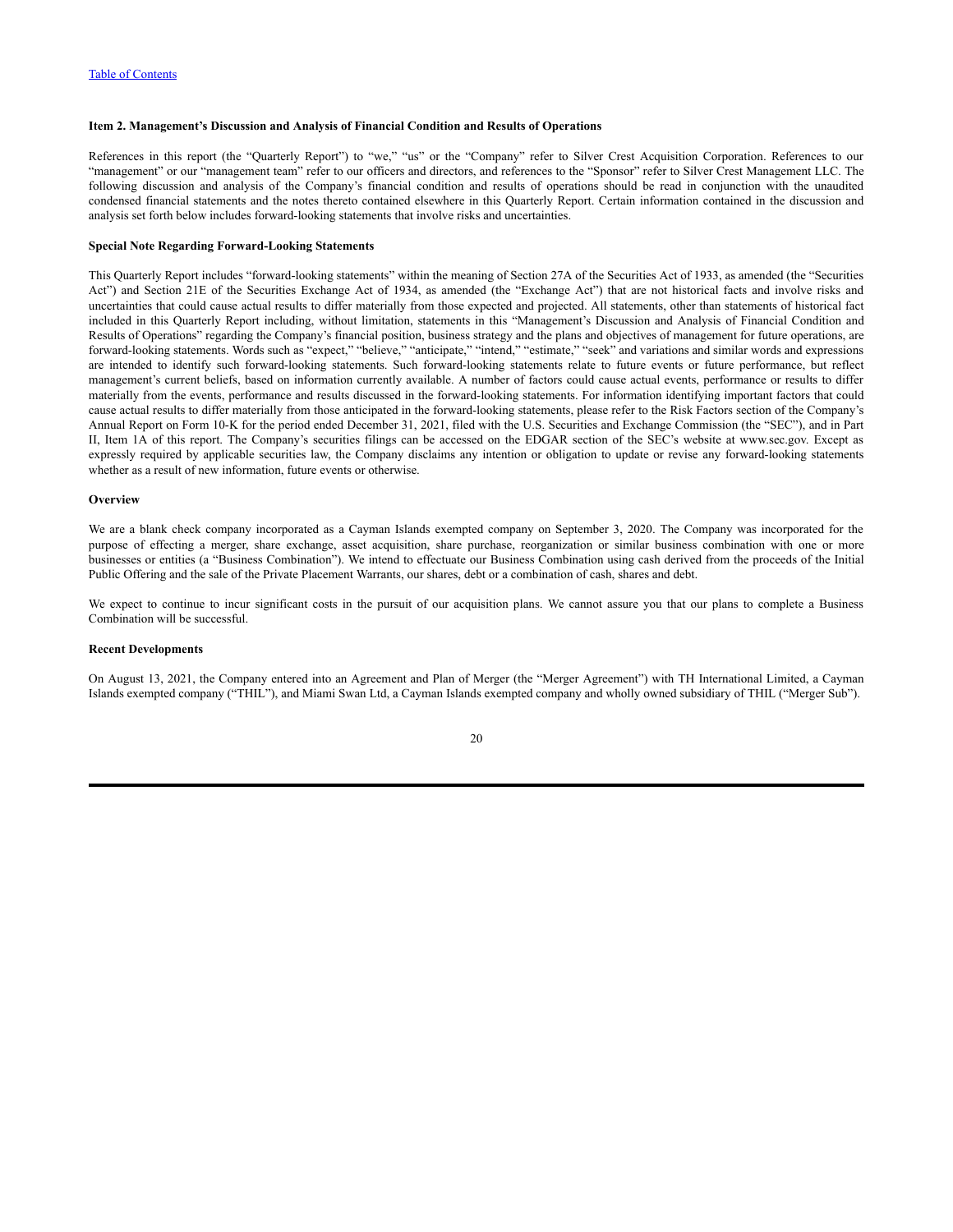## <span id="page-21-0"></span>**Item 2. Management's Discussion and Analysis of Financial Condition and Results of Operations**

References in this report (the "Quarterly Report") to "we," "us" or the "Company" refer to Silver Crest Acquisition Corporation. References to our "management" or our "management team" refer to our officers and directors, and references to the "Sponsor" refer to Silver Crest Management LLC. The following discussion and analysis of the Company's financial condition and results of operations should be read in conjunction with the unaudited condensed financial statements and the notes thereto contained elsewhere in this Quarterly Report. Certain information contained in the discussion and analysis set forth below includes forward-looking statements that involve risks and uncertainties.

# **Special Note Regarding Forward-Looking Statements**

This Quarterly Report includes "forward-looking statements" within the meaning of Section 27A of the Securities Act of 1933, as amended (the "Securities Act") and Section 21E of the Securities Exchange Act of 1934, as amended (the "Exchange Act") that are not historical facts and involve risks and uncertainties that could cause actual results to differ materially from those expected and projected. All statements, other than statements of historical fact included in this Quarterly Report including, without limitation, statements in this "Management's Discussion and Analysis of Financial Condition and Results of Operations" regarding the Company's financial position, business strategy and the plans and objectives of management for future operations, are forward-looking statements. Words such as "expect," "believe," "anticipate," "intend," "estimate," "seek" and variations and similar words and expressions are intended to identify such forward-looking statements. Such forward-looking statements relate to future events or future performance, but reflect management's current beliefs, based on information currently available. A number of factors could cause actual events, performance or results to differ materially from the events, performance and results discussed in the forward-looking statements. For information identifying important factors that could cause actual results to differ materially from those anticipated in the forward-looking statements, please refer to the Risk Factors section of the Company's Annual Report on Form 10-K for the period ended December 31, 2021, filed with the U.S. Securities and Exchange Commission (the "SEC"), and in Part II, Item 1A of this report. The Company's securities filings can be accessed on the EDGAR section of the SEC's website at www.sec.gov. Except as expressly required by applicable securities law, the Company disclaims any intention or obligation to update or revise any forward-looking statements whether as a result of new information, future events or otherwise.

#### **Overview**

We are a blank check company incorporated as a Cayman Islands exempted company on September 3, 2020. The Company was incorporated for the purpose of effecting a merger, share exchange, asset acquisition, share purchase, reorganization or similar business combination with one or more businesses or entities (a "Business Combination"). We intend to effectuate our Business Combination using cash derived from the proceeds of the Initial Public Offering and the sale of the Private Placement Warrants, our shares, debt or a combination of cash, shares and debt.

We expect to continue to incur significant costs in the pursuit of our acquisition plans. We cannot assure you that our plans to complete a Business Combination will be successful.

#### **Recent Developments**

On August 13, 2021, the Company entered into an Agreement and Plan of Merger (the "Merger Agreement") with TH International Limited, a Cayman Islands exempted company ("THIL"), and Miami Swan Ltd, a Cayman Islands exempted company and wholly owned subsidiary of THIL ("Merger Sub").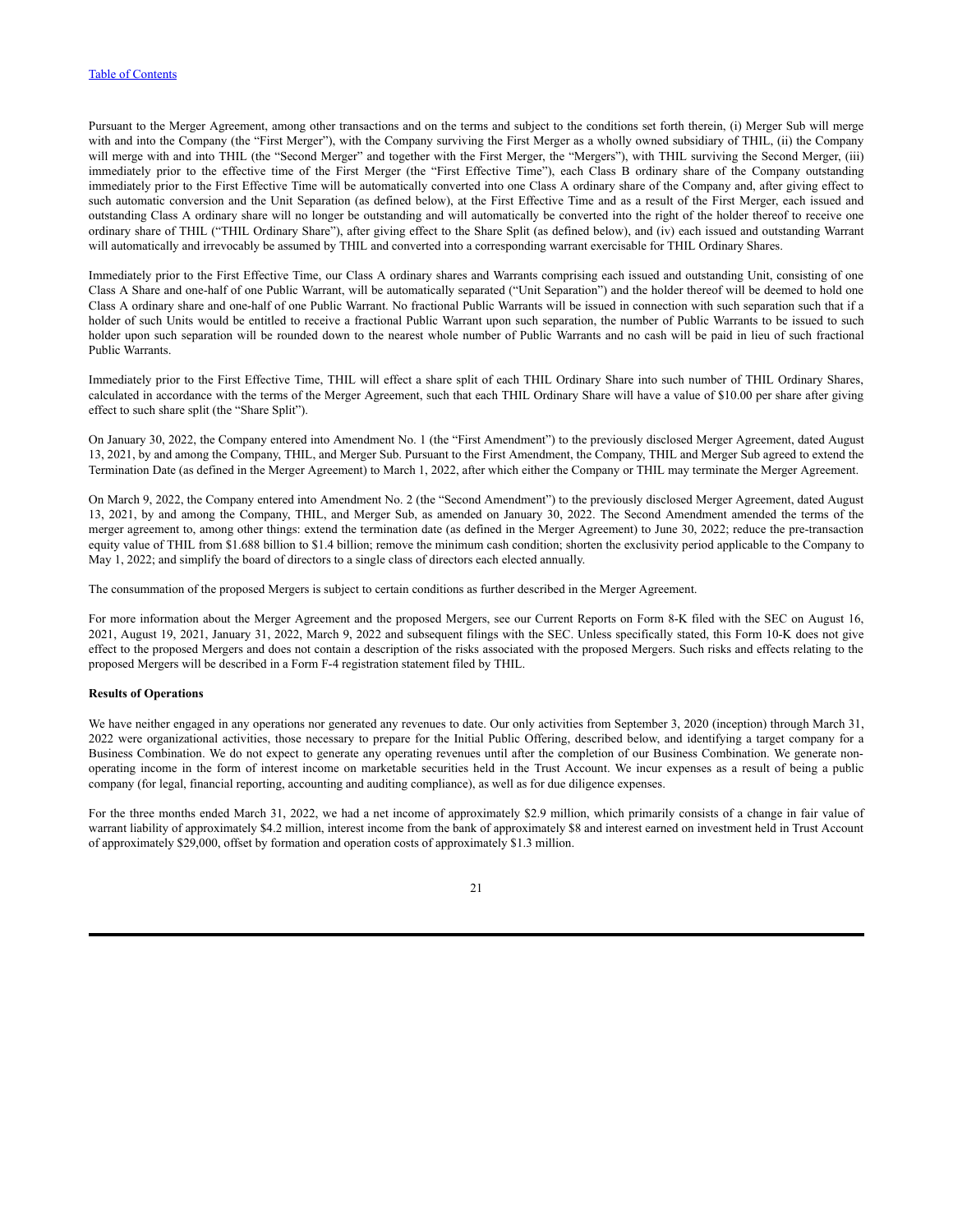Pursuant to the Merger Agreement, among other transactions and on the terms and subject to the conditions set forth therein, (i) Merger Sub will merge with and into the Company (the "First Merger"), with the Company surviving the First Merger as a wholly owned subsidiary of THIL, (ii) the Company will merge with and into THIL (the "Second Merger" and together with the First Merger, the "Mergers"), with THIL surviving the Second Merger, (iii) immediately prior to the effective time of the First Merger (the "First Effective Time"), each Class B ordinary share of the Company outstanding immediately prior to the First Effective Time will be automatically converted into one Class A ordinary share of the Company and, after giving effect to such automatic conversion and the Unit Separation (as defined below), at the First Effective Time and as a result of the First Merger, each issued and outstanding Class A ordinary share will no longer be outstanding and will automatically be converted into the right of the holder thereof to receive one ordinary share of THIL ("THIL Ordinary Share"), after giving effect to the Share Split (as defined below), and (iv) each issued and outstanding Warrant will automatically and irrevocably be assumed by THIL and converted into a corresponding warrant exercisable for THIL Ordinary Shares.

Immediately prior to the First Effective Time, our Class A ordinary shares and Warrants comprising each issued and outstanding Unit, consisting of one Class A Share and one-half of one Public Warrant, will be automatically separated ("Unit Separation") and the holder thereof will be deemed to hold one Class A ordinary share and one-half of one Public Warrant. No fractional Public Warrants will be issued in connection with such separation such that if a holder of such Units would be entitled to receive a fractional Public Warrant upon such separation, the number of Public Warrants to be issued to such holder upon such separation will be rounded down to the nearest whole number of Public Warrants and no cash will be paid in lieu of such fractional Public Warrants.

Immediately prior to the First Effective Time, THIL will effect a share split of each THIL Ordinary Share into such number of THIL Ordinary Shares, calculated in accordance with the terms of the Merger Agreement, such that each THIL Ordinary Share will have a value of \$10.00 per share after giving effect to such share split (the "Share Split").

On January 30, 2022, the Company entered into Amendment No. 1 (the "First Amendment") to the previously disclosed Merger Agreement, dated August 13, 2021, by and among the Company, THIL, and Merger Sub. Pursuant to the First Amendment, the Company, THIL and Merger Sub agreed to extend the Termination Date (as defined in the Merger Agreement) to March 1, 2022, after which either the Company or THIL may terminate the Merger Agreement.

On March 9, 2022, the Company entered into Amendment No. 2 (the "Second Amendment") to the previously disclosed Merger Agreement, dated August 13, 2021, by and among the Company, THIL, and Merger Sub, as amended on January 30, 2022. The Second Amendment amended the terms of the merger agreement to, among other things: extend the termination date (as defined in the Merger Agreement) to June 30, 2022; reduce the pre-transaction equity value of THIL from \$1.688 billion to \$1.4 billion; remove the minimum cash condition; shorten the exclusivity period applicable to the Company to May 1, 2022; and simplify the board of directors to a single class of directors each elected annually.

The consummation of the proposed Mergers is subject to certain conditions as further described in the Merger Agreement.

For more information about the Merger Agreement and the proposed Mergers, see our Current Reports on Form 8-K filed with the SEC on August 16, 2021, August 19, 2021, January 31, 2022, March 9, 2022 and subsequent filings with the SEC. Unless specifically stated, this Form 10-K does not give effect to the proposed Mergers and does not contain a description of the risks associated with the proposed Mergers. Such risks and effects relating to the proposed Mergers will be described in a Form F-4 registration statement filed by THIL.

### **Results of Operations**

We have neither engaged in any operations nor generated any revenues to date. Our only activities from September 3, 2020 (inception) through March 31, 2022 were organizational activities, those necessary to prepare for the Initial Public Offering, described below, and identifying a target company for a Business Combination. We do not expect to generate any operating revenues until after the completion of our Business Combination. We generate nonoperating income in the form of interest income on marketable securities held in the Trust Account. We incur expenses as a result of being a public company (for legal, financial reporting, accounting and auditing compliance), as well as for due diligence expenses.

For the three months ended March 31, 2022, we had a net income of approximately \$2.9 million, which primarily consists of a change in fair value of warrant liability of approximately \$4.2 million, interest income from the bank of approximately \$8 and interest earned on investment held in Trust Account of approximately \$29,000, offset by formation and operation costs of approximately \$1.3 million.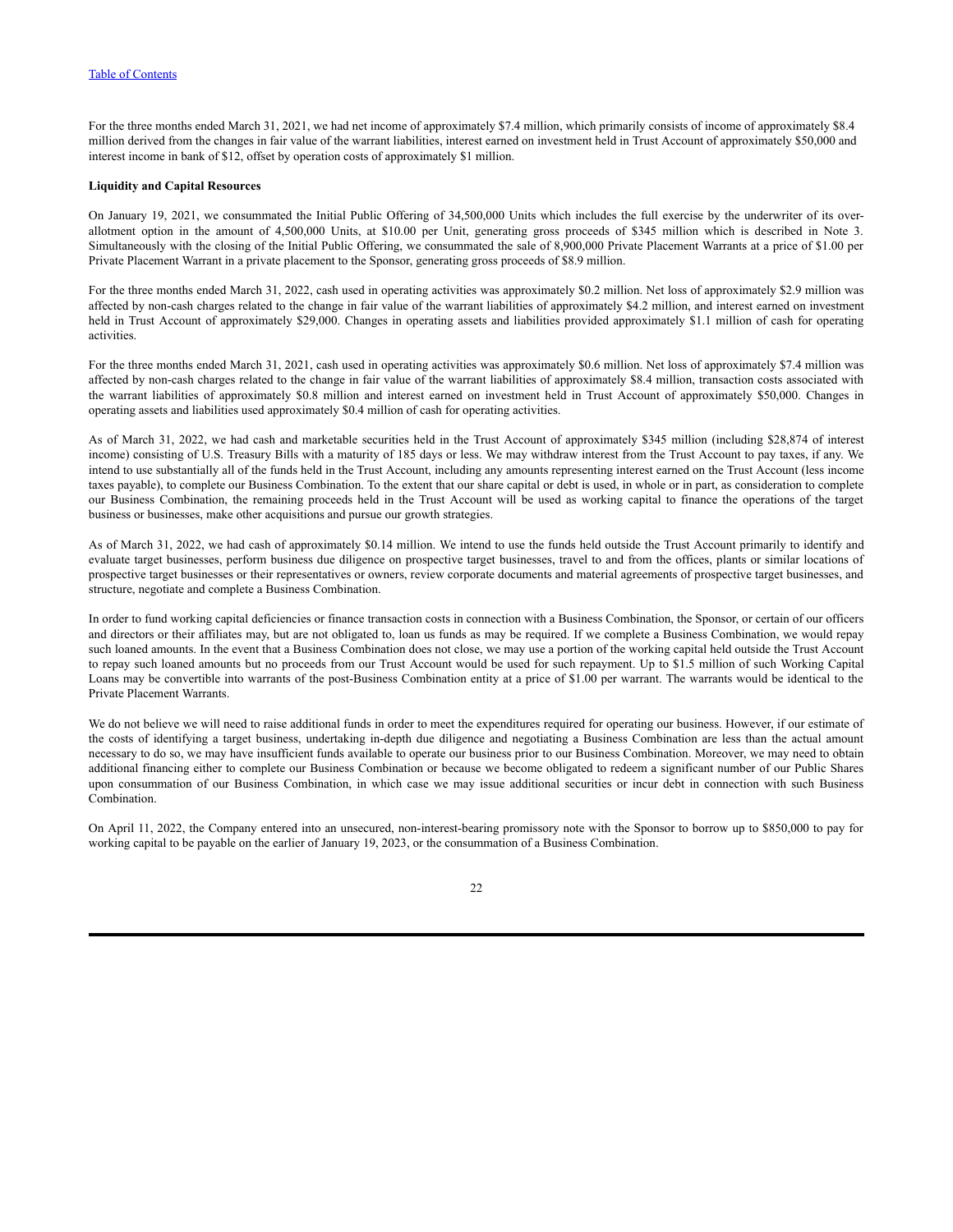## Table of [Contents](#page-1-0)

For the three months ended March 31, 2021, we had net income of approximately \$7.4 million, which primarily consists of income of approximately \$8.4 million derived from the changes in fair value of the warrant liabilities, interest earned on investment held in Trust Account of approximately \$50,000 and interest income in bank of \$12, offset by operation costs of approximately \$1 million.

## **Liquidity and Capital Resources**

On January 19, 2021, we consummated the Initial Public Offering of 34,500,000 Units which includes the full exercise by the underwriter of its overallotment option in the amount of 4,500,000 Units, at \$10.00 per Unit, generating gross proceeds of \$345 million which is described in Note 3. Simultaneously with the closing of the Initial Public Offering, we consummated the sale of 8,900,000 Private Placement Warrants at a price of \$1.00 per Private Placement Warrant in a private placement to the Sponsor, generating gross proceeds of \$8.9 million.

For the three months ended March 31, 2022, cash used in operating activities was approximately \$0.2 million. Net loss of approximately \$2.9 million was affected by non-cash charges related to the change in fair value of the warrant liabilities of approximately \$4.2 million, and interest earned on investment held in Trust Account of approximately \$29,000. Changes in operating assets and liabilities provided approximately \$1.1 million of cash for operating activities.

For the three months ended March 31, 2021, cash used in operating activities was approximately \$0.6 million. Net loss of approximately \$7.4 million was affected by non-cash charges related to the change in fair value of the warrant liabilities of approximately \$8.4 million, transaction costs associated with the warrant liabilities of approximately \$0.8 million and interest earned on investment held in Trust Account of approximately \$50,000. Changes in operating assets and liabilities used approximately \$0.4 million of cash for operating activities.

As of March 31, 2022, we had cash and marketable securities held in the Trust Account of approximately \$345 million (including \$28,874 of interest income) consisting of U.S. Treasury Bills with a maturity of 185 days or less. We may withdraw interest from the Trust Account to pay taxes, if any. We intend to use substantially all of the funds held in the Trust Account, including any amounts representing interest earned on the Trust Account (less income taxes payable), to complete our Business Combination. To the extent that our share capital or debt is used, in whole or in part, as consideration to complete our Business Combination, the remaining proceeds held in the Trust Account will be used as working capital to finance the operations of the target business or businesses, make other acquisitions and pursue our growth strategies.

As of March 31, 2022, we had cash of approximately \$0.14 million. We intend to use the funds held outside the Trust Account primarily to identify and evaluate target businesses, perform business due diligence on prospective target businesses, travel to and from the offices, plants or similar locations of prospective target businesses or their representatives or owners, review corporate documents and material agreements of prospective target businesses, and structure, negotiate and complete a Business Combination.

In order to fund working capital deficiencies or finance transaction costs in connection with a Business Combination, the Sponsor, or certain of our officers and directors or their affiliates may, but are not obligated to, loan us funds as may be required. If we complete a Business Combination, we would repay such loaned amounts. In the event that a Business Combination does not close, we may use a portion of the working capital held outside the Trust Account to repay such loaned amounts but no proceeds from our Trust Account would be used for such repayment. Up to \$1.5 million of such Working Capital Loans may be convertible into warrants of the post-Business Combination entity at a price of \$1.00 per warrant. The warrants would be identical to the Private Placement Warrants.

We do not believe we will need to raise additional funds in order to meet the expenditures required for operating our business. However, if our estimate of the costs of identifying a target business, undertaking in-depth due diligence and negotiating a Business Combination are less than the actual amount necessary to do so, we may have insufficient funds available to operate our business prior to our Business Combination. Moreover, we may need to obtain additional financing either to complete our Business Combination or because we become obligated to redeem a significant number of our Public Shares upon consummation of our Business Combination, in which case we may issue additional securities or incur debt in connection with such Business Combination.

On April 11, 2022, the Company entered into an unsecured, non-interest-bearing promissory note with the Sponsor to borrow up to \$850,000 to pay for working capital to be payable on the earlier of January 19, 2023, or the consummation of a Business Combination.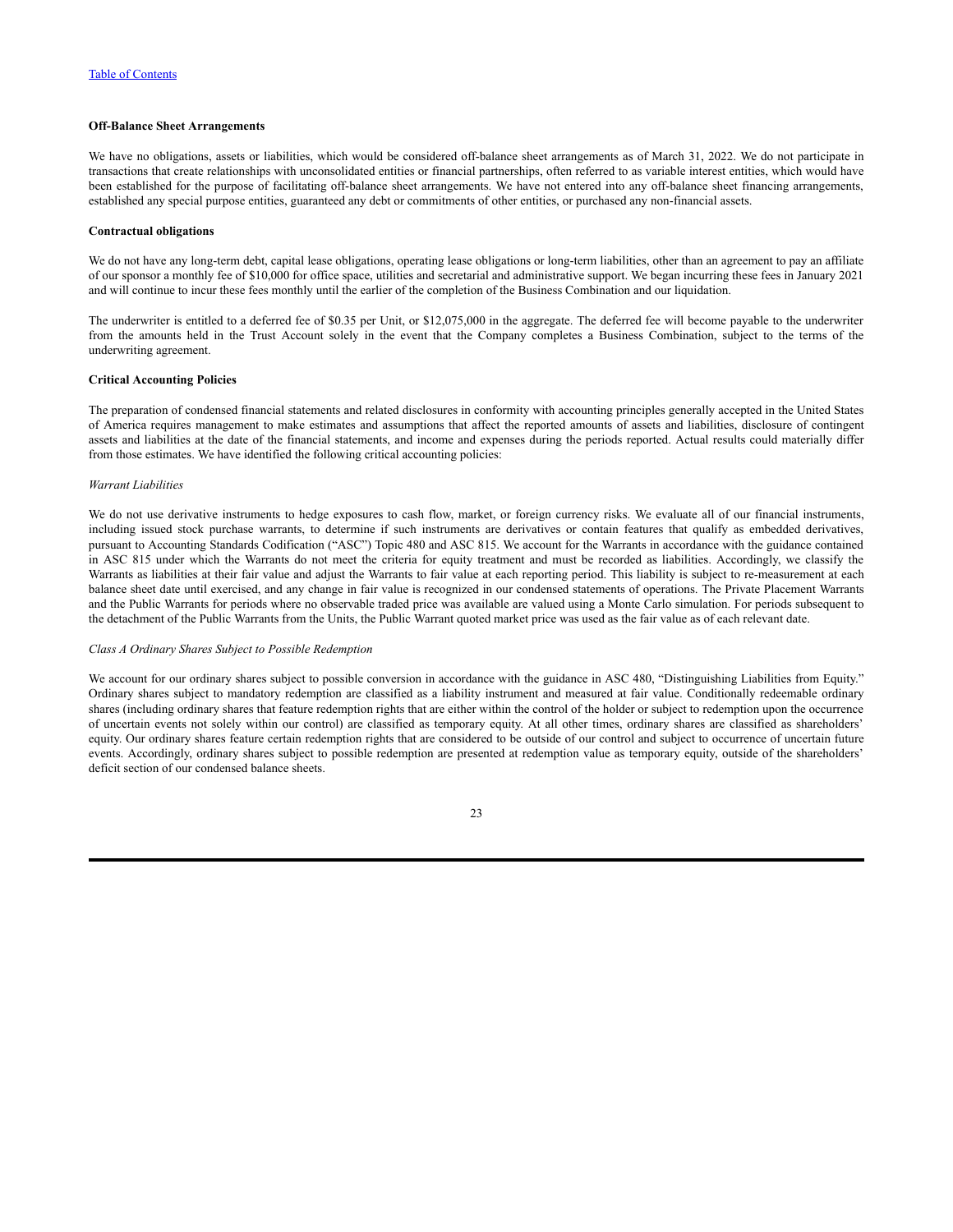### **Off-Balance Sheet Arrangements**

We have no obligations, assets or liabilities, which would be considered off-balance sheet arrangements as of March 31, 2022. We do not participate in transactions that create relationships with unconsolidated entities or financial partnerships, often referred to as variable interest entities, which would have been established for the purpose of facilitating off-balance sheet arrangements. We have not entered into any off-balance sheet financing arrangements, established any special purpose entities, guaranteed any debt or commitments of other entities, or purchased any non-financial assets.

#### **Contractual obligations**

We do not have any long-term debt, capital lease obligations, operating lease obligations or long-term liabilities, other than an agreement to pay an affiliate of our sponsor a monthly fee of \$10,000 for office space, utilities and secretarial and administrative support. We began incurring these fees in January 2021 and will continue to incur these fees monthly until the earlier of the completion of the Business Combination and our liquidation.

The underwriter is entitled to a deferred fee of \$0.35 per Unit, or \$12,075,000 in the aggregate. The deferred fee will become payable to the underwriter from the amounts held in the Trust Account solely in the event that the Company completes a Business Combination, subject to the terms of the underwriting agreement.

#### **Critical Accounting Policies**

The preparation of condensed financial statements and related disclosures in conformity with accounting principles generally accepted in the United States of America requires management to make estimates and assumptions that affect the reported amounts of assets and liabilities, disclosure of contingent assets and liabilities at the date of the financial statements, and income and expenses during the periods reported. Actual results could materially differ from those estimates. We have identified the following critical accounting policies:

#### *Warrant Liabilities*

We do not use derivative instruments to hedge exposures to cash flow, market, or foreign currency risks. We evaluate all of our financial instruments, including issued stock purchase warrants, to determine if such instruments are derivatives or contain features that qualify as embedded derivatives, pursuant to Accounting Standards Codification ("ASC") Topic 480 and ASC 815. We account for the Warrants in accordance with the guidance contained in ASC 815 under which the Warrants do not meet the criteria for equity treatment and must be recorded as liabilities. Accordingly, we classify the Warrants as liabilities at their fair value and adjust the Warrants to fair value at each reporting period. This liability is subject to re-measurement at each balance sheet date until exercised, and any change in fair value is recognized in our condensed statements of operations. The Private Placement Warrants and the Public Warrants for periods where no observable traded price was available are valued using a Monte Carlo simulation. For periods subsequent to the detachment of the Public Warrants from the Units, the Public Warrant quoted market price was used as the fair value as of each relevant date.

## *Class A Ordinary Shares Subject to Possible Redemption*

We account for our ordinary shares subject to possible conversion in accordance with the guidance in ASC 480, "Distinguishing Liabilities from Equity." Ordinary shares subject to mandatory redemption are classified as a liability instrument and measured at fair value. Conditionally redeemable ordinary shares (including ordinary shares that feature redemption rights that are either within the control of the holder or subject to redemption upon the occurrence of uncertain events not solely within our control) are classified as temporary equity. At all other times, ordinary shares are classified as shareholders' equity. Our ordinary shares feature certain redemption rights that are considered to be outside of our control and subject to occurrence of uncertain future events. Accordingly, ordinary shares subject to possible redemption are presented at redemption value as temporary equity, outside of the shareholders' deficit section of our condensed balance sheets.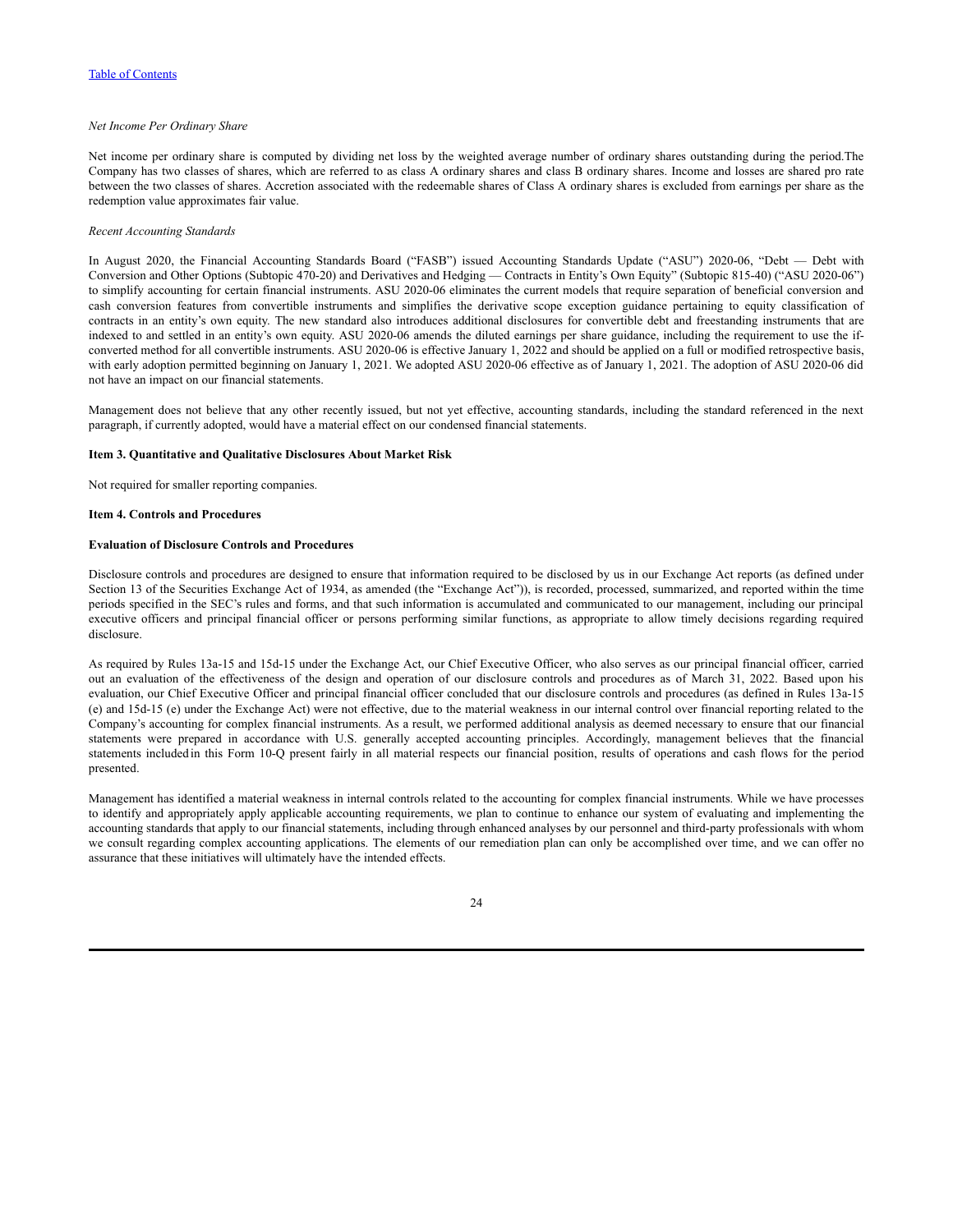## *Net Income Per Ordinary Share*

Net income per ordinary share is computed by dividing net loss by the weighted average number of ordinary shares outstanding during the period.The Company has two classes of shares, which are referred to as class A ordinary shares and class B ordinary shares. Income and losses are shared pro rate between the two classes of shares. Accretion associated with the redeemable shares of Class A ordinary shares is excluded from earnings per share as the redemption value approximates fair value.

## *Recent Accounting Standards*

In August 2020, the Financial Accounting Standards Board ("FASB") issued Accounting Standards Update ("ASU") 2020-06, "Debt — Debt with Conversion and Other Options (Subtopic 470-20) and Derivatives and Hedging — Contracts in Entity's Own Equity" (Subtopic 815-40) ("ASU 2020-06") to simplify accounting for certain financial instruments. ASU 2020-06 eliminates the current models that require separation of beneficial conversion and cash conversion features from convertible instruments and simplifies the derivative scope exception guidance pertaining to equity classification of contracts in an entity's own equity. The new standard also introduces additional disclosures for convertible debt and freestanding instruments that are indexed to and settled in an entity's own equity. ASU 2020-06 amends the diluted earnings per share guidance, including the requirement to use the ifconverted method for all convertible instruments. ASU 2020-06 is effective January 1, 2022 and should be applied on a full or modified retrospective basis, with early adoption permitted beginning on January 1, 2021. We adopted ASU 2020-06 effective as of January 1, 2021. The adoption of ASU 2020-06 did not have an impact on our financial statements.

Management does not believe that any other recently issued, but not yet effective, accounting standards, including the standard referenced in the next paragraph, if currently adopted, would have a material effect on our condensed financial statements.

#### <span id="page-25-0"></span>**Item 3. Quantitative and Qualitative Disclosures About Market Risk**

Not required for smaller reporting companies.

#### <span id="page-25-1"></span>**Item 4. Controls and Procedures**

# **Evaluation of Disclosure Controls and Procedures**

Disclosure controls and procedures are designed to ensure that information required to be disclosed by us in our Exchange Act reports (as defined under Section 13 of the Securities Exchange Act of 1934, as amended (the "Exchange Act")), is recorded, processed, summarized, and reported within the time periods specified in the SEC's rules and forms, and that such information is accumulated and communicated to our management, including our principal executive officers and principal financial officer or persons performing similar functions, as appropriate to allow timely decisions regarding required disclosure.

As required by Rules 13a-15 and 15d-15 under the Exchange Act, our Chief Executive Officer, who also serves as our principal financial officer, carried out an evaluation of the effectiveness of the design and operation of our disclosure controls and procedures as of March 31, 2022. Based upon his evaluation, our Chief Executive Officer and principal financial officer concluded that our disclosure controls and procedures (as defined in Rules 13a-15 (e) and 15d-15 (e) under the Exchange Act) were not effective, due to the material weakness in our internal control over financial reporting related to the Company's accounting for complex financial instruments. As a result, we performed additional analysis as deemed necessary to ensure that our financial statements were prepared in accordance with U.S. generally accepted accounting principles. Accordingly, management believes that the financial statements includedin this Form 10-Q present fairly in all material respects our financial position, results of operations and cash flows for the period presented.

Management has identified a material weakness in internal controls related to the accounting for complex financial instruments. While we have processes to identify and appropriately apply applicable accounting requirements, we plan to continue to enhance our system of evaluating and implementing the accounting standards that apply to our financial statements, including through enhanced analyses by our personnel and third-party professionals with whom we consult regarding complex accounting applications. The elements of our remediation plan can only be accomplished over time, and we can offer no assurance that these initiatives will ultimately have the intended effects.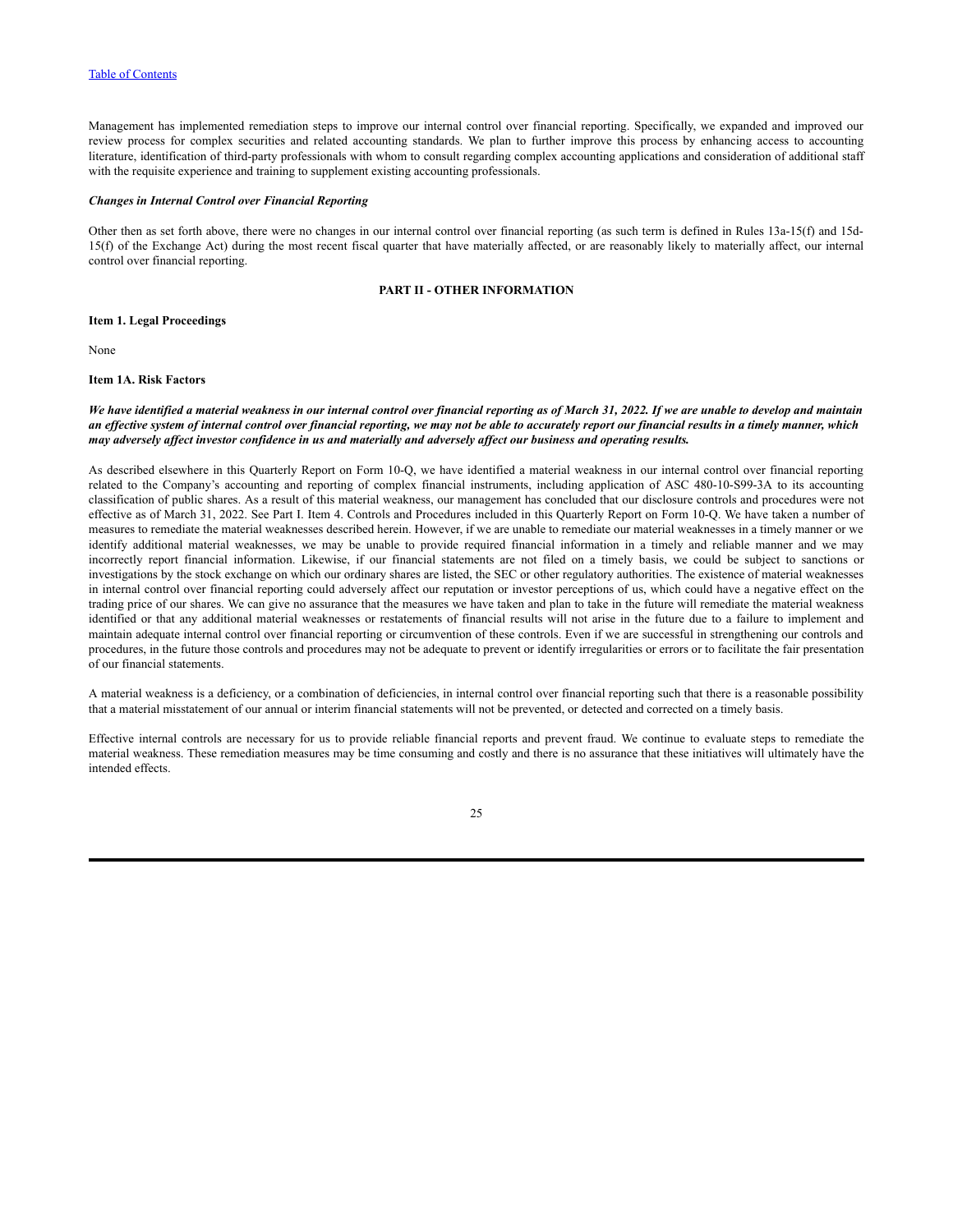Management has implemented remediation steps to improve our internal control over financial reporting. Specifically, we expanded and improved our review process for complex securities and related accounting standards. We plan to further improve this process by enhancing access to accounting literature, identification of third-party professionals with whom to consult regarding complex accounting applications and consideration of additional staff with the requisite experience and training to supplement existing accounting professionals.

#### *Changes in Internal Control over Financial Reporting*

Other then as set forth above, there were no changes in our internal control over financial reporting (as such term is defined in Rules 13a-15(f) and 15d-15(f) of the Exchange Act) during the most recent fiscal quarter that have materially affected, or are reasonably likely to materially affect, our internal control over financial reporting.

# **PART II - OTHER INFORMATION**

#### <span id="page-26-1"></span><span id="page-26-0"></span>**Item 1. Legal Proceedings**

None

## <span id="page-26-2"></span>**Item 1A. Risk Factors**

## We have identified a material weakness in our internal control over financial reporting as of March 31, 2022. If we are unable to develop and maintain an effective system of internal control over financial reporting, we may not be able to accurately report our financial results in a timely manner, which may adversely affect investor confidence in us and materially and adversely affect our business and operating results.

As described elsewhere in this Quarterly Report on Form 10-Q, we have identified a material weakness in our internal control over financial reporting related to the Company's accounting and reporting of complex financial instruments, including application of ASC 480-10-S99-3A to its accounting classification of public shares. As a result of this material weakness, our management has concluded that our disclosure controls and procedures were not effective as of March 31, 2022. See Part I. Item 4. Controls and Procedures included in this Quarterly Report on Form 10-Q. We have taken a number of measures to remediate the material weaknesses described herein. However, if we are unable to remediate our material weaknesses in a timely manner or we identify additional material weaknesses, we may be unable to provide required financial information in a timely and reliable manner and we may incorrectly report financial information. Likewise, if our financial statements are not filed on a timely basis, we could be subject to sanctions or investigations by the stock exchange on which our ordinary shares are listed, the SEC or other regulatory authorities. The existence of material weaknesses in internal control over financial reporting could adversely affect our reputation or investor perceptions of us, which could have a negative effect on the trading price of our shares. We can give no assurance that the measures we have taken and plan to take in the future will remediate the material weakness identified or that any additional material weaknesses or restatements of financial results will not arise in the future due to a failure to implement and maintain adequate internal control over financial reporting or circumvention of these controls. Even if we are successful in strengthening our controls and procedures, in the future those controls and procedures may not be adequate to prevent or identify irregularities or errors or to facilitate the fair presentation of our financial statements.

A material weakness is a deficiency, or a combination of deficiencies, in internal control over financial reporting such that there is a reasonable possibility that a material misstatement of our annual or interim financial statements will not be prevented, or detected and corrected on a timely basis.

Effective internal controls are necessary for us to provide reliable financial reports and prevent fraud. We continue to evaluate steps to remediate the material weakness. These remediation measures may be time consuming and costly and there is no assurance that these initiatives will ultimately have the intended effects.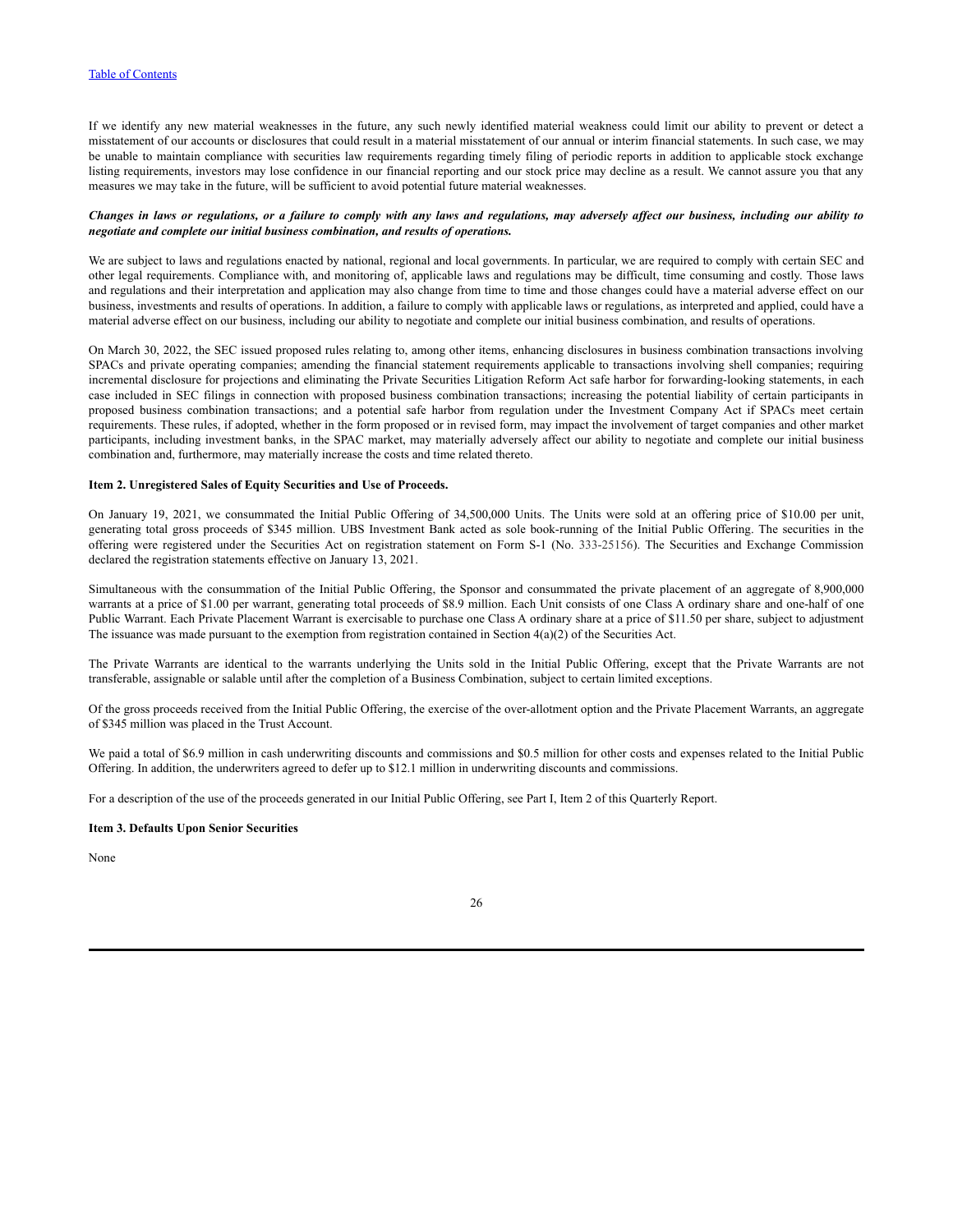If we identify any new material weaknesses in the future, any such newly identified material weakness could limit our ability to prevent or detect a misstatement of our accounts or disclosures that could result in a material misstatement of our annual or interim financial statements. In such case, we may be unable to maintain compliance with securities law requirements regarding timely filing of periodic reports in addition to applicable stock exchange listing requirements, investors may lose confidence in our financial reporting and our stock price may decline as a result. We cannot assure you that any measures we may take in the future, will be sufficient to avoid potential future material weaknesses.

### Changes in laws or regulations, or a failure to comply with any laws and regulations, may adversely affect our business, including our ability to *negotiate and complete our initial business combination, and results of operations.*

We are subject to laws and regulations enacted by national, regional and local governments. In particular, we are required to comply with certain SEC and other legal requirements. Compliance with, and monitoring of, applicable laws and regulations may be difficult, time consuming and costly. Those laws and regulations and their interpretation and application may also change from time to time and those changes could have a material adverse effect on our business, investments and results of operations. In addition, a failure to comply with applicable laws or regulations, as interpreted and applied, could have a material adverse effect on our business, including our ability to negotiate and complete our initial business combination, and results of operations.

On March 30, 2022, the SEC issued proposed rules relating to, among other items, enhancing disclosures in business combination transactions involving SPACs and private operating companies; amending the financial statement requirements applicable to transactions involving shell companies; requiring incremental disclosure for projections and eliminating the Private Securities Litigation Reform Act safe harbor for forwarding-looking statements, in each case included in SEC filings in connection with proposed business combination transactions; increasing the potential liability of certain participants in proposed business combination transactions; and a potential safe harbor from regulation under the Investment Company Act if SPACs meet certain requirements. These rules, if adopted, whether in the form proposed or in revised form, may impact the involvement of target companies and other market participants, including investment banks, in the SPAC market, may materially adversely affect our ability to negotiate and complete our initial business combination and, furthermore, may materially increase the costs and time related thereto.

## <span id="page-27-0"></span>**Item 2. Unregistered Sales of Equity Securities and Use of Proceeds.**

On January 19, 2021, we consummated the Initial Public Offering of 34,500,000 Units. The Units were sold at an offering price of \$10.00 per unit, generating total gross proceeds of \$345 million. UBS Investment Bank acted as sole book-running of the Initial Public Offering. The securities in the offering were registered under the Securities Act on registration statement on Form S-1 (No. 333-25156). The Securities and Exchange Commission declared the registration statements effective on January 13, 2021.

Simultaneous with the consummation of the Initial Public Offering, the Sponsor and consummated the private placement of an aggregate of 8,900,000 warrants at a price of \$1.00 per warrant, generating total proceeds of \$8.9 million. Each Unit consists of one Class A ordinary share and one-half of one Public Warrant. Each Private Placement Warrant is exercisable to purchase one Class A ordinary share at a price of \$11.50 per share, subject to adjustment The issuance was made pursuant to the exemption from registration contained in Section 4(a)(2) of the Securities Act.

The Private Warrants are identical to the warrants underlying the Units sold in the Initial Public Offering, except that the Private Warrants are not transferable, assignable or salable until after the completion of a Business Combination, subject to certain limited exceptions.

Of the gross proceeds received from the Initial Public Offering, the exercise of the over-allotment option and the Private Placement Warrants, an aggregate of \$345 million was placed in the Trust Account.

We paid a total of \$6.9 million in cash underwriting discounts and commissions and \$0.5 million for other costs and expenses related to the Initial Public Offering. In addition, the underwriters agreed to defer up to \$12.1 million in underwriting discounts and commissions.

For a description of the use of the proceeds generated in our Initial Public Offering, see Part I, Item 2 of this Quarterly Report.

## <span id="page-27-1"></span>**Item 3. Defaults Upon Senior Securities**

None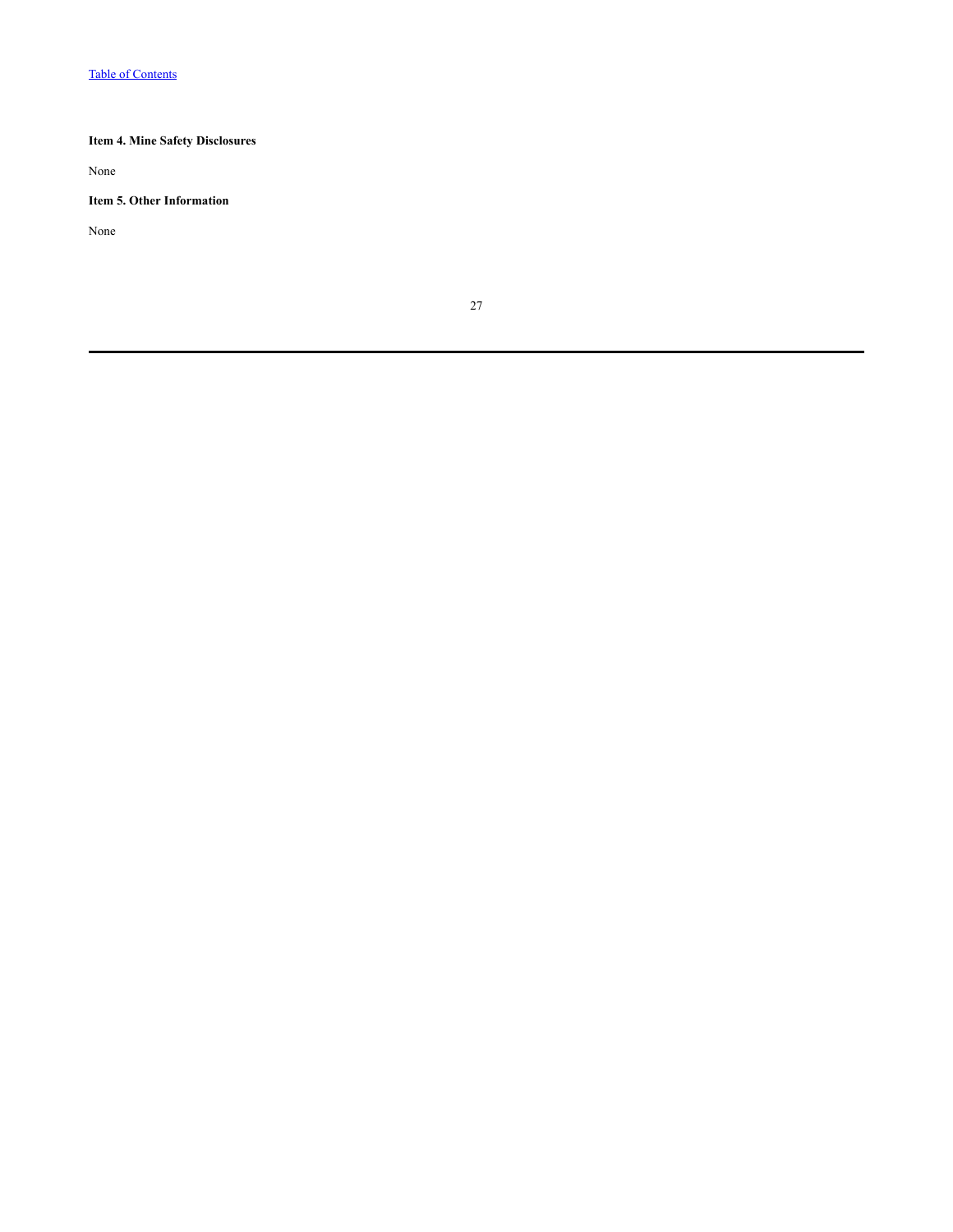# Table of [Contents](#page-1-0)

# <span id="page-28-0"></span>**Item 4. Mine Safety Disclosures**

None

# <span id="page-28-1"></span>**Item 5. Other Information**

None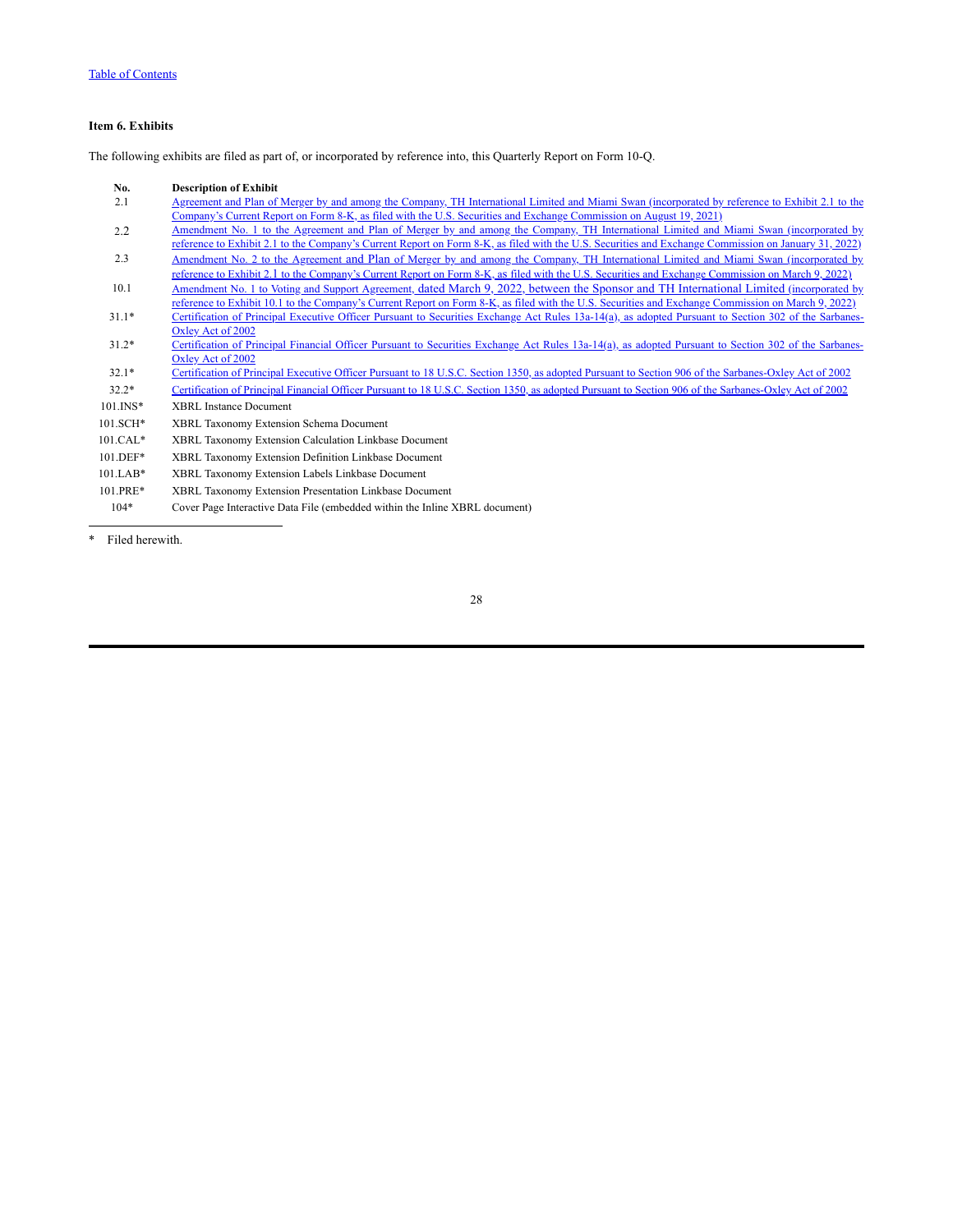# <span id="page-29-0"></span>**Item 6. Exhibits**

**No. Description of Exhibit**

The following exhibits are filed as part of, or incorporated by reference into, this Quarterly Report on Form 10-Q.

| 2.1            | Agreement and Plan of Merger by and among the Company, TH International Limited and Miami Swan (incorporated by reference to Exhibit 2.1 to the       |
|----------------|-------------------------------------------------------------------------------------------------------------------------------------------------------|
|                | Company's Current Report on Form 8-K, as filed with the U.S. Securities and Exchange Commission on August 19, 2021)                                   |
| 2.2            | Amendment No. 1 to the Agreement and Plan of Merger by and among the Company, TH International Limited and Miami Swan (incorporated by                |
|                | reference to Exhibit 2.1 to the Company's Current Report on Form 8-K, as filed with the U.S. Securities and Exchange Commission on January 31, 2022)  |
| 2.3            | Amendment No. 2 to the Agreement and Plan of Merger by and among the Company, TH International Limited and Miami Swan (incorporated by                |
|                | reference to Exhibit 2.1 to the Company's Current Report on Form 8-K, as filed with the U.S. Securities and Exchange Commission on March 9, 2022)     |
| 10.1           | Amendment No. 1 to Voting and Support Agreement, dated March 9, 2022, between the Sponsor and TH International Limited (incorporated by               |
|                | reference to Exhibit 10.1 to the Company's Current Report on Form 8-K, as filed with the U.S. Securities and Exchange Commission on March 9, 2022)    |
| $31.1*$        | Certification of Principal Executive Officer Pursuant to Securities Exchange Act Rules 13a-14(a), as adopted Pursuant to Section 302 of the Sarbanes- |
|                | Oxley Act of 2002                                                                                                                                     |
| $31.2*$        | Certification of Principal Financial Officer Pursuant to Securities Exchange Act Rules 13a-14(a), as adopted Pursuant to Section 302 of the Sarbanes- |
|                | Oxley Act of 2002                                                                                                                                     |
| $32.1*$        | Certification of Principal Executive Officer Pursuant to 18 U.S.C. Section 1350, as adopted Pursuant to Section 906 of the Sarbanes-Oxley Act of 2002 |
| $32.2*$        | Certification of Principal Financial Officer Pursuant to 18 U.S.C. Section 1350, as adopted Pursuant to Section 906 of the Sarbanes-Oxley Act of 2002 |
| $101$ . INS*   | <b>XBRL</b> Instance Document                                                                                                                         |
| $101.SCH*$     | XBRL Taxonomy Extension Schema Document                                                                                                               |
| $101.CAL*$     | XBRL Taxonomy Extension Calculation Linkbase Document                                                                                                 |
| $101.$ DEF $*$ | XBRL Taxonomy Extension Definition Linkbase Document                                                                                                  |
| $101.LAB*$     | XBRL Taxonomy Extension Labels Linkbase Document                                                                                                      |
| 101.PRE*       | XBRL Taxonomy Extension Presentation Linkbase Document                                                                                                |
| $104*$         | Cover Page Interactive Data File (embedded within the Inline XBRL document)                                                                           |
|                |                                                                                                                                                       |

\* Filed herewith.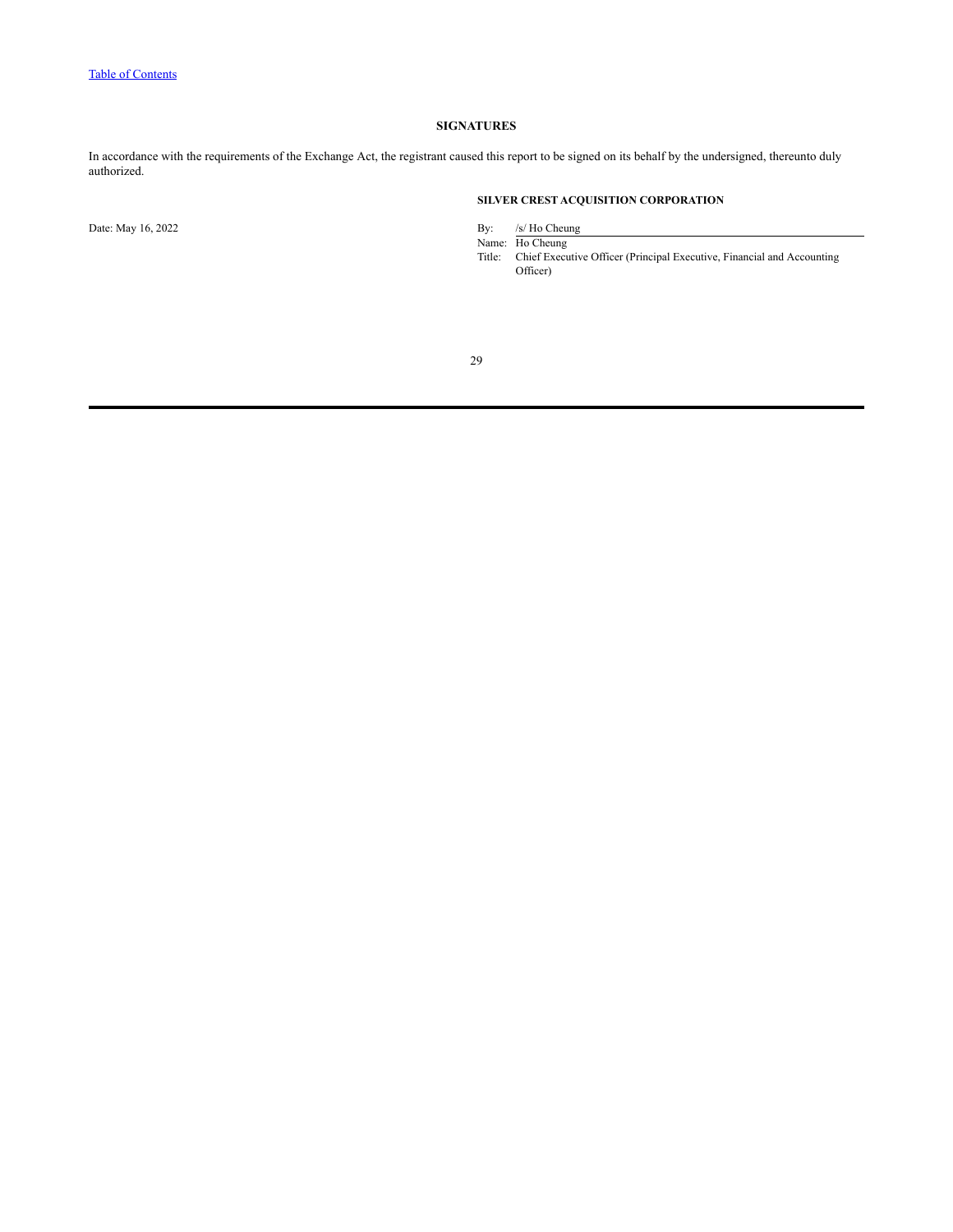# **SIGNATURES**

<span id="page-30-0"></span>In accordance with the requirements of the Exchange Act, the registrant caused this report to be signed on its behalf by the undersigned, thereunto duly authorized.

**SILVER CREST ACQUISITION CORPORATION**

Date: May 16, 2022 By: /s/ Ho Cheung

Name: Ho Cheung

Title: Chief Executive Officer (Principal Executive, Financial and Accounting Officer)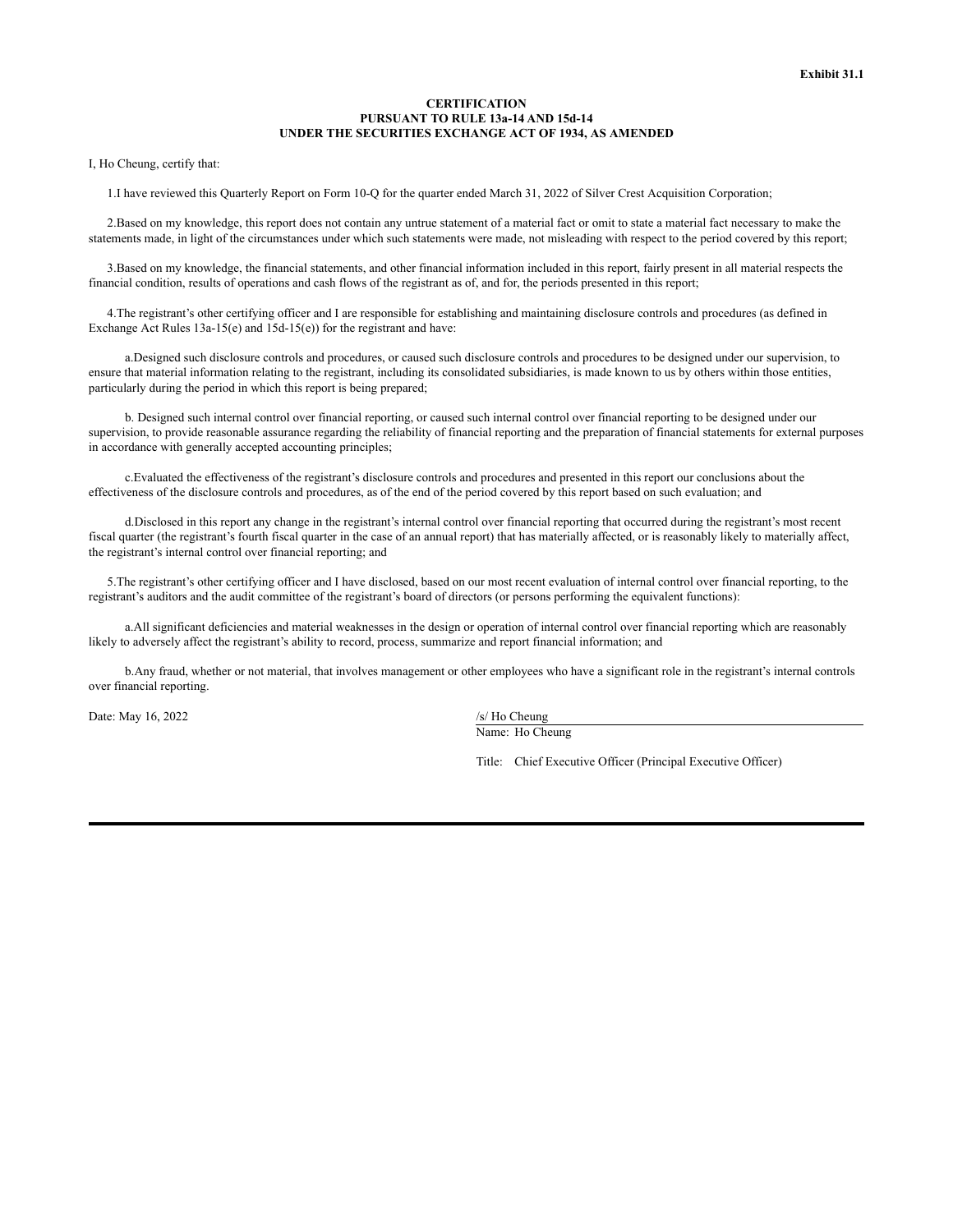## **CERTIFICATION PURSUANT TO RULE 13a-14 AND 15d-14 UNDER THE SECURITIES EXCHANGE ACT OF 1934, AS AMENDED**

I, Ho Cheung, certify that:

1.I have reviewed this Quarterly Report on Form 10-Q for the quarter ended March 31, 2022 of Silver Crest Acquisition Corporation;

2.Based on my knowledge, this report does not contain any untrue statement of a material fact or omit to state a material fact necessary to make the statements made, in light of the circumstances under which such statements were made, not misleading with respect to the period covered by this report;

3.Based on my knowledge, the financial statements, and other financial information included in this report, fairly present in all material respects the financial condition, results of operations and cash flows of the registrant as of, and for, the periods presented in this report;

4.The registrant's other certifying officer and I are responsible for establishing and maintaining disclosure controls and procedures (as defined in Exchange Act Rules 13a-15(e) and 15d-15(e)) for the registrant and have:

a.Designed such disclosure controls and procedures, or caused such disclosure controls and procedures to be designed under our supervision, to ensure that material information relating to the registrant, including its consolidated subsidiaries, is made known to us by others within those entities, particularly during the period in which this report is being prepared;

b. Designed such internal control over financial reporting, or caused such internal control over financial reporting to be designed under our supervision, to provide reasonable assurance regarding the reliability of financial reporting and the preparation of financial statements for external purposes in accordance with generally accepted accounting principles;

c.Evaluated the effectiveness of the registrant's disclosure controls and procedures and presented in this report our conclusions about the effectiveness of the disclosure controls and procedures, as of the end of the period covered by this report based on such evaluation; and

d.Disclosed in this report any change in the registrant's internal control over financial reporting that occurred during the registrant's most recent fiscal quarter (the registrant's fourth fiscal quarter in the case of an annual report) that has materially affected, or is reasonably likely to materially affect, the registrant's internal control over financial reporting; and

5.The registrant's other certifying officer and I have disclosed, based on our most recent evaluation of internal control over financial reporting, to the registrant's auditors and the audit committee of the registrant's board of directors (or persons performing the equivalent functions):

a.All significant deficiencies and material weaknesses in the design or operation of internal control over financial reporting which are reasonably likely to adversely affect the registrant's ability to record, process, summarize and report financial information; and

b.Any fraud, whether or not material, that involves management or other employees who have a significant role in the registrant's internal controls over financial reporting.

Date: May 16, 2022 /s/ Ho Cheung

Name: Ho Cheung

Title: Chief Executive Officer (Principal Executive Officer)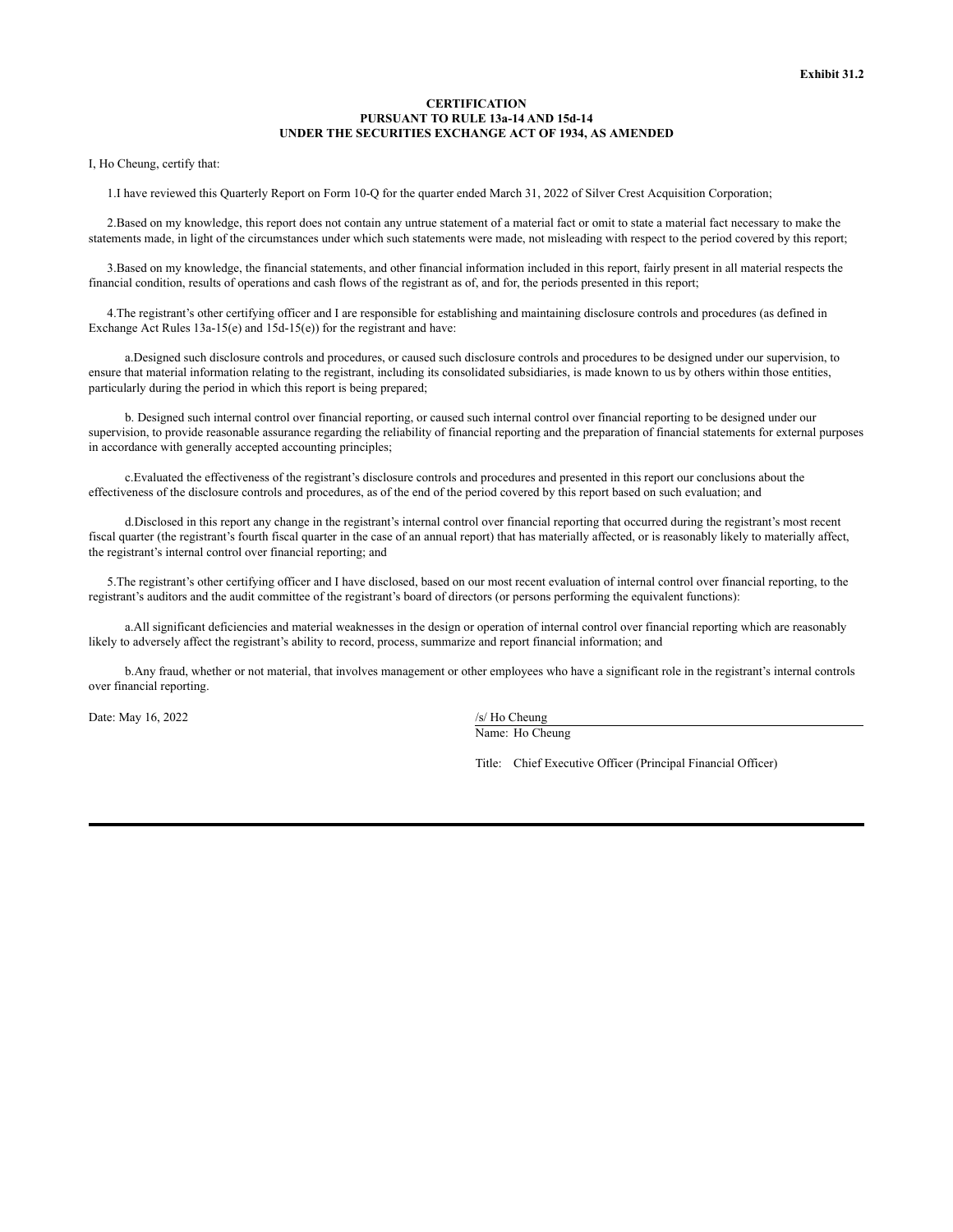## **CERTIFICATION PURSUANT TO RULE 13a-14 AND 15d-14 UNDER THE SECURITIES EXCHANGE ACT OF 1934, AS AMENDED**

I, Ho Cheung, certify that:

1.I have reviewed this Quarterly Report on Form 10-Q for the quarter ended March 31, 2022 of Silver Crest Acquisition Corporation;

2.Based on my knowledge, this report does not contain any untrue statement of a material fact or omit to state a material fact necessary to make the statements made, in light of the circumstances under which such statements were made, not misleading with respect to the period covered by this report;

3.Based on my knowledge, the financial statements, and other financial information included in this report, fairly present in all material respects the financial condition, results of operations and cash flows of the registrant as of, and for, the periods presented in this report;

4.The registrant's other certifying officer and I are responsible for establishing and maintaining disclosure controls and procedures (as defined in Exchange Act Rules 13a-15(e) and 15d-15(e)) for the registrant and have:

a.Designed such disclosure controls and procedures, or caused such disclosure controls and procedures to be designed under our supervision, to ensure that material information relating to the registrant, including its consolidated subsidiaries, is made known to us by others within those entities, particularly during the period in which this report is being prepared;

b. Designed such internal control over financial reporting, or caused such internal control over financial reporting to be designed under our supervision, to provide reasonable assurance regarding the reliability of financial reporting and the preparation of financial statements for external purposes in accordance with generally accepted accounting principles;

c.Evaluated the effectiveness of the registrant's disclosure controls and procedures and presented in this report our conclusions about the effectiveness of the disclosure controls and procedures, as of the end of the period covered by this report based on such evaluation; and

d.Disclosed in this report any change in the registrant's internal control over financial reporting that occurred during the registrant's most recent fiscal quarter (the registrant's fourth fiscal quarter in the case of an annual report) that has materially affected, or is reasonably likely to materially affect, the registrant's internal control over financial reporting; and

5.The registrant's other certifying officer and I have disclosed, based on our most recent evaluation of internal control over financial reporting, to the registrant's auditors and the audit committee of the registrant's board of directors (or persons performing the equivalent functions):

a.All significant deficiencies and material weaknesses in the design or operation of internal control over financial reporting which are reasonably likely to adversely affect the registrant's ability to record, process, summarize and report financial information; and

b.Any fraud, whether or not material, that involves management or other employees who have a significant role in the registrant's internal controls over financial reporting.

Date: May 16, 2022 /s/ Ho Cheung

Name: Ho Cheung

Title: Chief Executive Officer (Principal Financial Officer)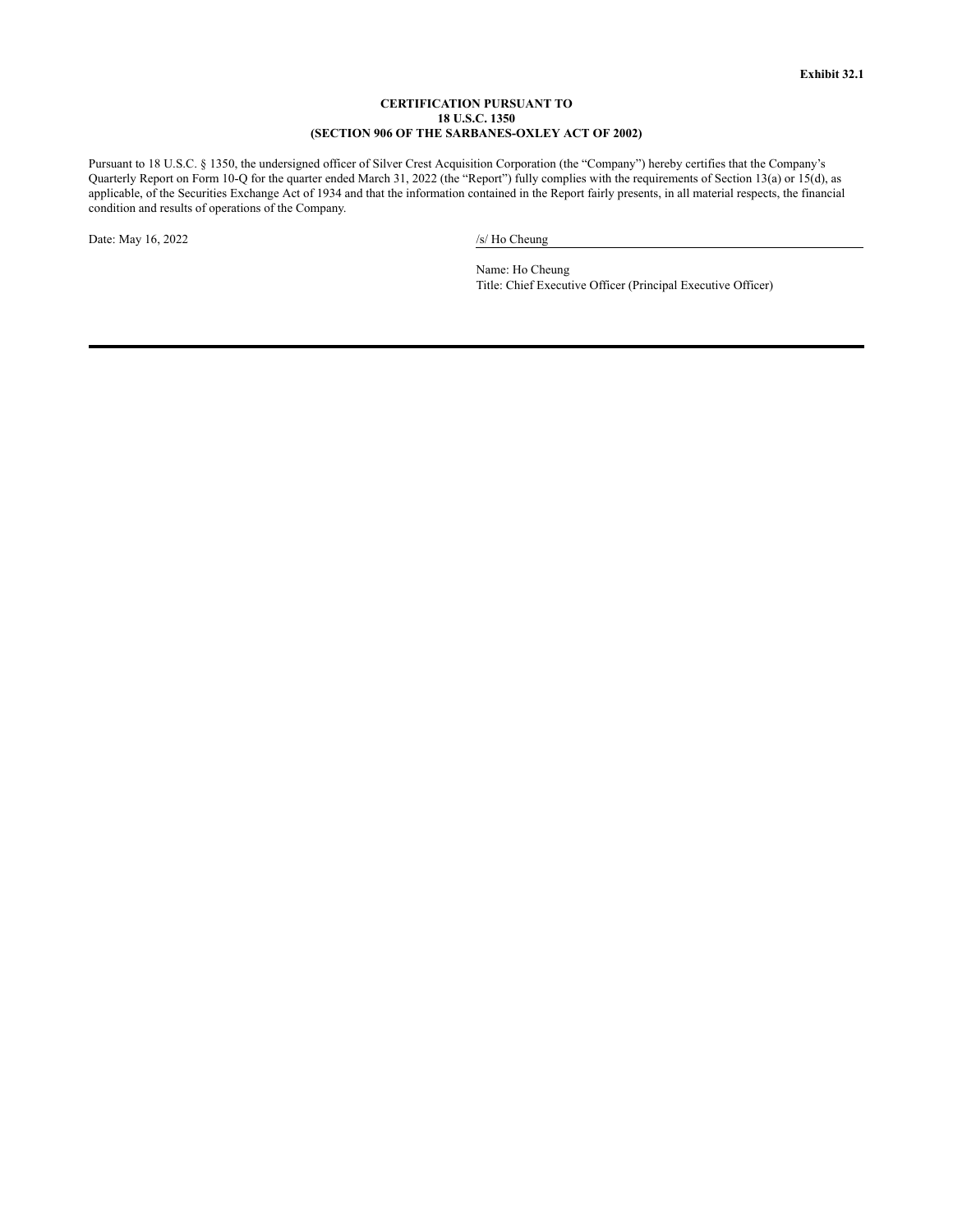# **CERTIFICATION PURSUANT TO 18 U.S.C. 1350 (SECTION 906 OF THE SARBANES-OXLEY ACT OF 2002)**

Pursuant to 18 U.S.C. § 1350, the undersigned officer of Silver Crest Acquisition Corporation (the "Company") hereby certifies that the Company's Quarterly Report on Form 10-Q for the quarter ended March 31, 2022 (the "Report") fully complies with the requirements of Section 13(a) or 15(d), as applicable, of the Securities Exchange Act of 1934 and that the information contained in the Report fairly presents, in all material respects, the financial condition and results of operations of the Company.

Date: May 16, 2022 /s/ Ho Cheung

Name: Ho Cheung Title: Chief Executive Officer (Principal Executive Officer)